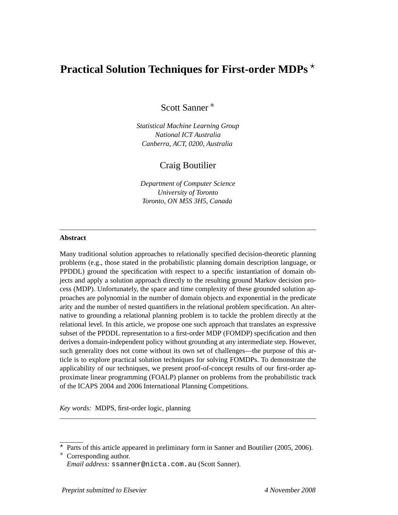# **Practical Solution Techniques for First-order MDPs**  $\star$

Scott Sanner ∗

*Statistical Machine Learning Group National ICT Australia Canberra, ACT, 0200, Australia*

# Craig Boutilier

*Department of Computer Science University of Toronto Toronto, ON M5S 3H5, Canada*

#### **Abstract**

Many traditional solution approaches to relationally specified decision-theoretic planning problems (e.g., those stated in the probabilistic planning domain description language, or PPDDL) ground the specification with respect to a specific instantiation of domain objects and apply a solution approach directly to the resulting ground Markov decision process (MDP). Unfortunately, the space and time complexity of these grounded solution approaches are polynomial in the number of domain objects and exponential in the predicate arity and the number of nested quantifiers in the relational problem specification. An alternative to grounding a relational planning problem is to tackle the problem directly at the relational level. In this article, we propose one such approach that translates an expressive subset of the PPDDL representation to a first-order MDP (FOMDP) specification and then derives a domain-independent policy without grounding at any intermediate step. However, such generality does not come without its own set of challenges—the purpose of this article is to explore practical solution techniques for solving FOMDPs. To demonstrate the applicability of our techniques, we present proof-of-concept results of our first-order approximate linear programming (FOALP) planner on problems from the probabilistic track of the ICAPS 2004 and 2006 International Planning Competitions.

*Key words:* MDPS, first-order logic, planning

∗ Corresponding author.

 $\overline{\star}$  Parts of this article appeared in preliminary form in Sanner and Boutilier (2005, 2006).

*Email address:* ssanner@nicta.com.au (Scott Sanner).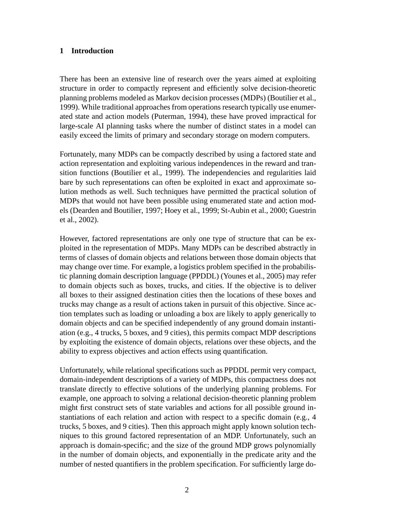## **1 Introduction**

There has been an extensive line of research over the years aimed at exploiting structure in order to compactly represent and efficiently solve decision-theoretic planning problems modeled as Markov decision processes (MDPs) (Boutilier et al., 1999). While traditional approaches from operations research typically use enumerated state and action models (Puterman, 1994), these have proved impractical for large-scale AI planning tasks where the number of distinct states in a model can easily exceed the limits of primary and secondary storage on modern computers.

Fortunately, many MDPs can be compactly described by using a factored state and action representation and exploiting various independences in the reward and transition functions (Boutilier et al., 1999). The independencies and regularities laid bare by such representations can often be exploited in exact and approximate solution methods as well. Such techniques have permitted the practical solution of MDPs that would not have been possible using enumerated state and action models (Dearden and Boutilier, 1997; Hoey et al., 1999; St-Aubin et al., 2000; Guestrin et al., 2002).

However, factored representations are only one type of structure that can be exploited in the representation of MDPs. Many MDPs can be described abstractly in terms of classes of domain objects and relations between those domain objects that may change over time. For example, a logistics problem specified in the probabilistic planning domain description language (PPDDL) (Younes et al., 2005) may refer to domain objects such as boxes, trucks, and cities. If the objective is to deliver all boxes to their assigned destination cities then the locations of these boxes and trucks may change as a result of actions taken in pursuit of this objective. Since action templates such as loading or unloading a box are likely to apply generically to domain objects and can be specified independently of any ground domain instantiation (e.g., 4 trucks, 5 boxes, and 9 cities), this permits compact MDP descriptions by exploiting the existence of domain objects, relations over these objects, and the ability to express objectives and action effects using quantification.

Unfortunately, while relational specifications such as PPDDL permit very compact, domain-independent descriptions of a variety of MDPs, this compactness does not translate directly to effective solutions of the underlying planning problems. For example, one approach to solving a relational decision-theoretic planning problem might first construct sets of state variables and actions for all possible ground instantiations of each relation and action with respect to a specific domain (e.g., 4 trucks, 5 boxes, and 9 cities). Then this approach might apply known solution techniques to this ground factored representation of an MDP. Unfortunately, such an approach is domain-specific; and the size of the ground MDP grows polynomially in the number of domain objects, and exponentially in the predicate arity and the number of nested quantifiers in the problem specification. For sufficiently large do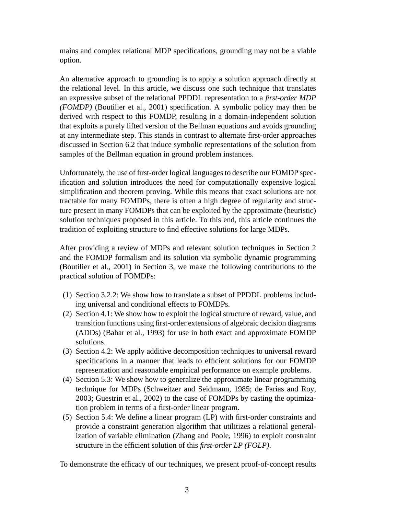mains and complex relational MDP specifications, grounding may not be a viable option.

An alternative approach to grounding is to apply a solution approach directly at the relational level. In this article, we discuss one such technique that translates an expressive subset of the relational PPDDL representation to a *first-order MDP (FOMDP)* (Boutilier et al., 2001) specification. A symbolic policy may then be derived with respect to this FOMDP, resulting in a domain-independent solution that exploits a purely lifted version of the Bellman equations and avoids grounding at any intermediate step. This stands in contrast to alternate first-order approaches discussed in Section 6.2 that induce symbolic representations of the solution from samples of the Bellman equation in ground problem instances.

Unfortunately, the use of first-order logical languages to describe our FOMDP specification and solution introduces the need for computationally expensive logical simplification and theorem proving. While this means that exact solutions are not tractable for many FOMDPs, there is often a high degree of regularity and structure present in many FOMDPs that can be exploited by the approximate (heuristic) solution techniques proposed in this article. To this end, this article continues the tradition of exploiting structure to find effective solutions for large MDPs.

After providing a review of MDPs and relevant solution techniques in Section 2 and the FOMDP formalism and its solution via symbolic dynamic programming (Boutilier et al., 2001) in Section 3, we make the following contributions to the practical solution of FOMDPs:

- (1) Section 3.2.2: We show how to translate a subset of PPDDL problems including universal and conditional effects to FOMDPs.
- (2) Section 4.1: We show how to exploit the logical structure of reward, value, and transition functions using first-order extensions of algebraic decision diagrams (ADDs) (Bahar et al., 1993) for use in both exact and approximate FOMDP solutions.
- (3) Section 4.2: We apply additive decomposition techniques to universal reward specifications in a manner that leads to efficient solutions for our FOMDP representation and reasonable empirical performance on example problems.
- (4) Section 5.3: We show how to generalize the approximate linear programming technique for MDPs (Schweitzer and Seidmann, 1985; de Farias and Roy, 2003; Guestrin et al., 2002) to the case of FOMDPs by casting the optimization problem in terms of a first-order linear program.
- (5) Section 5.4: We define a linear program (LP) with first-order constraints and provide a constraint generation algorithm that utilitizes a relational generalization of variable elimination (Zhang and Poole, 1996) to exploit constraint structure in the efficient solution of this *first-order LP (FOLP)*.

To demonstrate the efficacy of our techniques, we present proof-of-concept results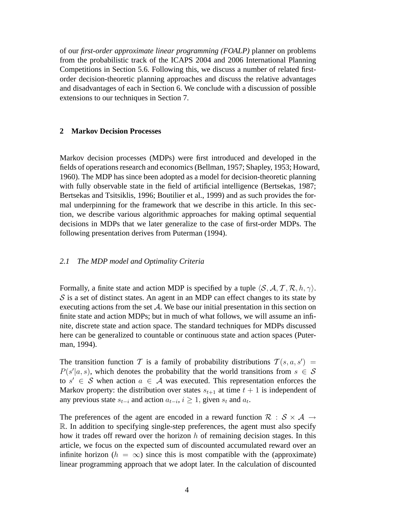of our *first-order approximate linear programming (FOALP)* planner on problems from the probabilistic track of the ICAPS 2004 and 2006 International Planning Competitions in Section 5.6. Following this, we discuss a number of related firstorder decision-theoretic planning approaches and discuss the relative advantages and disadvantages of each in Section 6. We conclude with a discussion of possible extensions to our techniques in Section 7.

#### **2 Markov Decision Processes**

Markov decision processes (MDPs) were first introduced and developed in the fields of operations research and economics (Bellman, 1957; Shapley, 1953; Howard, 1960). The MDP has since been adopted as a model for decision-theoretic planning with fully observable state in the field of artificial intelligence (Bertsekas, 1987; Bertsekas and Tsitsiklis, 1996; Boutilier et al., 1999) and as such provides the formal underpinning for the framework that we describe in this article. In this section, we describe various algorithmic approaches for making optimal sequential decisions in MDPs that we later generalize to the case of first-order MDPs. The following presentation derives from Puterman (1994).

## *2.1 The MDP model and Optimality Criteria*

Formally, a finite state and action MDP is specified by a tuple  $\langle S, A, T, R, h, \gamma \rangle$ .  $S$  is a set of distinct states. An agent in an MDP can effect changes to its state by executing actions from the set  $A$ . We base our initial presentation in this section on finite state and action MDPs; but in much of what follows, we will assume an infinite, discrete state and action space. The standard techniques for MDPs discussed here can be generalized to countable or continuous state and action spaces (Puterman, 1994).

The transition function T is a family of probability distributions  $T(s, a, s') =$  $P(s'|a, s)$ , which denotes the probability that the world transitions from  $s \in S$ to  $s' \in S$  when action  $a \in A$  was executed. This representation enforces the Markov property: the distribution over states  $s_{t+1}$  at time  $t + 1$  is independent of any previous state  $s_{t-i}$  and action  $a_{t-i}$ ,  $i \ge 1$ , given  $s_t$  and  $a_t$ .

The preferences of the agent are encoded in a reward function  $\mathcal{R}$  :  $\mathcal{S} \times \mathcal{A}$   $\rightarrow$ R. In addition to specifying single-step preferences, the agent must also specify how it trades off reward over the horizon  $h$  of remaining decision stages. In this article, we focus on the expected sum of discounted accumulated reward over an infinite horizon ( $h = \infty$ ) since this is most compatible with the (approximate) linear programming approach that we adopt later. In the calculation of discounted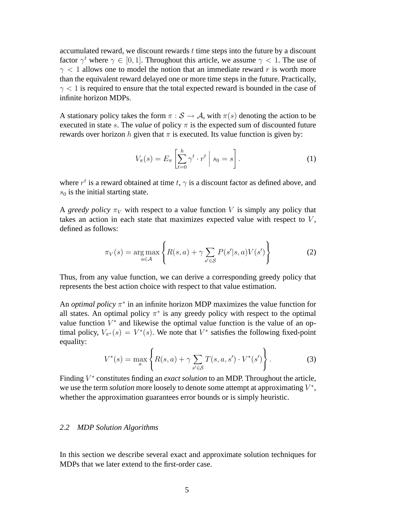accumulated reward, we discount rewards  $t$  time steps into the future by a discount factor  $\gamma^t$  where  $\gamma \in [0, 1]$ . Throughout this article, we assume  $\gamma < 1$ . The use of  $\gamma$  < 1 allows one to model the notion that an immediate reward r is worth more than the equivalent reward delayed one or more time steps in the future. Practically,  $\gamma$  < 1 is required to ensure that the total expected reward is bounded in the case of infinite horizon MDPs.

A stationary policy takes the form  $\pi : \mathcal{S} \to \mathcal{A}$ , with  $\pi(s)$  denoting the action to be executed in state s. The *value* of policy  $\pi$  is the expected sum of discounted future rewards over horizon h given that  $\pi$  is executed. Its value function is given by:

$$
V_{\pi}(s) = E_{\pi} \left[ \sum_{t=0}^{h} \gamma^{t} \cdot r^{t} \mid s_{0} = s \right]. \tag{1}
$$

where  $r^t$  is a reward obtained at time  $t, \gamma$  is a discount factor as defined above, and  $s_0$  is the initial starting state.

A *greedy policy*  $\pi_V$  with respect to a value function V is simply any policy that takes an action in each state that maximizes expected value with respect to  $V$ , defined as follows:

$$
\pi_V(s) = \underset{a \in \mathcal{A}}{\arg \max} \left\{ R(s, a) + \gamma \sum_{s' \in \mathcal{S}} P(s'|s, a) V(s') \right\} \tag{2}
$$

Thus, from any value function, we can derive a corresponding greedy policy that represents the best action choice with respect to that value estimation.

An *optimal policy*  $\pi^*$  in an infinite horizon MDP maximizes the value function for all states. An optimal policy  $\pi^*$  is any greedy policy with respect to the optimal value function  $V^*$  and likewise the optimal value function is the value of an optimal policy,  $V_{\pi^*}(s) = V^*(s)$ . We note that  $V^*$  satisfies the following fixed-point equality:

$$
V^*(s) = \max_{a} \left\{ R(s, a) + \gamma \sum_{s' \in S} T(s, a, s') \cdot V^*(s') \right\}.
$$
 (3)

Finding V<sup>\*</sup> constitutes finding an *exact solution* to an MDP. Throughout the article, we use the term *solution* more loosely to denote some attempt at approximating  $V^*$ , whether the approximation guarantees error bounds or is simply heuristic.

#### *2.2 MDP Solution Algorithms*

In this section we describe several exact and approximate solution techniques for MDPs that we later extend to the first-order case.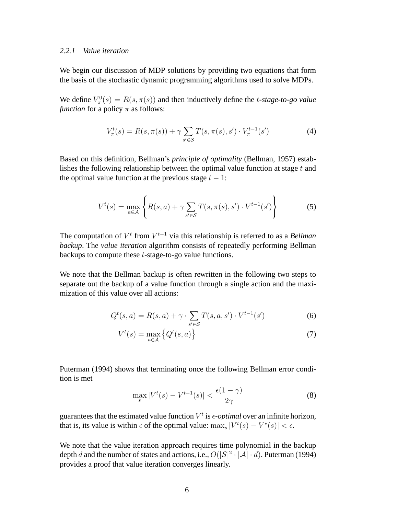#### *2.2.1 Value iteration*

We begin our discussion of MDP solutions by providing two equations that form the basis of the stochastic dynamic programming algorithms used to solve MDPs.

We define  $V^0_\pi(s) = R(s, \pi(s))$  and then inductively define the *t*-stage-to-go value *function* for a policy  $\pi$  as follows:

$$
V_{\pi}^{t}(s) = R(s, \pi(s)) + \gamma \sum_{s' \in \mathcal{S}} T(s, \pi(s), s') \cdot V_{\pi}^{t-1}(s')
$$
(4)

Based on this definition, Bellman's *principle of optimality* (Bellman, 1957) establishes the following relationship between the optimal value function at stage  $t$  and the optimal value function at the previous stage  $t - 1$ :

$$
V^t(s) = \max_{a \in \mathcal{A}} \left\{ R(s, a) + \gamma \sum_{s' \in \mathcal{S}} T(s, \pi(s), s') \cdot V^{t-1}(s') \right\}
$$
(5)

The computation of  $V^t$  from  $V^{t-1}$  via this relationship is referred to as a *Bellman backup*. The *value iteration* algorithm consists of repeatedly performing Bellman backups to compute these t-stage-to-go value functions.

We note that the Bellman backup is often rewritten in the following two steps to separate out the backup of a value function through a single action and the maximization of this value over all actions:

$$
Q^{t}(s, a) = R(s, a) + \gamma \cdot \sum_{s' \in S} T(s, a, s') \cdot V^{t-1}(s')
$$
 (6)

$$
V^t(s) = \max_{a \in \mathcal{A}} \left\{ Q^t(s, a) \right\} \tag{7}
$$

Puterman (1994) shows that terminating once the following Bellman error condition is met

$$
\max_{s} |V^t(s) - V^{t-1}(s)| < \frac{\epsilon(1-\gamma)}{2\gamma} \tag{8}
$$

guarantees that the estimated value function  $V^t$  is  $\epsilon$ -*optimal* over an infinite horizon, that is, its value is within  $\epsilon$  of the optimal value:  $\max_s |V^t(s) - V^*(s)| < \epsilon$ .

We note that the value iteration approach requires time polynomial in the backup depth  $d$  and the number of states and actions, i.e.,  $O(|\mathcal{S}|^2 \cdot |\mathcal{A}| \cdot d)$ . Puterman (1994) provides a proof that value iteration converges linearly.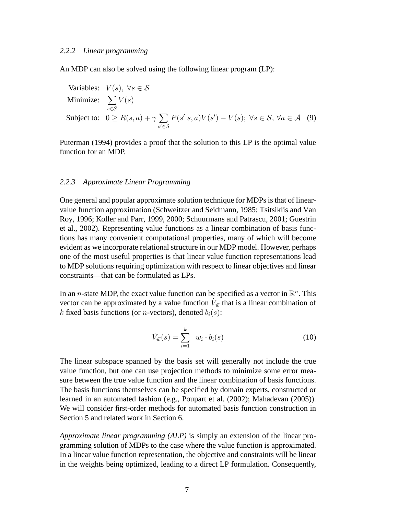#### *2.2.2 Linear programming*

An MDP can also be solved using the following linear program (LP):

Variables: 
$$
V(s)
$$
,  $\forall s \in S$   
Minimize:  $\sum_{s \in S} V(s)$   
Subject to:  $0 \ge R(s, a) + \gamma \sum_{s' \in S} P(s'|s, a)V(s') - V(s); \forall s \in S, \forall a \in A$  (9)

Puterman (1994) provides a proof that the solution to this LP is the optimal value function for an MDP.

#### *2.2.3 Approximate Linear Programming*

One general and popular approximate solution technique for MDPs is that of linearvalue function approximation (Schweitzer and Seidmann, 1985; Tsitsiklis and Van Roy, 1996; Koller and Parr, 1999, 2000; Schuurmans and Patrascu, 2001; Guestrin et al., 2002). Representing value functions as a linear combination of basis functions has many convenient computational properties, many of which will become evident as we incorporate relational structure in our MDP model. However, perhaps one of the most useful properties is that linear value function representations lead to MDP solutions requiring optimization with respect to linear objectives and linear constraints—that can be formulated as LPs.

In an *n*-state MDP, the exact value function can be specified as a vector in  $\mathbb{R}^n$ . This vector can be approximated by a value function  $\tilde{V}_{\vec{w}}$  that is a linear combination of k fixed basis functions (or *n*-vectors), denoted  $b_i(s)$ :

$$
\tilde{V}_{\vec{w}}(s) = \sum_{i=1}^{k} w_i \cdot b_i(s) \tag{10}
$$

The linear subspace spanned by the basis set will generally not include the true value function, but one can use projection methods to minimize some error measure between the true value function and the linear combination of basis functions. The basis functions themselves can be specified by domain experts, constructed or learned in an automated fashion (e.g., Poupart et al. (2002); Mahadevan (2005)). We will consider first-order methods for automated basis function construction in Section 5 and related work in Section 6.

*Approximate linear programming (ALP)* is simply an extension of the linear programming solution of MDPs to the case where the value function is approximated. In a linear value function representation, the objective and constraints will be linear in the weights being optimized, leading to a direct LP formulation. Consequently,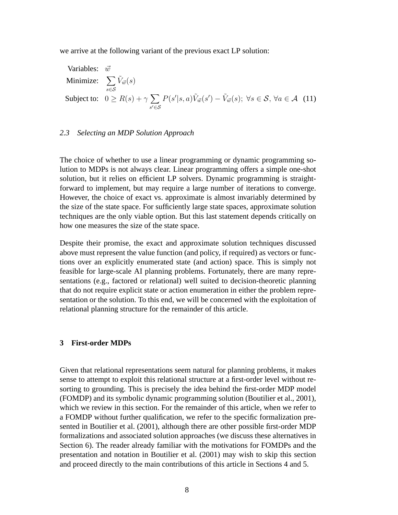we arrive at the following variant of the previous exact LP solution:

Variables:  $\vec{w}$ Minimize:  $\sum$ s∈S  $\tilde{V}_{\vec{w}}(s)$ Subject to:  $0 \geq R(s) + \gamma \sum$ s ′∈S  $P(s'|s, a)\tilde{V}_{\vec{w}}(s') - \tilde{V}_{\vec{w}}(s); \ \forall s \in \mathcal{S}, \ \forall a \in \mathcal{A}$  (11)

#### *2.3 Selecting an MDP Solution Approach*

The choice of whether to use a linear programming or dynamic programming solution to MDPs is not always clear. Linear programming offers a simple one-shot solution, but it relies on efficient LP solvers. Dynamic programming is straightforward to implement, but may require a large number of iterations to converge. However, the choice of exact vs. approximate is almost invariably determined by the size of the state space. For sufficiently large state spaces, approximate solution techniques are the only viable option. But this last statement depends critically on how one measures the size of the state space.

Despite their promise, the exact and approximate solution techniques discussed above must represent the value function (and policy, if required) as vectors or functions over an explicitly enumerated state (and action) space. This is simply not feasible for large-scale AI planning problems. Fortunately, there are many representations (e.g., factored or relational) well suited to decision-theoretic planning that do not require explicit state or action enumeration in either the problem representation or the solution. To this end, we will be concerned with the exploitation of relational planning structure for the remainder of this article.

#### **3 First-order MDPs**

Given that relational representations seem natural for planning problems, it makes sense to attempt to exploit this relational structure at a first-order level without resorting to grounding. This is precisely the idea behind the first-order MDP model (FOMDP) and its symbolic dynamic programming solution (Boutilier et al., 2001), which we review in this section. For the remainder of this article, when we refer to a FOMDP without further qualification, we refer to the specific formalization presented in Boutilier et al. (2001), although there are other possible first-order MDP formalizations and associated solution approaches (we discuss these alternatives in Section 6). The reader already familiar with the motivations for FOMDPs and the presentation and notation in Boutilier et al. (2001) may wish to skip this section and proceed directly to the main contributions of this article in Sections 4 and 5.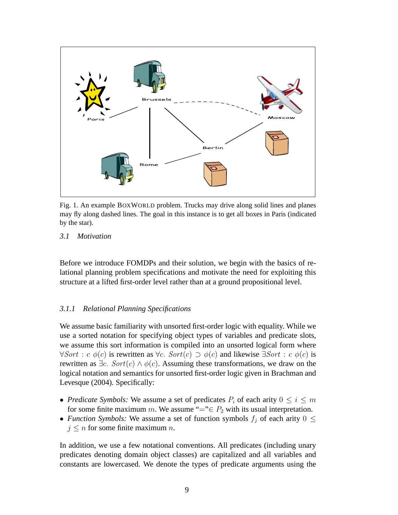

Fig. 1. An example BOXWORLD problem. Trucks may drive along solid lines and planes may fly along dashed lines. The goal in this instance is to get all boxes in Paris (indicated by the star).

## *3.1 Motivation*

Before we introduce FOMDPs and their solution, we begin with the basics of relational planning problem specifications and motivate the need for exploiting this structure at a lifted first-order level rather than at a ground propositional level.

# *3.1.1 Relational Planning Specifications*

We assume basic familiarity with unsorted first-order logic with equality. While we use a sorted notation for specifying object types of variables and predicate slots, we assume this sort information is compiled into an unsorted logical form where  $\forall Sort : c \phi(c)$  is rewritten as  $\forall c$ .  $Sort(c) \supset \phi(c)$  and likewise  $\exists Sort : c \phi(c)$  is rewritten as  $\exists c$ . Sort $(c) \wedge \phi(c)$ . Assuming these transformations, we draw on the logical notation and semantics for unsorted first-order logic given in Brachman and Levesque (2004). Specifically:

- *Predicate Symbols:* We assume a set of predicates  $P_i$  of each arity  $0 \le i \le m$ for some finite maximum m. We assume "=" $\in P_2$  with its usual interpretation.
- *Function Symbols:* We assume a set of function symbols  $f_i$  of each arity  $0 \leq$  $j \leq n$  for some finite maximum n.

In addition, we use a few notational conventions. All predicates (including unary predicates denoting domain object classes) are capitalized and all variables and constants are lowercased. We denote the types of predicate arguments using the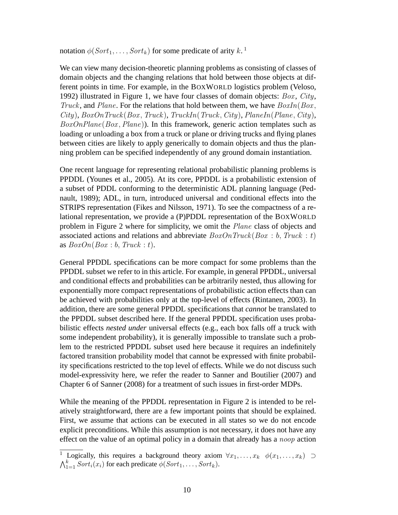notation  $\phi(Sort_1, \ldots, Sort_k)$  for some predicate of arity  $k$ .<sup>1</sup>

We can view many decision-theoretic planning problems as consisting of classes of domain objects and the changing relations that hold between those objects at different points in time. For example, in the BOXWORLD logistics problem (Veloso, 1992) illustrated in Figure 1, we have four classes of domain objects:  $Box$ ,  $City$ , Truck, and Plane. For the relations that hold between them, we have  $BoxIn(Box,$  $City), BoxOnTruck(Box, Truck), TruckIn(Truck, City), PlaneIn(Plane, City),$  $BoxOnPlane(Box, Plane)$ ). In this framework, generic action templates such as loading or unloading a box from a truck or plane or driving trucks and flying planes between cities are likely to apply generically to domain objects and thus the planning problem can be specified independently of any ground domain instantiation.

One recent language for representing relational probabilistic planning problems is PPDDL (Younes et al., 2005). At its core, PPDDL is a probabilistic extension of a subset of PDDL conforming to the deterministic ADL planning language (Pednault, 1989); ADL, in turn, introduced universal and conditional effects into the STRIPS representation (Fikes and Nilsson, 1971). To see the compactness of a relational representation, we provide a (P)PDDL representation of the BOXWORLD problem in Figure 2 where for simplicity, we omit the Plane class of objects and associated actions and relations and abbreviate  $BoxOnTruck(Box : b, Truck : t)$ as  $BoxOn(Box : b, Truck : t)$ .

General PPDDL specifications can be more compact for some problems than the PPDDL subset we refer to in this article. For example, in general PPDDL, universal and conditional effects and probabilities can be arbitrarily nested, thus allowing for exponentially more compact representations of probabilistic action effects than can be achieved with probabilities only at the top-level of effects (Rintanen, 2003). In addition, there are some general PPDDL specifications that *cannot* be translated to the PPDDL subset described here. If the general PPDDL specification uses probabilistic effects *nested under* universal effects (e.g., each box falls off a truck with some independent probability), it is generally impossible to translate such a problem to the restricted PPDDL subset used here because it requires an indefinitely factored transition probability model that cannot be expressed with finite probability specifications restricted to the top level of effects. While we do not discuss such model-expressivity here, we refer the reader to Sanner and Boutilier (2007) and Chapter 6 of Sanner (2008) for a treatment of such issues in first-order MDPs.

While the meaning of the PPDDL representation in Figure 2 is intended to be relatively straightforward, there are a few important points that should be explained. First, we assume that actions can be executed in all states so we do not encode explicit preconditions. While this assumption is not necessary, it does not have any effect on the value of an optimal policy in a domain that already has a *noop* action

<sup>&</sup>lt;sup>1</sup> Logically, this requires a background theory axiom  $\forall x_1, \dots, x_k \quad \phi(x_1, \dots, x_k) \supset$  $\bigwedge_{1=1}^k Sort_i(x_i)$  for each predicate  $\phi(Sort_1, \ldots, Sort_k)$ .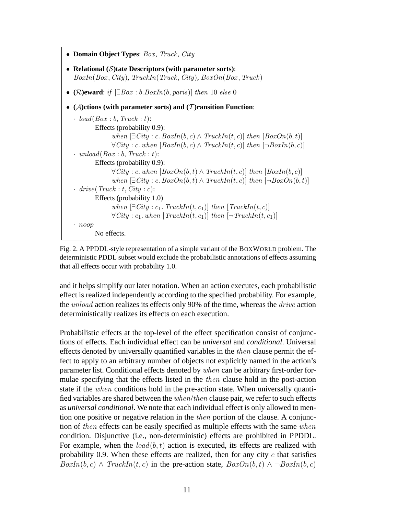```
• Domain Object Types: Box, Truck, City
• Relational (S)tate Descriptors (with parameter sorts):
   BoxIn(Box, City), \text{TruckIn}(\text{Truck}, City), \text{BoxOn}(\text{Box}, \text{Truck})• (R)eward: if [\exists Box : b.BoxIn(b, pairs)] then 10 else 0
• (A)ctions (with parameter sorts) and (T)ransition Function:
   \cdot load(Box : b, Truck : t):
           Effects (probability 0.9):
                  when [\exists City : c. \,BoxIn(b, c) \land \text{TruckIn}(t, c)] then [\text{BoxOn}(b, t)]\forall City : c. when [BoxIn(b, c) \land TruckIn(t, c)] then [-BoxIn(b, c)]\cdot unload(Box : b, Truck : t):
           Effects (probability 0.9):
                  \forall City : c. when [BoxOn(b, t) \land TruckIn(t, c)] then [BoxIn(b, c)]when [\exists City : c. BoxOn(b, t) \land TravelIn(t, c)] then [\neg BoxOn(b, t)]\cdot drive(Truck : t, City : c):
           Effects (probability 1.0)
                  when \left[ \exists City : c_1. TruckIn(t, c_1) \right] then \left[ Travel(n(t, c)\right]\forall City : c_1. when \{TruckIn(t, c_1) \} then \{\neg TruckIn(t, c_1)\}\· noop
           No effects.
```
Fig. 2. A PPDDL-style representation of a simple variant of the BOXWORLD problem. The deterministic PDDL subset would exclude the probabilistic annotations of effects assuming that all effects occur with probability 1.0.

and it helps simplify our later notation. When an action executes, each probabilistic effect is realized independently according to the specified probability. For example, the *unload* action realizes its effects only 90% of the time, whereas the *drive* action deterministically realizes its effects on each execution.

Probabilistic effects at the top-level of the effect specification consist of conjunctions of effects. Each individual effect can be *universal* and *conditional*. Universal effects denoted by universally quantified variables in the *then* clause permit the effect to apply to an arbitrary number of objects not explicitly named in the action's parameter list. Conditional effects denoted by when can be arbitrary first-order formulae specifying that the effects listed in the then clause hold in the post-action state if the *when* conditions hold in the pre-action state. When universally quantified variables are shared between the when/then clause pair, we refer to such effects as *universal conditional*. We note that each individual effect is only allowed to mention one positive or negative relation in the *then* portion of the clause. A conjunction of then effects can be easily specified as multiple effects with the same when condition. Disjunctive (i.e., non-deterministic) effects are prohibited in PPDDL. For example, when the  $load(b, t)$  action is executed, its effects are realized with probability 0.9. When these effects are realized, then for any city  $c$  that satisfies  $BoxIn(b, c) \wedge TruckIn(t, c)$  in the pre-action state,  $BoxOn(b, t) \wedge \neg BoxIn(b, c)$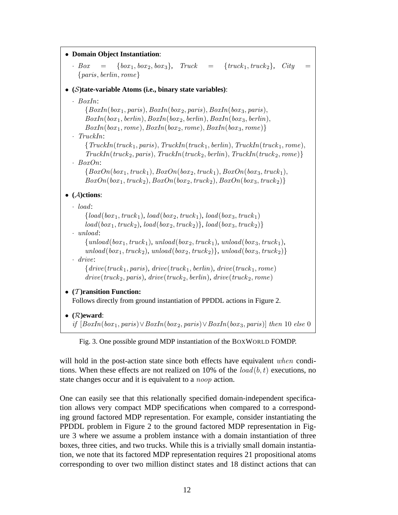• **Domain Object Instantiation**:  $\cdot$  Box = {box<sub>1</sub>, box<sub>2</sub>, box<sub>3</sub>}, Truck = {truck<sub>1</sub>, truck<sub>2</sub>}, City = {paris, berlin, rome} • **(**S**)tate-variable Atoms (i.e., binary state variables)**: · BoxIn:  ${BoxIn(box_1, \text{paris}), BoxIn(box_2, \text{paris}), BoxIn(box_3, \text{paris}),}$  $BoxIn(box<sub>1</sub>, berlin),BoxIn(box<sub>2</sub>, berlin),BoxIn(box<sub>3</sub>, berlin),$  $BoxIn(box<sub>1</sub>, {rome}), BoxIn(box<sub>2</sub>, {rome}), BoxIn(box<sub>3</sub>, {rome})\}$ · TruckIn:  ${TruckIn(true_1, pairs), TruckIn(true_1, berlin), TruckIn(true_1, rome),}$  $TruckIn(truck<sub>2</sub>, pairs), TruckIn(truck<sub>2</sub>, Berlin), TruckIn(truck<sub>2</sub>, rome)$ · BoxOn:  ${BoxOn}(box_1, truck_1), BoxOn(box_2, truck_1), BoxOn(box_3, truck_1),$  $BoxOn(box_1, truck_2), BoxOn(box_2, truck_2), BoxOn(box_3, truck_2)\}$  $\bullet$  (*A*)ctions: · load:  ${load}(box_1, truck_1), load(box_2, truck_1), load(box_3, truck_1)$  $load(box_1, truck_2), load(box_2, truck_2)\}, load(box_3, truck_2)\}$ · unload:  ${unload}(box_1, truck_1), unload(box_2, truck_1), unload(box_3, truck_1),$ unload(box<sub>1</sub>, truck<sub>2</sub>), unload(box<sub>2</sub>, truck<sub>2</sub>)}, unload(box<sub>3</sub>, truck<sub>2</sub>)} · drive:  ${drive (truck<sub>1</sub>, pairs), drive (truck<sub>1</sub>, berlin), drive (truck<sub>1</sub>,rome) }$  $drive(true k_2, pairs), drive(true k_2, berlin), drive(true k_2,rome)$ • **(**T **)ransition Function:** Follows directly from ground instantiation of PPDDL actions in Figure 2. • **(**R**)eward**: if  $[BoxIn(box_1, pairs) ∨ BoxIn(box_2, pairs) ∨ BoxIn(box_3, pairs)]$  then 10 else 0

Fig. 3. One possible ground MDP instantiation of the BOXWORLD FOMDP.

will hold in the post-action state since both effects have equivalent when conditions. When these effects are not realized on 10% of the  $load(b, t)$  executions, no state changes occur and it is equivalent to a *noop* action.

One can easily see that this relationally specified domain-independent specification allows very compact MDP specifications when compared to a corresponding ground factored MDP representation. For example, consider instantiating the PPDDL problem in Figure 2 to the ground factored MDP representation in Figure 3 where we assume a problem instance with a domain instantiation of three boxes, three cities, and two trucks. While this is a trivially small domain instantiation, we note that its factored MDP representation requires 21 propositional atoms corresponding to over two million distinct states and 18 distinct actions that can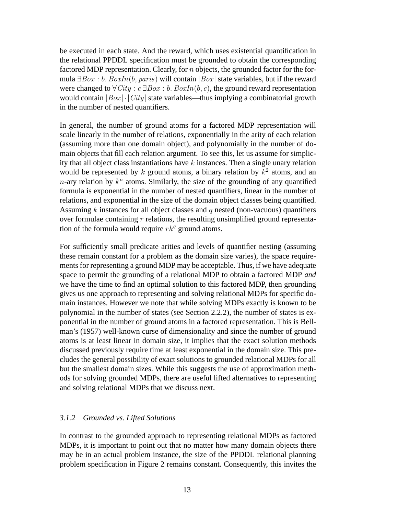be executed in each state. And the reward, which uses existential quantification in the relational PPDDL specification must be grounded to obtain the corresponding factored MDP representation. Clearly, for  $n$  objects, the grounded factor for the formula  $\exists Box : b. BoxIn(b, \text{paris})$  will contain  $|Box|$  state variables, but if the reward were changed to  $\forall City : c \exists Box : b. \,BoxIn(b, c)$ , the ground reward representation would contain  $|Box| \cdot |City|$  state variables—thus implying a combinatorial growth in the number of nested quantifiers.

In general, the number of ground atoms for a factored MDP representation will scale linearly in the number of relations, exponentially in the arity of each relation (assuming more than one domain object), and polynomially in the number of domain objects that fill each relation argument. To see this, let us assume for simplicity that all object class instantiations have  $k$  instances. Then a single unary relation would be represented by k ground atoms, a binary relation by  $k^2$  atoms, and an  $n$ -ary relation by  $k<sup>n</sup>$  atoms. Similarly, the size of the grounding of any quantified formula is exponential in the number of nested quantifiers, linear in the number of relations, and exponential in the size of the domain object classes being quantified. Assuming k instances for all object classes and  $q$  nested (non-vacuous) quantifiers over formulae containing  $r$  relations, the resulting unsimplified ground representation of the formula would require  $rk^q$  ground atoms.

For sufficiently small predicate arities and levels of quantifier nesting (assuming these remain constant for a problem as the domain size varies), the space requirements for representing a ground MDP may be acceptable. Thus, if we have adequate space to permit the grounding of a relational MDP to obtain a factored MDP *and* we have the time to find an optimal solution to this factored MDP, then grounding gives us one approach to representing and solving relational MDPs for specific domain instances. However we note that while solving MDPs exactly is known to be polynomial in the number of states (see Section 2.2.2), the number of states is exponential in the number of ground atoms in a factored representation. This is Bellman's (1957) well-known curse of dimensionality and since the number of ground atoms is at least linear in domain size, it implies that the exact solution methods discussed previously require time at least exponential in the domain size. This precludes the general possibility of exact solutions to grounded relational MDPs for all but the smallest domain sizes. While this suggests the use of approximation methods for solving grounded MDPs, there are useful lifted alternatives to representing and solving relational MDPs that we discuss next.

# *3.1.2 Grounded vs. Lifted Solutions*

In contrast to the grounded approach to representing relational MDPs as factored MDPs, it is important to point out that no matter how many domain objects there may be in an actual problem instance, the size of the PPDDL relational planning problem specification in Figure 2 remains constant. Consequently, this invites the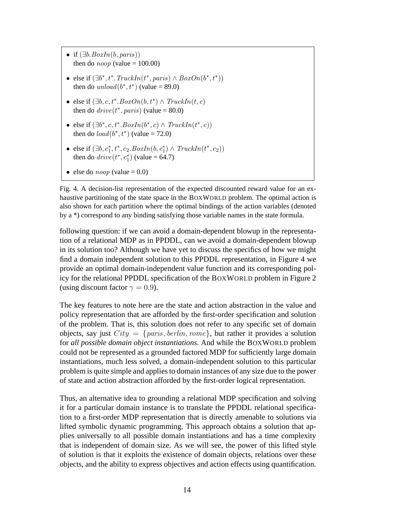- if  $(\exists b. BoxIn(b, pairs))$ then do *noop* (value  $= 100.00$ )
- else if  $(\exists b^*, t^*. TruckIn(t^*, \text{paris}) \land BoxOn(b^*, t^*))$ then do  $unload(b^*, t^*)$  (value = 89.0)
- else if  $(\exists b, c, t^*.BoxOn(b, t^*) \land \text{TruckIn}(t, c))$ then do  $drive(t^*, \text{paris})$  (value = 80.0)
- else if  $(\exists b^*, c, t^*.BoxIn(b^*, c) \land \text{TruckIn}(t^*, c))$ then do  $load(b^*, t^*)$  (value = 72.0)
- else if  $(∃b, c<sub>1</sub><sup>*</sup>, t<sup>*</sup>, c<sub>2</sub>.BoxIn(b, c<sub>1</sub><sup>*</sup>) ∧ *TruckIn*(t<sup>*</sup>, c<sub>2</sub>))$ then do  $drive(t^*, c_1^*)$  (value = 64.7)
- else do *noop* (value =  $0.0$ )

Fig. 4. A decision-list representation of the expected discounted reward value for an exhaustive partitioning of the state space in the BOXWORLD problem. The optimal action is also shown for each partition where the optimal bindings of the action variables (denoted by a \*) correspond to any binding satisfying those variable names in the state formula.

following question: if we can avoid a domain-dependent blowup in the representation of a relational MDP as in PPDDL, can we avoid a domain-dependent blowup in its solution too? Although we have yet to discuss the specifics of how we might find a domain independent solution to this PPDDL representation, in Figure 4 we provide an optimal domain-independent value function and its corresponding policy for the relational PPDDL specification of the BOXWORLD problem in Figure 2 (using discount factor  $\gamma = 0.9$ ).

The key features to note here are the state and action abstraction in the value and policy representation that are afforded by the first-order specification and solution of the problem. That is, this solution does not refer to any specific set of domain objects, say just  $City = \{paris, berlin,rome\}$ , but rather it provides a solution for *all possible domain object instantiations*. And while the BOXWORLD problem could not be represented as a grounded factored MDP for sufficiently large domain instantiations, much less solved, a domain-independent solution to this particular problem is quite simple and applies to domain instances of any size due to the power of state and action abstraction afforded by the first-order logical representation.

Thus, an alternative idea to grounding a relational MDP specification and solving it for a particular domain instance is to translate the PPDDL relational specification to a first-order MDP representation that is directly amenable to solutions via lifted symbolic dynamic programming. This approach obtains a solution that applies universally to all possible domain instantiations and has a time complexity that is independent of domain size. As we will see, the power of this lifted style of solution is that it exploits the existence of domain objects, relations over these objects, and the ability to express objectives and action effects using quantification.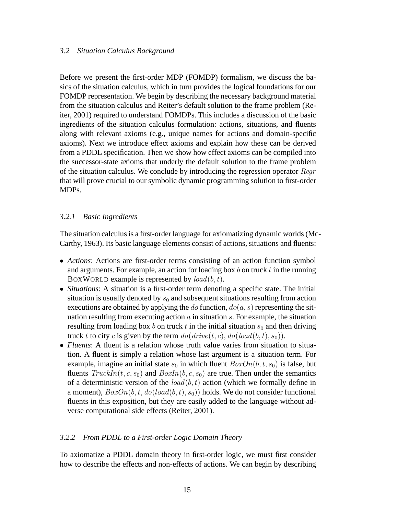#### *3.2 Situation Calculus Background*

Before we present the first-order MDP (FOMDP) formalism, we discuss the basics of the situation calculus, which in turn provides the logical foundations for our FOMDP representation. We begin by describing the necessary background material from the situation calculus and Reiter's default solution to the frame problem (Reiter, 2001) required to understand FOMDPs. This includes a discussion of the basic ingredients of the situation calculus formulation: actions, situations, and fluents along with relevant axioms (e.g., unique names for actions and domain-specific axioms). Next we introduce effect axioms and explain how these can be derived from a PDDL specification. Then we show how effect axioms can be compiled into the successor-state axioms that underly the default solution to the frame problem of the situation calculus. We conclude by introducing the regression operator Regr that will prove crucial to our symbolic dynamic programming solution to first-order MDPs.

## *3.2.1 Basic Ingredients*

The situation calculus is a first-order language for axiomatizing dynamic worlds (Mc-Carthy, 1963). Its basic language elements consist of actions, situations and fluents:

- *Actions*: Actions are first-order terms consisting of an action function symbol and arguments. For example, an action for loading box  $b$  on truck  $t$  in the running BOXWORLD example is represented by  $load(b, t)$ .
- *Situations*: A situation is a first-order term denoting a specific state. The initial situation is usually denoted by  $s_0$  and subsequent situations resulting from action executions are obtained by applying the do function,  $do(a, s)$  representing the situation resulting from executing action  $\alpha$  in situation  $\delta$ . For example, the situation resulting from loading box b on truck t in the initial situation  $s_0$  and then driving truck t to city c is given by the term  $do(drive(t, c), do(log(d(b, t), s_0))$ .
- *Fluents*: A fluent is a relation whose truth value varies from situation to situation. A fluent is simply a relation whose last argument is a situation term. For example, imagine an initial state  $s_0$  in which fluent  $BoxOn(b, t, s_0)$  is false, but fluents  $TruckIn(t, c, s_0)$  and  $BoxIn(b, c, s_0)$  are true. Then under the semantics of a deterministic version of the  $load(b, t)$  action (which we formally define in a moment),  $BoxOn(b, t, do(load(b, t), s_0))$  holds. We do not consider functional fluents in this exposition, but they are easily added to the language without adverse computational side effects (Reiter, 2001).

## *3.2.2 From PDDL to a First-order Logic Domain Theory*

To axiomatize a PDDL domain theory in first-order logic, we must first consider how to describe the effects and non-effects of actions. We can begin by describing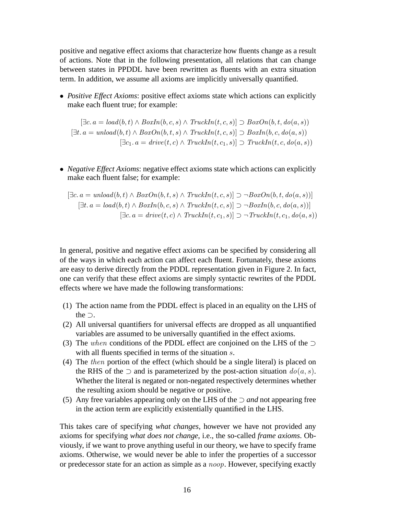positive and negative effect axioms that characterize how fluents change as a result of actions. Note that in the following presentation, all relations that can change between states in PPDDL have been rewritten as fluents with an extra situation term. In addition, we assume all axioms are implicitly universally quantified.

• *Positive Effect Axioms*: positive effect axioms state which actions can explicitly make each fluent true; for example:

$$
[\exists c. a = load(b, t) \land BoxIn(b, c, s) \land TruckIn(t, c, s)] \supset BoxOn(b, t, do(a, s))
$$
  

$$
[\exists t. a = unload(b, t) \land BoxOn(b, t, s) \land TruckIn(t, c, s)] \supset BoxIn(b, c, do(a, s))
$$
  

$$
[\exists c_1. a = drive(t, c) \land TruckIn(t, c_1, s)] \supset TruckIn(t, c, do(a, s))
$$

• *Negative Effect Axioms*: negative effect axioms state which actions can explicitly make each fluent false; for example:

$$
[\exists c. a = unload(b, t) \land BoxOn(b, t, s) \land TruckIn(t, c, s)] \supset \neg BoxOn(b, t, do(a, s))]
$$
  

$$
[\exists t. a = load(b, t) \land BoxIn(b, c, s) \land TruckIn(t, c, s)] \supset \neg BoxIn(b, c, do(a, s))]
$$
  

$$
[\exists c. a = drive(t, c) \land TruckIn(t, c_1, s)] \supset \neg TruckIn(t, c_1, do(a, s))
$$

In general, positive and negative effect axioms can be specified by considering all of the ways in which each action can affect each fluent. Fortunately, these axioms are easy to derive directly from the PDDL representation given in Figure 2. In fact, one can verify that these effect axioms are simply syntactic rewrites of the PDDL effects where we have made the following transformations:

- (1) The action name from the PDDL effect is placed in an equality on the LHS of the ⊃.
- (2) All universal quantifiers for universal effects are dropped as all unquantified variables are assumed to be universally quantified in the effect axioms.
- (3) The when conditions of the PDDL effect are conjoined on the LHS of the  $\supset$ with all fluents specified in terms of the situation s.
- (4) The then portion of the effect (which should be a single literal) is placed on the RHS of the  $\supset$  and is parameterized by the post-action situation  $do(a, s)$ . Whether the literal is negated or non-negated respectively determines whether the resulting axiom should be negative or positive.
- (5) Any free variables appearing only on the LHS of the ⊃ *and* not appearing free in the action term are explicitly existentially quantified in the LHS.

This takes care of specifying *what changes*, however we have not provided any axioms for specifying *what does not change*, i.e., the so-called *frame axioms*. Obviously, if we want to prove anything useful in our theory, we have to specify frame axioms. Otherwise, we would never be able to infer the properties of a successor or predecessor state for an action as simple as a noop. However, specifying exactly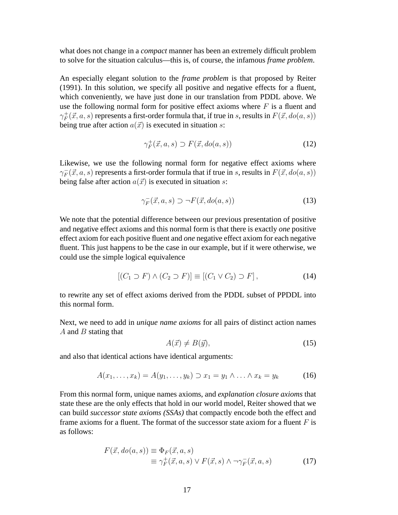what does not change in a *compact* manner has been an extremely difficult problem to solve for the situation calculus—this is, of course, the infamous *frame problem*.

An especially elegant solution to the *frame problem* is that proposed by Reiter (1991). In this solution, we specify all positive and negative effects for a fluent, which conveniently, we have just done in our translation from PDDL above. We use the following normal form for positive effect axioms where  $F$  is a fluent and  $\gamma^+_F(\vec{x},a,s)$  represents a first-order formula that, if true in  $s$ , results in  $F(\vec{x},do(a,s))$ being true after action  $a(\vec{x})$  is executed in situation s:

$$
\gamma_F^+(\vec{x}, a, s) \supset F(\vec{x}, do(a, s)) \tag{12}
$$

Likewise, we use the following normal form for negative effect axioms where  $\gamma^-_F(\vec{x},a,s)$  represents a first-order formula that if true in s, results in  $F(\vec{x},do(a,s))$ being false after action  $a(\vec{x})$  is executed in situation s:

$$
\gamma_F^-(\vec{x}, a, s) \supset \neg F(\vec{x}, do(a, s)) \tag{13}
$$

We note that the potential difference between our previous presentation of positive and negative effect axioms and this normal form is that there is exactly *one* positive effect axiom for each positive fluent and *one* negative effect axiom for each negative fluent. This just happens to be the case in our example, but if it were otherwise, we could use the simple logical equivalence

$$
[(C_1 \supset F) \wedge (C_2 \supset F)] \equiv [(C_1 \vee C_2) \supset F], \tag{14}
$$

to rewrite any set of effect axioms derived from the PDDL subset of PPDDL into this normal form.

Next, we need to add in *unique name axioms* for all pairs of distinct action names  $A$  and  $B$  stating that

$$
A(\vec{x}) \neq B(\vec{y}),\tag{15}
$$

and also that identical actions have identical arguments:

$$
A(x_1,\ldots,x_k) = A(y_1,\ldots,y_k) \supset x_1 = y_1 \wedge \ldots \wedge x_k = y_k \tag{16}
$$

From this normal form, unique names axioms, and *explanation closure axioms* that state these are the only effects that hold in our world model, Reiter showed that we can build *successor state axioms (SSAs)* that compactly encode both the effect and frame axioms for a fluent. The format of the successor state axiom for a fluent  $F$  is as follows:

$$
F(\vec{x}, do(a, s)) \equiv \Phi_F(\vec{x}, a, s)
$$
  

$$
\equiv \gamma_F^+(\vec{x}, a, s) \lor F(\vec{x}, s) \land \neg \gamma_F^-(\vec{x}, a, s)
$$
 (17)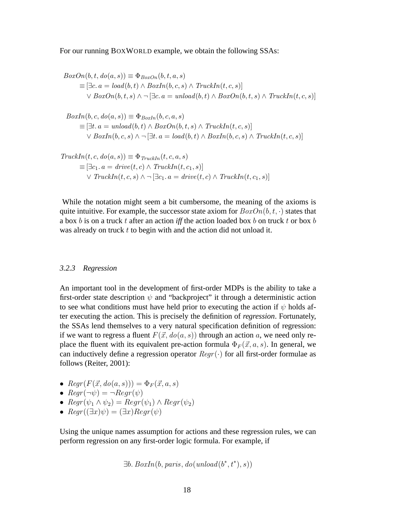For our running BOXWORLD example, we obtain the following SSAs:

 $BoxOn(b, t, do(a, s)) \equiv \Phi_{BoxOn}(b, t, a, s)$  $\equiv [\exists c. a = load(b, t) \land BoxIn(b, c, s) \land TrueckIn(t, c, s)]$  $\vee BoxOn(b, t, s) \wedge \neg \exists c. a = unload(b, t) \wedge BoxOn(b, t, s) \wedge TruekIn(t, c, s)]$ 

$$
BoxIn(b, c, do(a, s)) \equiv \Phi_{BoxIn}(b, c, a, s)
$$
  
\n
$$
\equiv [\exists t. a = unload(b, t) \land BoxOn(b, t, s) \land TruckIn(t, c, s)]
$$
  
\n
$$
\lor BoxIn(b, c, s) \land \neg [\exists t. a = load(b, t) \land BoxIn(b, c, s) \land TruckIn(t, c, s)]
$$

$$
TruckIn(t, c, do(a, s)) \equiv \Phi_{TruckIn}(t, c, a, s)
$$
  
\n
$$
\equiv [\exists c_1. a = drive(t, c) \land TruckIn(t, c_1, s)]
$$
  
\n
$$
\lor TruckIn(t, c, s) \land \neg [\exists c_1. a = drive(t, c) \land TruckIn(t, c_1, s)]
$$

While the notation might seem a bit cumbersome, the meaning of the axioms is quite intuitive. For example, the successor state axiom for  $BoxOn(b, t, \cdot)$  states that a box b is on a truck t after an action *iff* the action loaded box b on truck t or box b was already on truck  $t$  to begin with and the action did not unload it.

## *3.2.3 Regression*

An important tool in the development of first-order MDPs is the ability to take a first-order state description  $\psi$  and "backproject" it through a deterministic action to see what conditions must have held prior to executing the action if  $\psi$  holds after executing the action. This is precisely the definition of *regression*. Fortunately, the SSAs lend themselves to a very natural specification definition of regression: if we want to regress a fluent  $F(\vec{x}, do(a, s))$  through an action a, we need only replace the fluent with its equivalent pre-action formula  $\Phi_F(\vec{x},a,s)$ . In general, we can inductively define a regression operator  $Regr(\cdot)$  for all first-order formulae as follows (Reiter, 2001):

- $Regr(F(\vec{x}, do(a, s))) = \Phi_F(\vec{x}, a, s)$
- $Regr(\neg \psi) = \neg Regr(\psi)$
- $Regr(\psi_1 \wedge \psi_2) = Regr(\psi_1) \wedge Regr(\psi_2)$
- $Regr((\exists x)\psi) = (\exists x)Regr(\psi)$

Using the unique names assumption for actions and these regression rules, we can perform regression on any first-order logic formula. For example, if

$$
\exists b. \;BoxIn(b, \, pairs, \, do(\,unload(b^*, t^*), s))
$$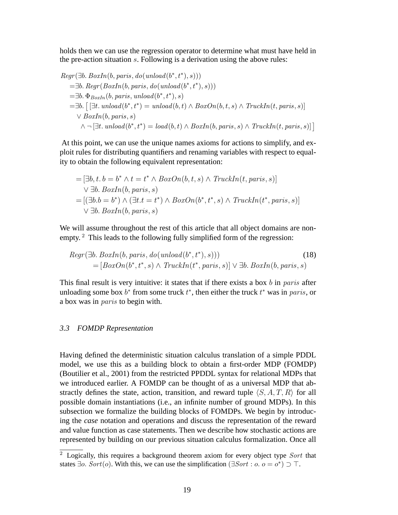holds then we can use the regression operator to determine what must have held in the pre-action situation s. Following is a derivation using the above rules:

$$
Regr(∃b. BoxIn(b, pairs, do(unload(b*, t*), s)))
$$
  
=∃b. Regr(BoxIn(b, pairs, do(unload(b<sup>\*</sup>, t<sup>\*</sup>), s)))  
=∃b.  $ΦBoxIn(b, pairs, unload(b*, t*), s)$   
=∃b. [∃t. unload(b<sup>\*</sup>, t<sup>\*</sup>) = unload(b, t) ∧ BoxOn(b, t, s) ∧ TruekIn(t, pairs, s)]  
∨BoxIn(b, pairs, s)  
∧ ¬[∃t. unload(b<sup>\*</sup>, t<sup>\*</sup>) = load(b, t) ∧ BoxIn(b, pairs, s) ∧ TruekIn(t, pairs, s)]]

At this point, we can use the unique names axioms for actions to simplify, and exploit rules for distributing quantifiers and renaming variables with respect to equality to obtain the following equivalent representation:

$$
= [\exists b, t. b = b^* \land t = t^* \land BoxOn(b, t, s) \land TruckIn(t, pairs, s)]
$$
  

$$
\lor \exists b. BoxIn(b, pairs, s)
$$
  

$$
= [(\exists b.b = b^*) \land (\exists t. t = t^*) \land BoxOn(b^*, t^*, s) \land TruckIn(t^*, pairs, s)]
$$
  

$$
\lor \exists b. BoxIn(b, pairs, s)
$$

We will assume throughout the rest of this article that all object domains are nonempty.  $2$  This leads to the following fully simplified form of the regression:

$$
Regr(\exists b. BoxIn(b, pairs, do(unload(b^*, t^*), s)))\n= [BoxOn(b^*, t^*, s) \land TruckIn(t^*, pairs, s)] \lor \exists b. BoxIn(b, pairs, s)
$$
\n(18)

This final result is very intuitive: it states that if there exists a box b in paris after unloading some box  $b^*$  from some truck  $t^*$ , then either the truck  $t^*$  was in paris, or a box was in paris to begin with.

#### *3.3 FOMDP Representation*

Having defined the deterministic situation calculus translation of a simple PDDL model, we use this as a building block to obtain a first-order MDP (FOMDP) (Boutilier et al., 2001) from the restricted PPDDL syntax for relational MDPs that we introduced earlier. A FOMDP can be thought of as a universal MDP that abstractly defines the state, action, transition, and reward tuple  $\langle S, A, T, R \rangle$  for all possible domain instantiations (i.e., an infinite number of ground MDPs). In this subsection we formalize the building blocks of FOMDPs. We begin by introducing the *case* notation and operations and discuss the representation of the reward and value function as case statements. Then we describe how stochastic actions are represented by building on our previous situation calculus formalization. Once all

 $\sqrt{2}$  Logically, this requires a background theorem axiom for every object type *Sort* that states  $\exists o$ . Sort $(o)$ . With this, we can use the simplification  $(\exists Sort : o. o = o^*) \supset \top$ .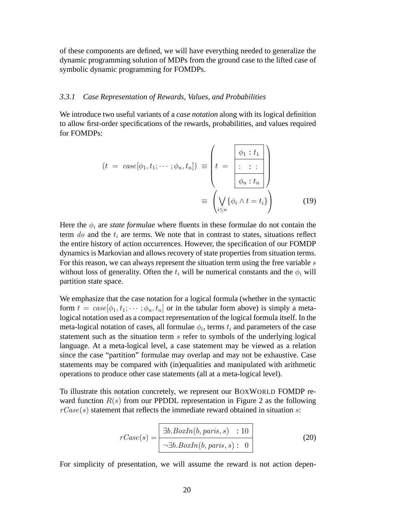of these components are defined, we will have everything needed to generalize the dynamic programming solution of MDPs from the ground case to the lifted case of symbolic dynamic programming for FOMDPs.

#### *3.3.1 Case Representation of Rewards, Values, and Probabilities*

We introduce two useful variants of a *case notation* along with its logical definition to allow first-order specifications of the rewards, probabilities, and values required for FOMDPs:

$$
(t = case[\phi_1, t_1; \cdots; \phi_n, t_n]) \equiv \begin{pmatrix} \phi_1 : t_1 \\ \vdots & \vdots \\ \phi_n : t_n \end{pmatrix}
$$

$$
\equiv \begin{pmatrix} \sqrt{\phi_i \wedge t} = t_i \end{pmatrix}
$$
(19)

Here the  $\phi_i$  are *state formulae* where fluents in these formulae do not contain the term do and the  $t_i$  are terms. We note that in contrast to states, situations reflect the entire history of action occurrences. However, the specification of our FOMDP dynamics is Markovian and allows recovery of state properties from situation terms. For this reason, we can always represent the situation term using the free variable  $s$ without loss of generality. Often the  $t_i$  will be numerical constants and the  $\phi_i$  will partition state space.

We emphasize that the case notation for a logical formula (whether in the syntactic form  $t = case[\phi_1, t_1; \dots; \phi_n, t_n]$  or in the tabular form above) is simply a metalogical notation used as a compact representation of the logical formula itself. In the meta-logical notation of cases, all formulae  $\phi_i$ , terms  $t_i$  and parameters of the case statement such as the situation term s refer to symbols of the underlying logical language. At a meta-logical level, a case statement may be viewed as a relation since the case "partition" formulae may overlap and may not be exhaustive. Case statements may be compared with (in)equalities and manipulated with arithmetic operations to produce other case statements (all at a meta-logical level).

To illustrate this notation concretely, we represent our BOXWORLD FOMDP reward function  $R(s)$  from our PPDDL representation in Figure 2 as the following  $rCase(s)$  statement that reflects the immediate reward obtained in situation s:

$$
rCase(s) = \boxed{\frac{\exists b.BoxIn(b, pairs, s) : 10}{\neg \exists b.BoxIn(b, pairs, s) : 0}
$$
 (20)

For simplicity of presentation, we will assume the reward is not action depen-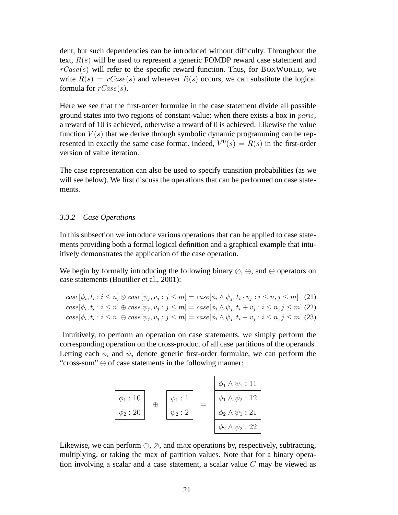dent, but such dependencies can be introduced without difficulty. Throughout the text,  $R(s)$  will be used to represent a generic FOMDP reward case statement and  $rCase(s)$  will refer to the specific reward function. Thus, for BOXWORLD, we write  $R(s) = rCase(s)$  and wherever  $R(s)$  occurs, we can substitute the logical formula for  $rCase(s)$ .

Here we see that the first-order formulae in the case statement divide all possible ground states into two regions of constant-value: when there exists a box in paris, a reward of 10 is achieved, otherwise a reward of 0 is achieved. Likewise the value function  $V(s)$  that we derive through symbolic dynamic programming can be represented in exactly the same case format. Indeed,  $V^0(s) = R(s)$  in the first-order version of value iteration.

The case representation can also be used to specify transition probabilities (as we will see below). We first discuss the operations that can be performed on case statements.

## *3.3.2 Case Operations*

In this subsection we introduce various operations that can be applied to case statements providing both a formal logical definition and a graphical example that intuitively demonstrates the application of the case operation.

We begin by formally introducing the following binary  $\otimes$ ,  $\oplus$ , and  $\ominus$  operators on case statements (Boutilier et al., 2001):

 $case[\phi_i, t_i : i \leq n] \otimes case[\psi_j, v_j : j \leq m] = case[\phi_i \wedge \psi_j, t_i \cdot v_j : i \leq n, j \leq m]$  (21)  $case[\phi_i, t_i : i \leq n] \oplus case[\psi_j, v_j : j \leq m] = case[\phi_i \wedge \psi_j, t_i + v_j : i \leq n, j \leq m]$  (22)  $case[\phi_i, t_i : i \leq n] \ominus case[\psi_j, v_j : j \leq m] = case[\phi_i \wedge \psi_j, t_i - v_j : i \leq n, j \leq m]$  (23)

Intuitively, to perform an operation on case statements, we simply perform the corresponding operation on the cross-product of all case partitions of the operands. Letting each  $\phi_i$  and  $\psi_j$  denote generic first-order formulae, we can perform the "cross-sum" ⊕ of case statements in the following manner:

$$
\begin{array}{|c|c|}\n\hline\n\phi_1:10 \\
\hline\n\phi_2:20\n\end{array} \oplus \begin{array}{|c|c|}\n\hline\n\psi_1:1 \\
\hline\n\psi_2:2\n\end{array} = \begin{array}{|c|c|}\n\hline\n\phi_1 \wedge \psi_1:11 \\
\hline\n\phi_1 \wedge \psi_2:12 \\
\hline\n\phi_2 \wedge \psi_1:21 \\
\hline\n\phi_2 \wedge \psi_2:22\n\end{array}
$$

Likewise, we can perform  $\ominus$ ,  $\otimes$ , and max operations by, respectively, subtracting, multiplying, or taking the max of partition values. Note that for a binary operation involving a scalar and a case statement, a scalar value  $C$  may be viewed as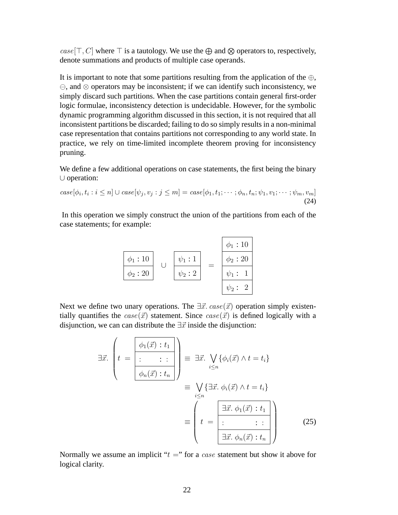$case[T, C]$  where  $\top$  is a tautology. We use the  $\oplus$  and  $\otimes$  operators to, respectively, denote summations and products of multiple case operands.

It is important to note that some partitions resulting from the application of the  $\oplus$ , ⊖, and ⊗ operators may be inconsistent; if we can identify such inconsistency, we simply discard such partitions. When the case partitions contain general first-order logic formulae, inconsistency detection is undecidable. However, for the symbolic dynamic programming algorithm discussed in this section, it is not required that all inconsistent partitions be discarded; failing to do so simply results in a non-minimal case representation that contains partitions not corresponding to any world state. In practice, we rely on time-limited incomplete theorem proving for inconsistency pruning.

We define a few additional operations on case statements, the first being the binary ∪ operation:

$$
case[\phi_i, t_i : i \leq n] \cup case[\psi_j, v_j : j \leq m] = case[\phi_1, t_1; \cdots; \phi_n, t_n; \psi_1, v_1; \cdots; \psi_m, v_m]
$$
\n(24)

In this operation we simply construct the union of the partitions from each of the case statements; for example:

$$
\begin{array}{|c|c|c|}\n\hline\n\phi_1:10 \\
\hline\n\phi_2:20\n\end{array}\n\quad \bigcup\n\begin{array}{|c|c|}\n\hline\n\psi_1:1 \\
\hline\n\psi_2:2\n\end{array}\n\bigg| = \begin{array}{|c|c|}\n\hline\n\phi_2:20 \\
\hline\n\psi_1:1 \\
\hline\n\psi_2:2\n\end{array}
$$

Next we define two unary operations. The  $\exists \vec{x}$ . case( $\vec{x}$ ) operation simply existentially quantifies the  $case(\vec{x})$  statement. Since  $case(\vec{x})$  is defined logically with a disjunction, we can can distribute the  $\exists \vec{x}$  inside the disjunction:

$$
\exists \vec{x}. \left( t = \frac{\phi_1(\vec{x}) : t_1}{\phi_n(\vec{x}) : t_n} \right) \equiv \exists \vec{x}. \bigvee_{i \leq n} \{ \phi_i(\vec{x}) \land t = t_i \}
$$
\n
$$
\equiv \bigvee_{i \leq n} \{ \exists \vec{x}. \phi_i(\vec{x}) \land t = t_i \}
$$
\n
$$
\equiv \left( t = \frac{\exists \vec{x}. \phi_1(\vec{x}) : t_1}{\exists \vec{x}. \phi_n(\vec{x}) : t_1} \right)
$$
\n(25)

Normally we assume an implicit " $t =$ " for a *case* statement but show it above for logical clarity.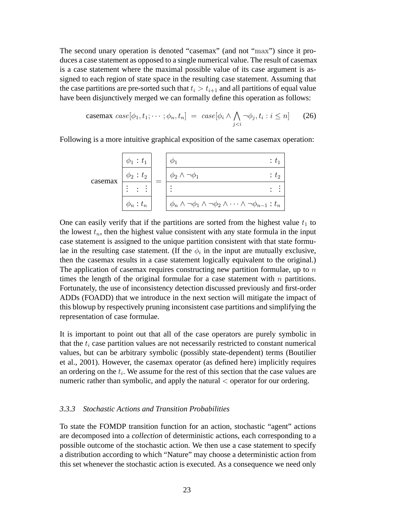The second unary operation is denoted "casemax" (and not "max") since it produces a case statement as opposed to a single numerical value. The result of casemax is a case statement where the maximal possible value of its case argument is assigned to each region of state space in the resulting case statement. Assuming that the case partitions are pre-sorted such that  $t_i > t_{i+1}$  and all partitions of equal value have been disjunctively merged we can formally define this operation as follows:

$$
\text{casemax } \text{case}[\phi_1, t_1; \cdots; \phi_n, t_n] = \text{case}[\phi_i \land \bigwedge_{j < i} \neg \phi_j, t_i : i \leq n] \tag{26}
$$

Following is a more intuitive graphical exposition of the same casemax operation:



One can easily verify that if the partitions are sorted from the highest value  $t_1$  to the lowest  $t_n$ , then the highest value consistent with any state formula in the input case statement is assigned to the unique partition consistent with that state formulae in the resulting case statement. (If the  $\phi_i$  in the input are mutually exclusive, then the casemax results in a case statement logically equivalent to the original.) The application of casemax requires constructing new partition formulae, up to  $n$ times the length of the original formulae for a case statement with  $n$  partitions. Fortunately, the use of inconsistency detection discussed previously and first-order ADDs (FOADD) that we introduce in the next section will mitigate the impact of this blowup by respectively pruning inconsistent case partitions and simplifying the representation of case formulae.

It is important to point out that all of the case operators are purely symbolic in that the  $t_i$  case partition values are not necessarily restricted to constant numerical values, but can be arbitrary symbolic (possibly state-dependent) terms (Boutilier et al., 2001). However, the casemax operator (as defined here) implicitly requires an ordering on the  $t_i$ . We assume for the rest of this section that the case values are numeric rather than symbolic, and apply the natural < operator for our ordering.

## *3.3.3 Stochastic Actions and Transition Probabilities*

To state the FOMDP transition function for an action, stochastic "agent" actions are decomposed into a *collection* of deterministic actions, each corresponding to a possible outcome of the stochastic action. We then use a case statement to specify a distribution according to which "Nature" may choose a deterministic action from this set whenever the stochastic action is executed. As a consequence we need only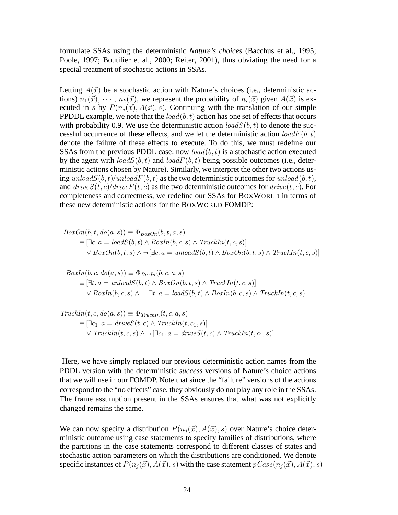formulate SSAs using the deterministic *Nature's choices* (Bacchus et al., 1995; Poole, 1997; Boutilier et al., 2000; Reiter, 2001), thus obviating the need for a special treatment of stochastic actions in SSAs.

Letting  $A(\vec{x})$  be a stochastic action with Nature's choices (i.e., deterministic actions)  $n_1(\vec{x}), \cdots, n_k(\vec{x})$ , we represent the probability of  $n_i(\vec{x})$  given  $A(\vec{x})$  is executed in s by  $P(n_i(\vec{x}),A(\vec{x}),s)$ . Continuing with the translation of our simple PPDDL example, we note that the  $load(b, t)$  action has one set of effects that occurs with probability 0.9. We use the deterministic action  $loadS(b, t)$  to denote the successful occurrence of these effects, and we let the deterministic action  $loadF(b, t)$ denote the failure of these effects to execute. To do this, we must redefine our SSAs from the previous PDDL case: now  $load(b, t)$  is a stochastic action executed by the agent with  $loadS(b, t)$  and  $loadF(b, t)$  being possible outcomes (i.e., deterministic actions chosen by Nature). Similarly, we interpret the other two actions using unload $S(b,t)/u$ nload $F(b,t)$  as the two deterministic outcomes for unload(b, t), and  $driveS(t, c)/driveF(t, c)$  as the two deterministic outcomes for  $drive(t, c)$ . For completeness and correctness, we redefine our SSAs for BOXWORLD in terms of these new deterministic actions for the BOXWORLD FOMDP:

$$
BoxOn(b, t, do(a, s)) \equiv \Phi_{BoxOn}(b, t, a, s)
$$
  
\n
$$
\equiv [\exists c. a = loadS(b, t) \land BoxIn(b, c, s) \land TruckIn(t, c, s)]
$$
  
\n
$$
\lor BoxOn(b, t, s) \land \neg [\exists c. a = unloadS(b, t) \land BoxOn(b, t, s) \land TruckIn(t, c, s)]
$$

$$
BoxIn(b, c, do(a, s)) \equiv \Phi_{BoxIn}(b, c, a, s)
$$
  
\n
$$
\equiv [\exists t. a = unloadS(b, t) \land BoxOn(b, t, s) \land TruckIn(t, c, s)]
$$
  
\n
$$
\lor BoxIn(b, c, s) \land \neg [\exists t. a = loadS(b, t) \land BoxIn(b, c, s) \land TruckIn(t, c, s)]
$$

$$
TruckIn(t, c, do(a, s)) \equiv \Phi_{TruckIn}(t, c, a, s)
$$
  
\n
$$
\equiv [\exists c_1. a = driveS(t, c) \land TruckIn(t, c_1, s)]
$$
  
\n
$$
\lor TruckIn(t, c, s) \land \neg [\exists c_1. a = driveS(t, c) \land TruckIn(t, c_1, s)]
$$

Here, we have simply replaced our previous deterministic action names from the PDDL version with the deterministic *success* versions of Nature's choice actions that we will use in our FOMDP. Note that since the "failure" versions of the actions correspond to the "no effects" case, they obviously do not play any role in the SSAs. The frame assumption present in the SSAs ensures that what was not explicitly changed remains the same.

We can now specify a distribution  $P(n_i(\vec{x}),A(\vec{x}),s)$  over Nature's choice deterministic outcome using case statements to specify families of distributions, where the partitions in the case statements correspond to different classes of states and stochastic action parameters on which the distributions are conditioned. We denote specific instances of  $P(n_i (\vec{x}), A(\vec{x}), s)$  with the case statement  $pCase(n_i (\vec{x}), A(\vec{x}), s)$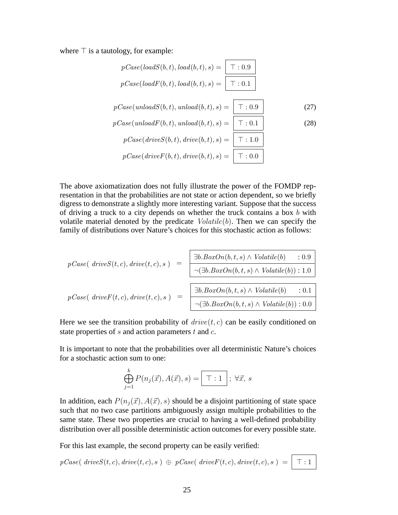where  $\top$  is a tautology, for example:

$$
pCase(loadS(b, t), load(b, t), s) = \boxed{\top : 0.9}
$$
\n
$$
pCase(loadF(b, t), load(b, t), s) = \boxed{\top : 0.1}
$$
\n
$$
pCase(unloadS(b, t), unload(b, t), s) = \boxed{\top : 0.9}
$$
\n
$$
pCase(unloadF(b, t), unload(b, t), s) = \boxed{\top : 0.1}
$$
\n
$$
pCase(driveS(b, t), drive(b, t), s) = \boxed{\top : 1.0}
$$
\n
$$
pCase(driveF(b, t), drive(b, t), s) = \boxed{\top : 0.0}
$$
\n(28)

The above axiomatization does not fully illustrate the power of the FOMDP representation in that the probabilities are not state or action dependent, so we briefly digress to demonstrate a slightly more interesting variant. Suppose that the success of driving a truck to a city depends on whether the truck contains a box  $b$  with volatile material denoted by the predicate  $Volatile(b)$ . Then we can specify the family of distributions over Nature's choices for this stochastic action as follows:

$$
pCase(\text{drive}(t, c), \text{drive}(t, c), s) = \frac{\exists b. BoxOn(b, t, s) \land \text{Volume}(b) : 0.9}{\neg(\exists b. BoxOn(b, t, s) \land \text{Volume}(b)) : 1.0}
$$
\n
$$
pCase(\text{drive}(t, c), \text{drive}(t, c), s) = \frac{\exists b. BoxOn(b, t, s) \land \text{Volume}(b) : 0.1}{\neg(\exists b. BoxOn(b, t, s) \land \text{Volume}(b)) : 0.0}
$$

Here we see the transition probability of  $drive(t, c)$  can be easily conditioned on state properties of  $s$  and action parameters  $t$  and  $c$ .

It is important to note that the probabilities over all deterministic Nature's choices for a stochastic action sum to one:

$$
\bigoplus_{j=1}^{k} P(n_j(\vec{x}), A(\vec{x}), s) = \boxed{\top : 1} ; \forall \vec{x}, s
$$

In addition, each  $P(n_i(\vec{x}),A(\vec{x}),s)$  should be a disjoint partitioning of state space such that no two case partitions ambiguously assign multiple probabilities to the same state. These two properties are crucial to having a well-defined probability distribution over all possible deterministic action outcomes for every possible state.

For this last example, the second property can be easily verified:

 $p\textit{Case}( \textit{drive}(t, c), \textit{drive}(t, c), s ) \oplus p\textit{Case}( \textit{drive}(t, c), \textit{drive}(t, c), s ) = \Big| \top : 1$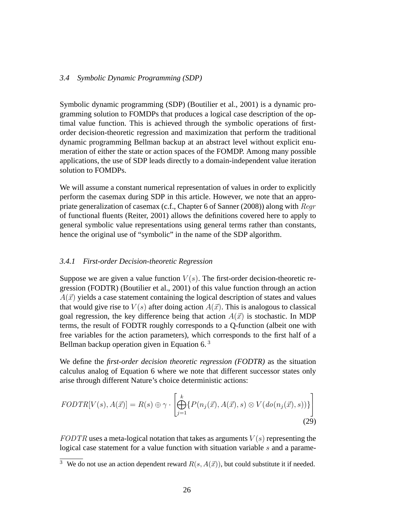#### *3.4 Symbolic Dynamic Programming (SDP)*

Symbolic dynamic programming (SDP) (Boutilier et al., 2001) is a dynamic programming solution to FOMDPs that produces a logical case description of the optimal value function. This is achieved through the symbolic operations of firstorder decision-theoretic regression and maximization that perform the traditional dynamic programming Bellman backup at an abstract level without explicit enumeration of either the state or action spaces of the FOMDP. Among many possible applications, the use of SDP leads directly to a domain-independent value iteration solution to FOMDPs.

We will assume a constant numerical representation of values in order to explicitly perform the casemax during SDP in this article. However, we note that an appropriate generalization of casemax (c.f., Chapter 6 of Sanner (2008)) along with Regr of functional fluents (Reiter, 2001) allows the definitions covered here to apply to general symbolic value representations using general terms rather than constants, hence the original use of "symbolic" in the name of the SDP algorithm.

## *3.4.1 First-order Decision-theoretic Regression*

Suppose we are given a value function  $V(s)$ . The first-order decision-theoretic regression (FODTR) (Boutilier et al., 2001) of this value function through an action  $A(\vec{x})$  yields a case statement containing the logical description of states and values that would give rise to  $V(s)$  after doing action  $A(\vec{x})$ . This is analogous to classical goal regression, the key difference being that action  $A(\vec{x})$  is stochastic. In MDP terms, the result of FODTR roughly corresponds to a Q-function (albeit one with free variables for the action parameters), which corresponds to the first half of a Bellman backup operation given in Equation 6.<sup>3</sup>

We define the *first-order decision theoretic regression (FODTR)* as the situation calculus analog of Equation 6 where we note that different successor states only arise through different Nature's choice deterministic actions:

$$
FODTR[V(s), A(\vec{x})] = R(s) \oplus \gamma \cdot \left[ \bigoplus_{j=1}^{k} \{ P(n_j(\vec{x}), A(\vec{x}), s) \otimes V(do(n_j(\vec{x}), s)) \} \right]
$$
\n(29)

 $FODTR$  uses a meta-logical notation that takes as arguments  $V(s)$  representing the logical case statement for a value function with situation variable s and a parame-

<sup>&</sup>lt;sup>3</sup> We do not use an action dependent reward  $R(s, A(\vec{x}))$ , but could substitute it if needed.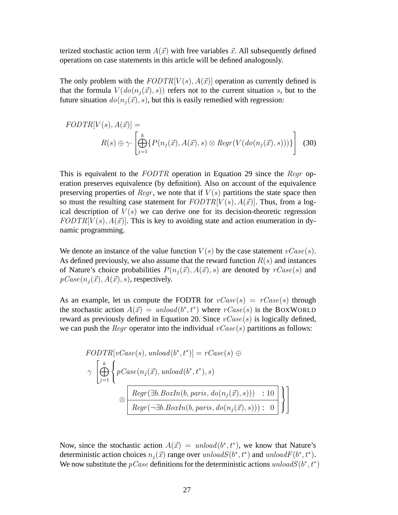terized stochastic action term  $A(\vec{x})$  with free variables  $\vec{x}$ . All subsequently defined operations on case statements in this article will be defined analogously.

The only problem with the  $FODTR[V(s),A(\vec{x})]$  operation as currently defined is that the formula  $V(do(n_i(\vec{x}),s))$  refers not to the current situation s, but to the future situation  $do(n_i(\vec{x}),s)$ , but this is easily remedied with regression:

$$
FODTR[V(s), A(\vec{x})] =
$$
  
\n
$$
R(s) \oplus \gamma \cdot \left[ \bigoplus_{j=1}^{k} \{ P(n_j(\vec{x}), A(\vec{x}), s) \otimes Regr(V(do(n_j(\vec{x}), s))) \} \right]
$$
 (30)

This is equivalent to the FODTR operation in Equation 29 since the Regr operation preserves equivalence (by definition). Also on account of the equivalence preserving properties of *Regr*, we note that if  $V(s)$  partitions the state space then so must the resulting case statement for  $FODTR[V(s),A(\vec{x})]$ . Thus, from a logical description of  $V(s)$  we can derive one for its decision-theoretic regression  $FODTR[V(s),A(\vec{x})]$ . This is key to avoiding state and action enumeration in dynamic programming.

We denote an instance of the value function  $V(s)$  by the case statement  $vCase(s)$ . As defined previously, we also assume that the reward function  $R(s)$  and instances of Nature's choice probabilities  $P(n_i(\vec{x}),A(\vec{x}),s)$  are denoted by  $rCase(s)$  and  $pCase(n<sub>i</sub>(\vec{x}),A(\vec{x}),s)$ , respectively.

As an example, let us compute the FODTR for  $vCase(s) = rCase(s)$  through the stochastic action  $A(\vec{x}) = unload(b^*, t^*)$  where  $rCase(s)$  is the BOXWORLD reward as previously defined in Equation 20. Since  $vCase(s)$  is logically defined, we can push the *Regr* operator into the individual  $vCase(s)$  partitions as follows:

$$
FODTR[vCase(s), unload(b^*, t^*)] = rCase(s) \oplus
$$
  
\n
$$
\gamma \left[ \bigoplus_{j=1}^{k} \left\{ pCase(n_j(\vec{x}), unload(b^*, t^*), s) \right\} \right]
$$
  
\n
$$
\otimes \left[ \frac{Regr(\exists b.BoxIn(b, pairs, do(n_j(\vec{x}), s))) \quad : 10}{Regr(\neg \exists b.BoxIn(b, pairs, do(n_j(\vec{x}), s))) \quad : 0} \right] \right]
$$

Now, since the stochastic action  $A(\vec{x}) = unload(b^*, t^*)$ , we know that Nature's deterministic action choices  $n_j(\vec{x})$  range over  $unloadS(b^*, t^*)$  and  $unloadF(b^*, t^*)$ . We now substitute the *pCase* definitions for the deterministic actions  $unloadS(b^*, t^*)$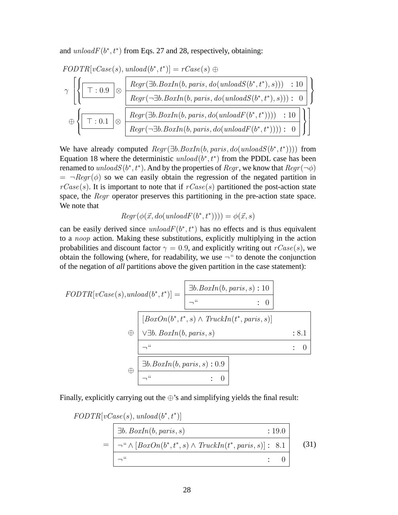and  $unloadF(b^*, t^*)$  from Eqs. 27 and 28, respectively, obtaining:

$$
FODTR[vCase(s), unload(b^*, t^*)] = rCase(s) \oplus
$$
\n
$$
\gamma \left[ \left\{ \boxed{\top : 0.9} \otimes \begin{array}{l} Regr(\exists b.BoxIn(b, pairs, do(unloadS(b^*, t^*), s))) & : 10 \\ \hline \text{Regr}(\neg \exists b.BoxIn(b, pairs, do(unloadS(b^*, t^*), s))) & : 0 \\ \hline \end{array} \right\} \right]
$$
\n
$$
\oplus \left\{ \boxed{\top : 0.1} \otimes \begin{array}{l} Regr(\exists b.BoxIn(b, pairs, do(unloadF(b^*, t^*)))) & : 10 \\ \hline \text{Regr}(\neg \exists b.BoxIn(b, pairs, do(unloadF(b^*, t^*)))) & : 0 \\ \end{array} \right\}
$$

We have already computed  $Regr(\exists b.BoxIn(b, pairs, do(unloadS(b^*, t^*))))$  from Equation 18 where the deterministic  $unload(b^*, t^*)$  from the PDDL case has been renamed to  $\mathit{unloadS}(b^*, t^*)$ . And by the properties of  $\mathit{Regr}$ , we know that  $\mathit{Regr}(\neg\phi)$  $= \neg Regr(\phi)$  so we can easily obtain the regression of the negated partition in  $rCase(s)$ . It is important to note that if  $rCase(s)$  partitioned the post-action state space, the *Regr* operator preserves this partitioning in the pre-action state space. We note that

$$
Regr(\phi(\vec{x}, do(unloadF(b^*, t^*)))) = \phi(\vec{x}, s)
$$

can be easily derived since  $unloadF(b^*, t^*)$  has no effects and is thus equivalent to a noop action. Making these substitutions, explicitly multiplying in the action probabilities and discount factor  $\gamma = 0.9$ , and explicitly writing out  $rCase(s)$ , we obtain the following (where, for readability, we use  $\neg$ " to denote the conjunction of the negation of *all* partitions above the given partition in the case statement):

$$
FODTR[vCase(s), unload(b^*, t^*)] = \frac{\exists b.BoxIn(b, pairs, s) : 10}{\neg "} : 0
$$
\n
$$
\oplus \begin{bmatrix}\n[BoxOn(b^*, t^*, s) \land TruckIn(t^*, pairs, s)] \\
\lor \exists b. BoxIn(b, pairs, s) & : 8.1 \\
\hline\n\end{bmatrix}
$$
\n
$$
\oplus \begin{bmatrix}\n\exists b.BoxIn(b, pairs, s) : 0.9 \\
\hline\n\end{bmatrix}
$$
\n
$$
\oplus \begin{bmatrix}\n\exists b.BoxIn(b, pairs, s) : 0.9 \\
\hline\n\end{bmatrix}
$$

Finally, explicitly carrying out the  $\oplus$ 's and simplifying yields the final result:

$$
FODTR[vCase(s),unload(b^*, t^*)]
$$

$$
= \frac{\exists b. \,BoxIn(b, \, pairs, s) \qquad : 19.0}{\neg " \land [BoxOn(b^*, t^*, s) \land \, TruckIn(t^*, \, pairs, s)] : 8.1} \qquad (31)
$$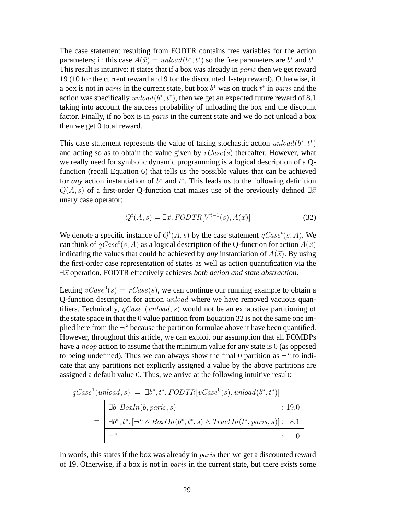The case statement resulting from FODTR contains free variables for the action parameters; in this case  $A(\vec{x}) = unload(b^*, t^*)$  so the free parameters are  $b^*$  and  $t^*$ . This result is intuitive: it states that if a box was already in *paris* then we get reward 19 (10 for the current reward and 9 for the discounted 1-step reward). Otherwise, if a box is not in *paris* in the current state, but box  $b^*$  was on truck  $t^*$  in *paris* and the action was specifically  $unload(b^*, t^*)$ , then we get an expected future reward of 8.1 taking into account the success probability of unloading the box and the discount factor. Finally, if no box is in *paris* in the current state and we do not unload a box then we get 0 total reward.

This case statement represents the value of taking stochastic action  $unload(b^*, t^*)$ and acting so as to obtain the value given by  $rCase(s)$  thereafter. However, what we really need for symbolic dynamic programming is a logical description of a Qfunction (recall Equation 6) that tells us the possible values that can be achieved for *any* action instantiation of  $b^*$  and  $t^*$ . This leads us to the following definition  $Q(A, s)$  of a first-order Q-function that makes use of the previously defined  $\exists \vec{x}$ unary case operator:

$$
Q^{t}(A,s) = \exists \vec{x}. \, FODTR[V^{t-1}(s), A(\vec{x})] \tag{32}
$$

We denote a specific instance of  $Q^t(A, s)$  by the case statement  $qCase^t(s, A)$ . We can think of  $qCase^t(s, A)$  as a logical description of the Q-function for action  $A(\vec{x})$ indicating the values that could be achieved by *any* instantiation of  $A(\vec{x})$ . By using the first-order case representation of states as well as action quantification via the ∃~x operation, FODTR effectively achieves *both action and state abstraction*.

Letting  $vCase<sup>0</sup>(s) = rCase(s)$ , we can continue our running example to obtain a Q-function description for action unload where we have removed vacuous quantifiers. Technically,  $qCase<sup>1</sup>(unload, s)$  would not be an exhaustive partitioning of the state space in that the 0 value partition from Equation 32 is not the same one implied here from the  $\neg$ " because the partition formulae above it have been quantified. However, throughout this article, we can exploit our assumption that all FOMDPs have a *noop* action to assume that the minimum value for any state is 0 (as opposed to being undefined). Thus we can always show the final 0 partition as  $\neg$ " to indicate that any partitions not explicitly assigned a value by the above partitions are assigned a default value 0. Thus, we arrive at the following intuitive result:

$$
qCase1(unload, s) = \exists b^*, t^*. FODTR[vCase0(s), unload(b^*, t^*)]
$$

| $\exists b. \,BoxIn(b, \, pairs, s)$                                                                           | : 19.0 |
|----------------------------------------------------------------------------------------------------------------|--------|
| $=  \exists b^*, t^*. \left[\neg \ulcorner \land BoxOn(b^*, t^*, s) \land TruekIn(t^*, pairs, s)\right] : 8.1$ |        |
|                                                                                                                |        |

In words, this states if the box was already in *paris* then we get a discounted reward of 19. Otherwise, if a box is not in paris in the current state, but there *exists* some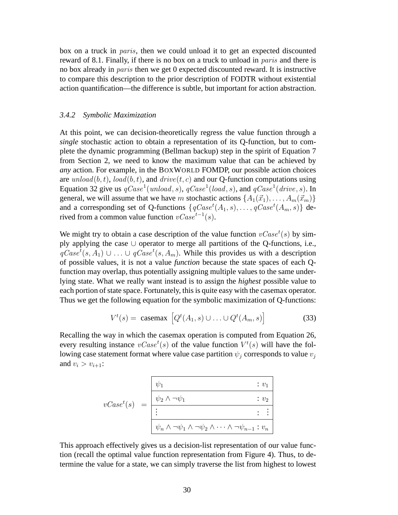box on a truck in paris, then we could unload it to get an expected discounted reward of 8.1. Finally, if there is no box on a truck to unload in *paris* and there is no box already in paris then we get 0 expected discounted reward. It is instructive to compare this description to the prior description of FODTR without existential action quantification—the difference is subtle, but important for action abstraction.

#### *3.4.2 Symbolic Maximization*

At this point, we can decision-theoretically regress the value function through a *single* stochastic action to obtain a representation of its Q-function, but to complete the dynamic programming (Bellman backup) step in the spirit of Equation 7 from Section 2, we need to know the maximum value that can be achieved by *any* action. For example, in the BOXWORLD FOMDP, our possible action choices are  $unload(b, t)$ ,  $load(b, t)$ , and  $drive(t, c)$  and our Q-function computations using Equation 32 give us  $qCase^1(unload, s)$ ,  $qCase^1(load, s)$ , and  $qCase^1(drive, s)$ . In general, we will assume that we have m stochastic actions  $\{A_1(\vec{x}_1),...,A_m(\vec{x}_m)\}$ and a corresponding set of Q-functions  $\{qCase^t(A_1, s), \ldots, qCase^t(A_m, s)\}\$  derived from a common value function  $vCase^{t-1}(s)$ .

We might try to obtain a case description of the value function  $vCase<sup>t</sup>(s)$  by simply applying the case ∪ operator to merge all partitions of the Q-functions, i.e.,  $qCase<sup>t</sup>(s, A<sub>1</sub>) \cup ... \cup qCase<sup>t</sup>(s, A<sub>m</sub>)$ . While this provides us with a description of possible values, it is not a value *function* because the state spaces of each Qfunction may overlap, thus potentially assigning multiple values to the same underlying state. What we really want instead is to assign the *highest* possible value to each portion of state space. Fortunately, this is quite easy with the casemax operator. Thus we get the following equation for the symbolic maximization of Q-functions:

$$
V^{t}(s) = \text{ casemax} \left[ Q^{t}(A_1, s) \cup \ldots \cup Q^{t}(A_m, s) \right]
$$
 (33)

Recalling the way in which the casemax operation is computed from Equation 26, every resulting instance  $vCase<sup>t</sup>(s)$  of the value function  $V<sup>t</sup>(s)$  will have the following case statement format where value case partition  $\psi_i$  corresponds to value  $v_i$ and  $v_i > v_{i+1}$ :

$$
vCase^{t}(s) = \frac{\begin{array}{|l|l|}\n\psi_1 & & \vdots & v_1 \\
\hline\n\psi_2 \wedge \neg \psi_1 & & \vdots & v_2 \\
\hline\n\vdots & & & \vdots \\
\hline\n\psi_n \wedge \neg \psi_1 \wedge \neg \psi_2 \wedge \cdots \wedge \neg \psi_{n-1} & \vdots & v_n\n\end{array}}\n\right)
$$

This approach effectively gives us a decision-list representation of our value function (recall the optimal value function representation from Figure 4). Thus, to determine the value for a state, we can simply traverse the list from highest to lowest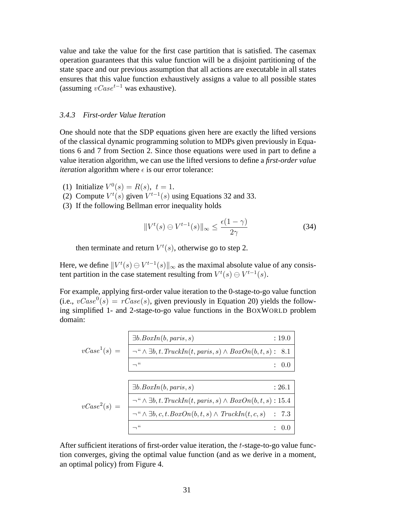value and take the value for the first case partition that is satisfied. The casemax operation guarantees that this value function will be a disjoint partitioning of the state space and our previous assumption that all actions are executable in all states ensures that this value function exhaustively assigns a value to all possible states (assuming  $vCase^{t-1}$  was exhaustive).

#### *3.4.3 First-order Value Iteration*

One should note that the SDP equations given here are exactly the lifted versions of the classical dynamic programming solution to MDPs given previously in Equations 6 and 7 from Section 2. Since those equations were used in part to define a value iteration algorithm, we can use the lifted versions to define a *first-order value iteration* algorithm where  $\epsilon$  is our error tolerance:

- (1) Initialize  $V^0(s) = R(s)$ ,  $t = 1$ .
- (2) Compute  $V^t(s)$  given  $V^{t-1}(s)$  using Equations 32 and 33.
- (3) If the following Bellman error inequality holds

$$
||V^t(s) \ominus V^{t-1}(s)||_{\infty} \le \frac{\epsilon(1-\gamma)}{2\gamma}
$$
 (34)

then terminate and return  $V^t(s)$ , otherwise go to step 2.

Here, we define  $||V^t(s) \ominus V^{t-1}(s)||_{\infty}$  as the maximal absolute value of any consistent partition in the case statement resulting from  $V^t(s) \ominus V^{t-1}(s)$ .

For example, applying first-order value iteration to the 0-stage-to-go value function (i.e.,  $vCase<sup>0</sup>(s) = rCase(s)$ , given previously in Equation 20) yields the following simplified 1- and 2-stage-to-go value functions in the BOXWORLD problem domain:

| $\exists b. BoxIn(b, pairs, s)$                                                                        | : 19.0    |
|--------------------------------------------------------------------------------------------------------|-----------|
| $vCase1(s) = \Box \neg \neg \land \exists b, t \ldotp TruekIn(t, pairs, s) \land BoxOn(b, t, s) : 8.1$ |           |
|                                                                                                        | $\pm 0.0$ |

$$
vCase2(s) = \frac{\exists b.BoxIn(b, pairs, s) : 26.1 \rightarrow " \land \exists b, t. TruckIn(t, pairs, s) \land BoxOn(b, t, s) : 15.4 \rightarrow " \land \exists b, c, t.BoxOn(b, t, s) \land TruckIn(t, c, s) : 7.3 \rightarrow " \land \exists b, c, t.BoxOn(b, t, s) \land TruckIn(t, c, s) : 7.3 \rightarrow " \land \exists b, c, t.BoxOn(b, t, s) \land TruckIn(t, c, s) : 7.3 \rightarrow " \land \exists b, c, t.BoxOn(b, t, s) \land TruckIn(t, c, s) : 0.0 \rightarrow " \land \exists b, c, t.BoxOn(b, t, s) \land TruckIn(t, c, s) : 0.0 \rightarrow " \land \exists b, c, t.BoxOn(b, t, s) \land TruckIn(t, c, s) : 0.0 \rightarrow " \land \exists b, c, t.BoxOn(b, t, s) \land TruckIn(t, c, s) : 0.0 \rightarrow " \land \exists b, c, t.BoxOn(b, t, s) \land TruckIn(t, c, s) : 0.0 \rightarrow " \land \exists b, c, t.BoxOn(b, t, s) \land TruckIn(t, c, s) : 0.0 \rightarrow " \land \exists b, c, t.BoxOn(b, t, s) \land TruckIn(t, c, s) : 0.0 \rightarrow " \land \exists b, c, t.BoxOn(b, t, s) \land TruckIn(t, c, s) : 0.0 \rightarrow " \land \exists b, c, t.BoxOn(b, t, s) \land TruckIn(t, c, s) : 0.0 \rightarrow " \land \exists b, c, t.BoxOn(b, t, s) \land TruckIn(t, c, s) : 0.0 \rightarrow " \land \exists b, c, t.BoxOn(b, t, s) \land TruckIn(t, c, s) : 0.0 \rightarrow " \land \exists b, c, t.BoxOn(b, t, s) \land TruckIn(t, c, s) : 0.0 \rightarrow " \land \exists b, c, t.BoxOn(b, t, s) \land TruckIn(t, c, s) : 0.0 \rightarrow " \land \exists b, c, t.BoxOn(b, t, s) \land TruckIn(t, c, s) : 0.0 \rightarrow " \land \exists b, c, t.BoxOn(b, t, s) \land TruckIn(t, c, s) : 0.0 \rightarrow " \land \exists b, c, t.BoxOn(b, t, s) \land Truck
$$

After sufficient iterations of first-order value iteration, the t-stage-to-go value function converges, giving the optimal value function (and as we derive in a moment, an optimal policy) from Figure 4.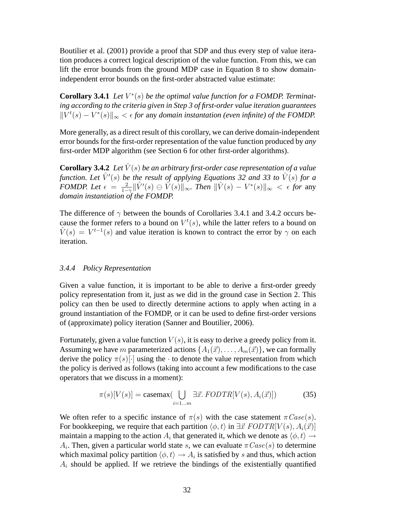Boutilier et al. (2001) provide a proof that SDP and thus every step of value iteration produces a correct logical description of the value function. From this, we can lift the error bounds from the ground MDP case in Equation 8 to show domainindependent error bounds on the first-order abstracted value estimate:

**Corollary 3.4.1** Let  $V^*(s)$  be the optimal value function for a FOMDP. Terminat*ing according to the criteria given in Step 3 of first-order value iteration guarantees*  $||V^t(s) - V^*(s)||_{\infty} < \epsilon$  *for* any *domain instantation (even infinite) of the FOMDP.* 

More generally, as a direct result of this corollary, we can derive domain-independent error bounds for the first-order representation of the value function produced by *any* first-order MDP algorithm (see Section 6 for other first-order algorithms).

**Corollary 3.4.2** *Let*  $\hat{V}(s)$  *be an arbitrary first-order case representation of a value function. Let*  $\hat{V}'(s)$  *be the result of applying Equations 32 and 33 to*  $\hat{V}(s)$  *for a FOMDP.* Let  $\epsilon = \frac{2}{1-z}$  $\frac{2}{1-\gamma}$  ||  $\hat{V}'(s)$  ⊖  $\hat{V}(s)$  ||<sub>∞</sub>. *Then* ||  $\hat{V}(s) - V^*(s)$  ||<sub>∞</sub> <  $\epsilon$  *for* any *domain instantiation of the FOMDP.*

The difference of  $\gamma$  between the bounds of Corollaries 3.4.1 and 3.4.2 occurs because the former refers to a bound on  $V^t(s)$ , while the latter refers to a bound on  $\hat{V}(s) = V^{t-1}(s)$  and value iteration is known to contract the error by  $\gamma$  on each iteration.

## *3.4.4 Policy Representation*

Given a value function, it is important to be able to derive a first-order greedy policy representation from it, just as we did in the ground case in Section 2. This policy can then be used to directly determine actions to apply when acting in a ground instantiation of the FOMDP, or it can be used to define first-order versions of (approximate) policy iteration (Sanner and Boutilier, 2006).

Fortunately, given a value function  $V(s)$ , it is easy to derive a greedy policy from it. Assuming we have m parameterized actions  $\{A_1(\vec{x}),...,A_m(\vec{x})\}$ , we can formally derive the policy  $\pi(s)[\cdot]$  using the  $\cdot$  to denote the value representation from which the policy is derived as follows (taking into account a few modifications to the case operators that we discuss in a moment):

$$
\pi(s)[V(s)] = \text{casemax}(\bigcup_{i=1...m} \exists \vec{x}. \, FODTR[V(s), A_i(\vec{x})]) \tag{35}
$$

We often refer to a specific instance of  $\pi(s)$  with the case statement  $\pi Case(s)$ . For bookkeeping, we require that each partition  $\langle \phi, t \rangle$  in  $\exists \vec{x}$  FODTR[V(s),  $A_i(\vec{x})$ ] maintain a mapping to the action  $A_i$  that generated it, which we denote as  $\langle \phi, t \rangle \rightarrow$  $A_i$ . Then, given a particular world state s, we can evaluate  $\pi Case(s)$  to determine which maximal policy partition  $\langle \phi, t \rangle \to A_i$  is satisfied by s and thus, which action  $A_i$  should be applied. If we retrieve the bindings of the existentially quantified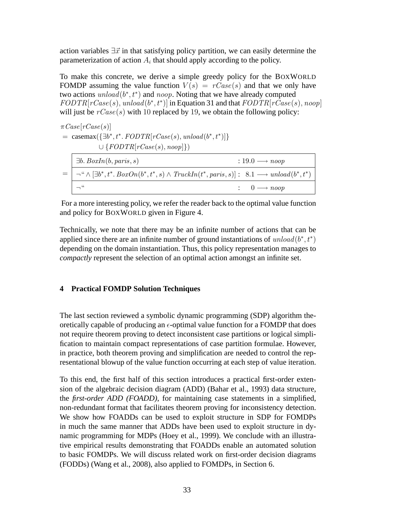action variables  $\exists \vec{x}$  in that satisfying policy partition, we can easily determine the parameterization of action  $A_i$  that should apply according to the policy.

To make this concrete, we derive a simple greedy policy for the BOXWORLD FOMDP assuming the value function  $V(s) = rCase(s)$  and that we only have two actions  $unload(b^*, t^*)$  and  $nop.$  Noting that we have already computed  $FODTR[rcase(s), unload(b^*, t^*)]$  in Equation 31 and that  $FODTR[rcase(s), noop]$ will just be  $rCase(s)$  with 10 replaced by 19, we obtain the following policy:

$$
\pi Case[rCase(s)]
$$
\n
$$
= \text{casemax}(\{\exists b^*, t^*.FODTR[rCase(s), unload(b^*, t^*)]\}
$$
\n
$$
\cup \{FODTR[rCase(s), noop]\})
$$
\n
$$
= \boxed{\frac{\exists b. BoxIn(b, pairs, s)}{\neg " \land [\exists b^*, t^*.BoxOn(b^*, t^*, s) \land TruckIn(t^*, pairs, s)] : 8.1 \longrightarrow unload(b^*, t^*)}
$$
\n
$$
= \boxed{\neg " \land [\exists b^*, t^*.BoxOn(b^*, t^*, s) \land TruckIn(t^*, pairs, s)] : 8.1 \longrightarrow unload(b^*, t^*)}
$$
\n
$$
= \boxed{\neg " \land [\exists b^*, t^*.BoxOn(b^*, t^*, s) \land TruckIn(t^*, pairs, s)] : 8.1 \longrightarrow unload(b^*, t^*)}
$$

For a more interesting policy, we refer the reader back to the optimal value function and policy for BOXWORLD given in Figure 4.

Technically, we note that there may be an infinite number of actions that can be applied since there are an infinite number of ground instantiations of  $unload(b^*, t^*)$ depending on the domain instantiation. Thus, this policy representation manages to *compactly* represent the selection of an optimal action amongst an infinite set.

# **4 Practical FOMDP Solution Techniques**

The last section reviewed a symbolic dynamic programming (SDP) algorithm theoretically capable of producing an  $\epsilon$ -optimal value function for a FOMDP that does not require theorem proving to detect inconsistent case partitions or logical simplification to maintain compact representations of case partition formulae. However, in practice, both theorem proving and simplification are needed to control the representational blowup of the value function occurring at each step of value iteration.

To this end, the first half of this section introduces a practical first-order extension of the algebraic decision diagram (ADD) (Bahar et al., 1993) data structure, the *first-order ADD (FOADD)*, for maintaining case statements in a simplified, non-redundant format that facilitates theorem proving for inconsistency detection. We show how FOADDs can be used to exploit structure in SDP for FOMDPs in much the same manner that ADDs have been used to exploit structure in dynamic programming for MDPs (Hoey et al., 1999). We conclude with an illustrative empirical results demonstrating that FOADDs enable an automated solution to basic FOMDPs. We will discuss related work on first-order decision diagrams (FODDs) (Wang et al., 2008), also applied to FOMDPs, in Section 6.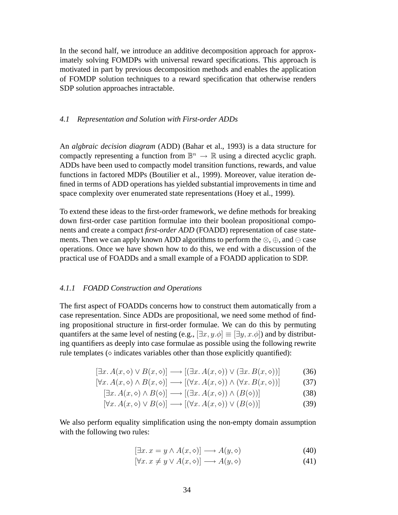In the second half, we introduce an additive decomposition approach for approximately solving FOMDPs with universal reward specifications. This approach is motivated in part by previous decomposition methods and enables the application of FOMDP solution techniques to a reward specification that otherwise renders SDP solution approaches intractable.

#### *4.1 Representation and Solution with First-order ADDs*

An *algbraic decision diagram* (ADD) (Bahar et al., 1993) is a data structure for compactly representing a function from  $\mathbb{B}^n \to \mathbb{R}$  using a directed acyclic graph. ADDs have been used to compactly model transition functions, rewards, and value functions in factored MDPs (Boutilier et al., 1999). Moreover, value iteration defined in terms of ADD operations has yielded substantial improvements in time and space complexity over enumerated state representations (Hoey et al., 1999).

To extend these ideas to the first-order framework, we define methods for breaking down first-order case partition formulae into their boolean propositional components and create a compact *first-order ADD* (FOADD) representation of case statements. Then we can apply known ADD algorithms to perform the  $\otimes$ ,  $\oplus$ , and  $\ominus$  case operations. Once we have shown how to do this, we end with a discussion of the practical use of FOADDs and a small example of a FOADD application to SDP.

#### *4.1.1 FOADD Construction and Operations*

The first aspect of FOADDs concerns how to construct them automatically from a case representation. Since ADDs are propositional, we need some method of finding propositional structure in first-order formulae. We can do this by permuting quantifers at the same level of nesting (e.g.,  $[\exists x, y \phi] \equiv [\exists y, x \phi]$ ) and by distributing quantifiers as deeply into case formulae as possible using the following rewrite rule templates ( $\diamond$  indicates variables other than those explicitly quantified):

$$
[\exists x. A(x, \diamond) \lor B(x, \diamond)] \longrightarrow [(\exists x. A(x, \diamond)) \lor (\exists x. B(x, \diamond))]
$$
(36)

$$
[\forall x. A(x, \diamond) \land B(x, \diamond)] \longrightarrow [(\forall x. A(x, \diamond)) \land (\forall x. B(x, \diamond))]
$$
(37)

$$
[\exists x. A(x, \diamond) \land B(\diamond)] \longrightarrow [(\exists x. A(x, \diamond)) \land (B(\diamond))]
$$
\n(38)

$$
[\forall x. A(x, \diamond) \lor B(\diamond)] \longrightarrow [(\forall x. A(x, \diamond)) \lor (B(\diamond))]
$$
\n(39)

We also perform equality simplification using the non-empty domain assumption with the following two rules:

$$
[\exists x. \, x = y \land A(x, \diamond)] \longrightarrow A(y, \diamond) \tag{40}
$$

$$
[\forall x. \ x \neq y \lor A(x, \diamond)] \longrightarrow A(y, \diamond) \tag{41}
$$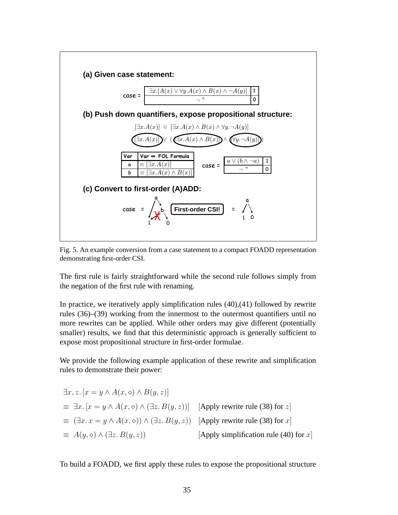

Fig. 5. An example conversion from a case statement to a compact FOADD representation demonstrating first-order CSI.

The first rule is fairly straightforward while the second rule follows simply from the negation of the first rule with renaming.

In practice, we iteratively apply simplification rules (40),(41) followed by rewrite rules (36)–(39) working from the innermost to the outermost quantifiers until no more rewrites can be applied. While other orders may give different (potentially smaller) results, we find that this deterministic approach is generally sufficient to expose most propositional structure in first-order formulae.

We provide the following example application of these rewrite and simplification rules to demonstrate their power:

$$
\exists x, z. [x = y \land A(x, \diamond) \land B(y, z)]
$$
  
\n
$$
\equiv \exists x. [x = y \land A(x, \diamond) \land (\exists z. B(y, z))] \quad [\text{Apply rewrite rule (38) for } z]
$$
  
\n
$$
\equiv (\exists x. x = y \land A(x, \diamond)) \land (\exists z. B(y, z)) \quad [\text{Apply rewrite rule (38) for } x]
$$
  
\n
$$
\equiv A(y, \diamond) \land (\exists z. B(y, z)) \quad [\text{Apply simplification rule (40) for } x]
$$

To build a FOADD, we first apply these rules to expose the propositional structure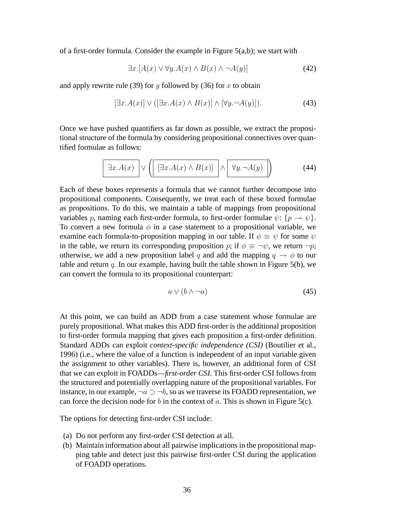of a first-order formula. Consider the example in Figure 5(a,b); we start with

$$
\exists x. [A(x) \lor \forall y. A(x) \land B(x) \land \neg A(y)] \tag{42}
$$

and apply rewrite rule (39) for y followed by (36) for x to obtain

$$
[\exists x.A(x)] \lor ([\exists x.A(x) \land B(x)] \land [\forall y.\neg A(y)]). \tag{43}
$$

Once we have pushed quantifiers as far down as possible, we extract the propositional structure of the formula by considering propositional connectives over quantified formulae as follows:

$$
\boxed{\exists x.A(x)} \lor \left( \boxed{[\exists x.A(x) \land B(x)]} \land \boxed{\forall y.\neg A(y)} \right) \tag{44}
$$

Each of these boxes represents a formula that we cannot further decompose into propositional components. Consequently, we treat each of these boxed formulae as propositions. To do this, we maintain a table of mappings from propositional variables p, naming each first-order formula, to first-order formulae  $\psi$ :  $\{p \to \psi\}$ . To convert a new formula  $\phi$  in a case statement to a propositional variable, we examine each formula-to-proposition mapping in our table. If  $\phi \equiv \psi$  for some  $\psi$ in the table, we return its corresponding proposition p; if  $\phi \equiv \neg \psi$ , we return  $\neg p$ ; otherwise, we add a new proposition label q and add the mapping  $q \rightarrow \phi$  to our table and return  $q$ . In our example, having built the table shown in Figure 5(b), we can convert the formula to its propositional counterpart:

$$
a \vee (b \wedge \neg a) \tag{45}
$$

At this point, we can build an ADD from a case statement whose formulae are purely propositional. What makes this ADD first-order is the additional proposition to first-order formula mapping that gives each proposition a first-order definition. Standard ADDs can exploit *context-specific independence (CSI)* (Boutilier et al., 1996) (i.e., where the value of a function is independent of an input variable given the assignment to other variables). There is, however, an additional form of CSI that we can exploit in FOADDs—*first-order CSI*. This first-order CSI follows from the structured and potentially overlapping nature of the propositional variables. For instance, in our example,  $\neg a \supset \neg b$ , so as we traverse its FOADD representation, we can force the decision node for b in the context of a. This is shown in Figure 5(c).

The options for detecting first-order CSI include:

- (a) Do not perform any first-order CSI detection at all.
- (b) Maintain information about all pairwise implications in the propositional mapping table and detect just this pairwise first-order CSI during the application of FOADD operations.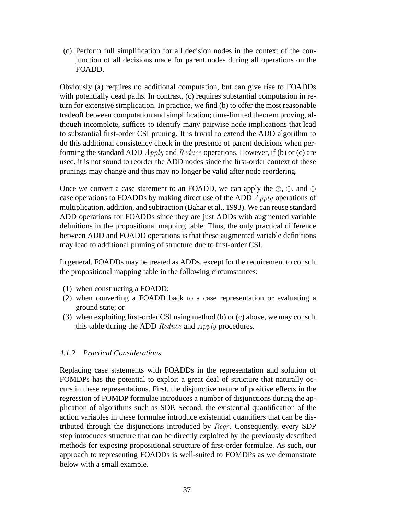(c) Perform full simplification for all decision nodes in the context of the conjunction of all decisions made for parent nodes during all operations on the FOADD.

Obviously (a) requires no additional computation, but can give rise to FOADDs with potentially dead paths. In contrast, (c) requires substantial computation in return for extensive simplication. In practice, we find (b) to offer the most reasonable tradeoff between computation and simplification; time-limited theorem proving, although incomplete, suffices to identify many pairwise node implications that lead to substantial first-order CSI pruning. It is trivial to extend the ADD algorithm to do this additional consistency check in the presence of parent decisions when performing the standard ADD  $Apply$  and  $Reduce$  operations. However, if (b) or (c) are used, it is not sound to reorder the ADD nodes since the first-order context of these prunings may change and thus may no longer be valid after node reordering.

Once we convert a case statement to an FOADD, we can apply the  $\otimes$ ,  $\oplus$ , and  $\ominus$ case operations to FOADDs by making direct use of the ADD Apply operations of multiplication, addition, and subtraction (Bahar et al., 1993). We can reuse standard ADD operations for FOADDs since they are just ADDs with augmented variable definitions in the propositional mapping table. Thus, the only practical difference between ADD and FOADD operations is that these augmented variable definitions may lead to additional pruning of structure due to first-order CSI.

In general, FOADDs may be treated as ADDs, except for the requirement to consult the propositional mapping table in the following circumstances:

- (1) when constructing a FOADD;
- (2) when converting a FOADD back to a case representation or evaluating a ground state; or
- (3) when exploiting first-order CSI using method (b) or (c) above, we may consult this table during the ADD Reduce and Apply procedures.

# *4.1.2 Practical Considerations*

Replacing case statements with FOADDs in the representation and solution of FOMDPs has the potential to exploit a great deal of structure that naturally occurs in these representations. First, the disjunctive nature of positive effects in the regression of FOMDP formulae introduces a number of disjunctions during the application of algorithms such as SDP. Second, the existential quantification of the action variables in these formulae introduce existential quantifiers that can be distributed through the disjunctions introduced by  $Reqr$ . Consequently, every SDP step introduces structure that can be directly exploited by the previously described methods for exposing propositional structure of first-order formulae. As such, our approach to representing FOADDs is well-suited to FOMDPs as we demonstrate below with a small example.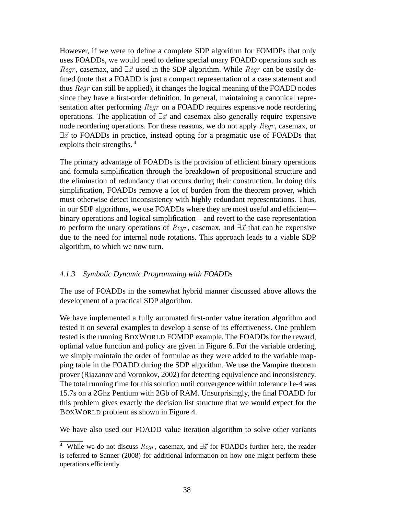However, if we were to define a complete SDP algorithm for FOMDPs that only uses FOADDs, we would need to define special unary FOADD operations such as Regr, casemax, and  $\exists \vec{x}$  used in the SDP algorithm. While Regr can be easily defined (note that a FOADD is just a compact representation of a case statement and thus Regr can still be applied), it changes the logical meaning of the FOADD nodes since they have a first-order definition. In general, maintaining a canonical representation after performing *Regr* on a FOADD requires expensive node reordering operations. The application of  $\exists \vec{x}$  and casemax also generally require expensive node reordering operations. For these reasons, we do not apply Reqr, casemax, or  $\exists \vec{x}$  to FOADDs in practice, instead opting for a pragmatic use of FOADDs that exploits their strengths. <sup>4</sup>

The primary advantage of FOADDs is the provision of efficient binary operations and formula simplification through the breakdown of propositional structure and the elimination of redundancy that occurs during their construction. In doing this simplification, FOADDs remove a lot of burden from the theorem prover, which must otherwise detect inconsistency with highly redundant representations. Thus, in our SDP algorithms, we use FOADDs where they are most useful and efficient binary operations and logical simplification—and revert to the case representation to perform the unary operations of Regr, casemax, and  $\exists \vec{x}$  that can be expensive due to the need for internal node rotations. This approach leads to a viable SDP algorithm, to which we now turn.

# *4.1.3 Symbolic Dynamic Programming with FOADDs*

The use of FOADDs in the somewhat hybrid manner discussed above allows the development of a practical SDP algorithm.

We have implemented a fully automated first-order value iteration algorithm and tested it on several examples to develop a sense of its effectiveness. One problem tested is the running BOXWORLD FOMDP example. The FOADDs for the reward, optimal value function and policy are given in Figure 6. For the variable ordering, we simply maintain the order of formulae as they were added to the variable mapping table in the FOADD during the SDP algorithm. We use the Vampire theorem prover (Riazanov and Voronkov, 2002) for detecting equivalence and inconsistency. The total running time for this solution until convergence within tolerance 1e-4 was 15.7s on a 2Ghz Pentium with 2Gb of RAM. Unsurprisingly, the final FOADD for this problem gives exactly the decision list structure that we would expect for the BOXWORLD problem as shown in Figure 4.

We have also used our FOADD value iteration algorithm to solve other variants

<sup>&</sup>lt;sup>4</sup> While we do not discuss *Regr*, casemax, and  $\exists \vec{x}$  for FOADDs further here, the reader is referred to Sanner (2008) for additional information on how one might perform these operations efficiently.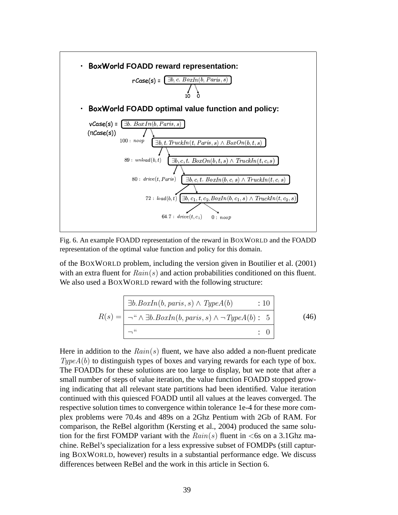

Fig. 6. An example FOADD representation of the reward in BOXWORLD and the FOADD representation of the optimal value function and policy for this domain.

of the BOXWORLD problem, including the version given in Boutilier et al. (2001) with an extra fluent for  $Rain(s)$  and action probabilities conditioned on this fluent. We also used a BOXWORLD reward with the following structure:

$$
R(s) = \frac{\exists b.BoxIn(b, pairs, s) \land TypeA(b) : 10}{\neg " \land \exists b.BoxIn(b, pairs, s) \land \neg TypeA(b) : 5}
$$
\n
$$
\neg " \qquad : 0
$$
\n(46)

Here in addition to the  $Rain(s)$  fluent, we have also added a non-fluent predicate  $TypeA(b)$  to distinguish types of boxes and varying rewards for each type of box. The FOADDs for these solutions are too large to display, but we note that after a small number of steps of value iteration, the value function FOADD stopped growing indicating that all relevant state partitions had been identified. Value iteration continued with this quiesced FOADD until all values at the leaves converged. The respective solution times to convergence within tolerance 1e-4 for these more complex problems were 70.4s and 489s on a 2Ghz Pentium with 2Gb of RAM. For comparison, the ReBel algorithm (Kersting et al., 2004) produced the same solution for the first FOMDP variant with the  $Rain(s)$  fluent in <6s on a 3.1Ghz machine. ReBel's specialization for a less expressive subset of FOMDPs (still capturing BOXWORLD, however) results in a substantial performance edge. We discuss differences between ReBel and the work in this article in Section 6.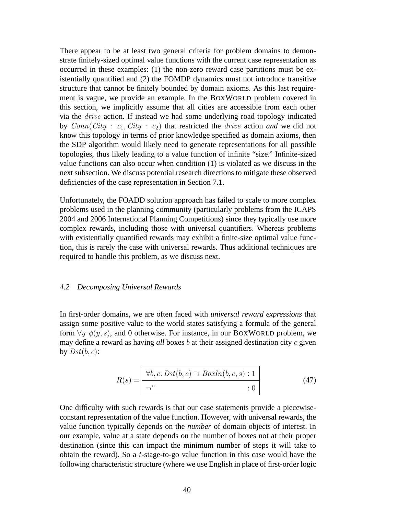There appear to be at least two general criteria for problem domains to demonstrate finitely-sized optimal value functions with the current case representation as occurred in these examples: (1) the non-zero reward case partitions must be existentially quantified and (2) the FOMDP dynamics must not introduce transitive structure that cannot be finitely bounded by domain axioms. As this last requirement is vague, we provide an example. In the BOXWORLD problem covered in this section, we implicitly assume that all cities are accessible from each other via the drive action. If instead we had some underlying road topology indicated by  $Conn(City : c_1, City : c_2)$  that restricted the *drive* action *and* we did not know this topology in terms of prior knowledge specified as domain axioms, then the SDP algorithm would likely need to generate representations for all possible topologies, thus likely leading to a value function of infinite "size." Infinite-sized value functions can also occur when condition (1) is violated as we discuss in the next subsection. We discuss potential research directions to mitigate these observed deficiencies of the case representation in Section 7.1.

Unfortunately, the FOADD solution approach has failed to scale to more complex problems used in the planning community (particularly problems from the ICAPS 2004 and 2006 International Planning Competitions) since they typically use more complex rewards, including those with universal quantifiers. Whereas problems with existentially quantified rewards may exhibit a finite-size optimal value function, this is rarely the case with universal rewards. Thus additional techniques are required to handle this problem, as we discuss next.

### *4.2 Decomposing Universal Rewards*

In first-order domains, we are often faced with *universal reward expressions* that assign some positive value to the world states satisfying a formula of the general form  $\forall y \phi(y, s)$ , and 0 otherwise. For instance, in our BOXWORLD problem, we may define a reward as having *all* boxes b at their assigned destination city c given by  $Dst(b, c)$ :

$$
R(s) = \frac{\forall b, c. Dst(b, c) \supset BoxIn(b, c, s) : 1}{\neg^{u}} \qquad (47)
$$

One difficulty with such rewards is that our case statements provide a piecewiseconstant representation of the value function. However, with universal rewards, the value function typically depends on the *number* of domain objects of interest. In our example, value at a state depends on the number of boxes not at their proper destination (since this can impact the minimum number of steps it will take to obtain the reward). So a t-stage-to-go value function in this case would have the following characteristic structure (where we use English in place of first-order logic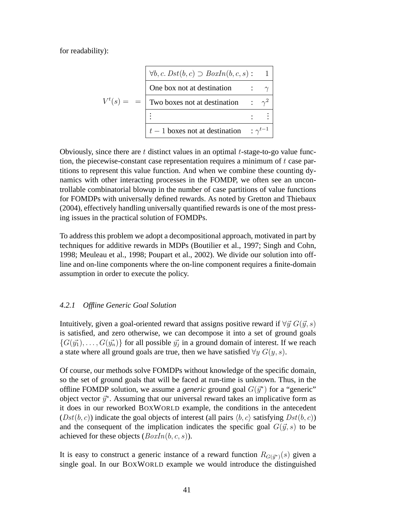for readability):

|              | $\forall b, c. \, Dst(b, c) \supset BoxIn(b, c, s) : \quad 1$ |  |
|--------------|---------------------------------------------------------------|--|
|              | One box not at destination                                    |  |
| $V^t(s) = =$ | Two boxes not at destination $\therefore \gamma^2$            |  |
|              |                                                               |  |
|              | $t-1$ boxes not at destination : $\gamma^{t-1}$               |  |

Obviously, since there are t distinct values in an optimal  $t$ -stage-to-go value function, the piecewise-constant case representation requires a minimum of  $t$  case partitions to represent this value function. And when we combine these counting dynamics with other interacting processes in the FOMDP, we often see an uncontrollable combinatorial blowup in the number of case partitions of value functions for FOMDPs with universally defined rewards. As noted by Gretton and Thiebaux (2004), effectively handling universally quantified rewards is one of the most pressing issues in the practical solution of FOMDPs.

To address this problem we adopt a decompositional approach, motivated in part by techniques for additive rewards in MDPs (Boutilier et al., 1997; Singh and Cohn, 1998; Meuleau et al., 1998; Poupart et al., 2002). We divide our solution into offline and on-line components where the on-line component requires a finite-domain assumption in order to execute the policy.

# *4.2.1 Offline Generic Goal Solution*

Intuitively, given a goal-oriented reward that assigns positive reward if  $\forall \vec{y} G(\vec{y},s)$ is satisfied, and zero otherwise, we can decompose it into a set of ground goals  $\{G(\vec{y_1}), \ldots, G(\vec{y_n})\}$  for all possible  $\vec{y_j}$  in a ground domain of interest. If we reach a state where all ground goals are true, then we have satisfied  $\forall y \ G(y, s)$ .

Of course, our methods solve FOMDPs without knowledge of the specific domain, so the set of ground goals that will be faced at run-time is unknown. Thus, in the offline FOMDP solution, we assume a *generic* ground goal  $G(\vec{y}^*)$  for a "generic" object vector  $\vec{y}^*$ . Assuming that our universal reward takes an implicative form as it does in our reworked BOXWORLD example, the conditions in the antecedent  $(Dst(b, c))$  indicate the goal objects of interest (all pairs  $\langle b, c \rangle$  satisfying  $Dst(b, c)$ ) and the consequent of the implication indicates the specific goal  $G(\vec{y},s)$  to be achieved for these objects  $(BoxIn(b, c, s))$ .

It is easy to construct a generic instance of a reward function  $R_{G(\vec{y}^*)}(s)$  given a single goal. In our BOXWORLD example we would introduce the distinguished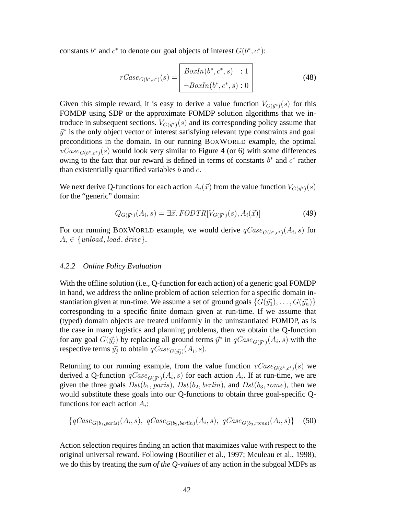constants  $b^*$  and  $c^*$  to denote our goal objects of interest  $G(b^*, c^*)$ :

$$
rCase_{G(b^*,c^*)}(s) = \frac{BoxIn(b^*,c^*,s) : 1}{\neg BoxIn(b^*,c^*,s) : 0}
$$
\n(48)

Given this simple reward, it is easy to derive a value function  $V_{G(\vec{y}^*)}(s)$  for this FOMDP using SDP or the approximate FOMDP solution algorithms that we introduce in subsequent sections.  $V_{G(\vec{y}^*)}(s)$  and its corresponding policy assume that  $\vec{y}^*$  is the only object vector of interest satisfying relevant type constraints and goal preconditions in the domain. In our running BOXWORLD example, the optimal  $\textit{vCase}_{G(b^*,c^*)}(s)$  would look very similar to Figure 4 (or 6) with some differences owing to the fact that our reward is defined in terms of constants  $b^*$  and  $c^*$  rather than existentially quantified variables  $b$  and  $c$ .

We next derive Q-functions for each action  $A_i(\vec{x})$  from the value function  $V_{G(\vec{y}^*)}(s)$ for the "generic" domain:

$$
Q_{G(\vec{y}^*)}(A_i, s) = \exists \vec{x}. \, FODTR[V_{G(\vec{y}^*)}(s), A_i(\vec{x})] \tag{49}
$$

For our running BOXWORLD example, we would derive  $qCase_{G(b^*,c^*)}(A_i,s)$  for  $A_i \in \{unload, load, drive\}.$ 

#### *4.2.2 Online Policy Evaluation*

With the offline solution (i.e., Q-function for each action) of a generic goal FOMDP in hand, we address the online problem of action selection for a specific domain instantiation given at run-time. We assume a set of ground goals  $\{G(\vec{y_1}), \ldots, G(\vec{y_n})\}$ corresponding to a specific finite domain given at run-time. If we assume that (typed) domain objects are treated uniformly in the uninstantiated FOMDP, as is the case in many logistics and planning problems, then we obtain the Q-function for any goal  $G(\vec{y}_j)$  by replacing all ground terms  $\vec{y}^*$  in  $qCase_{G(\vec{y}^*)}(A_i, s)$  with the respective terms  $y_j$  to obtain  $qCase_{G(y_j)}(A_i, s)$ .

Returning to our running example, from the value function  $vCase_{G(b^*,c^*)}(s)$  we derived a Q-function  $qCase_{G(\vec{y}^*)}(A_i, s)$  for each action  $A_i$ . If at run-time, we are given the three goals  $Dst(b_1, \text{paris})$ ,  $Dst(b_2, \text{berlin})$ , and  $Dst(b_3, \text{rome})$ , then we would substitute these goals into our Q-functions to obtain three goal-specific Qfunctions for each action  $A_i$ :

$$
\{qCase_{G(b_1,paris)}(A_i, s), qCase_{G(b_2,berlin)}(A_i, s), qCase_{G(b_3,rome)}(A_i, s)\}\quad (50)
$$

Action selection requires finding an action that maximizes value with respect to the original universal reward. Following (Boutilier et al., 1997; Meuleau et al., 1998), we do this by treating the *sum of the Q-values* of any action in the subgoal MDPs as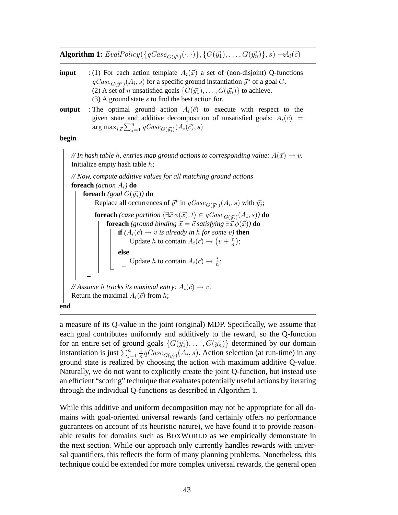${\bf Algorithm~1:} \, EvalPolicy(\{qCase}_{G(\vec y^*)}(\cdot,\cdot)\}, \{G(\vec{y_1}),\ldots,G(\vec{y_n})\}, s) \rightarrow$   $\!A_i(\vec c)$ 

- **input** : (1) For each action template  $A_i(\vec{x})$  a set of (non-disjoint) Q-functions  $qCase_{G(\vec{y}^*)}(A_i, s)$  for a specific ground instantiation  $\vec{y}^*$  of a goal G. (2) A set of *n* unsatisfied goals  $\{G(\vec{y_1}), \ldots, G(\vec{y_n})\}$  to achieve. (3) A ground state s to find the best action for.
- **output** : The optimal ground action  $A_i(\vec{c})$  to execute with respect to the given state and additive decomposition of unsatisfied goals:  $A_i(\vec{c})$  =  $\arg\max_{i,\vec{c}} \sum_{j=1}^n\overline{q} \overline{\mathit{Case}}_{G(\vec{y_j})}(A_i(\vec{c}),s)$

#### **begin**

// In hash table h, entries map ground actions to corresponding value:  $A(\vec{x}) \rightarrow v$ . Initialize empty hash table  $h$ ;

**if**  $(A_i(\vec{c}) \rightarrow v$  *is already in h for some v*) **then** 

 $\frac{t}{n}$ );

```
// Now, compute additive values for all matching ground actions
foreach (action A_i) do
      foreach (g \circ al \ G(\vec{y_i})) do
            Replace all occurrences of \vec{y}^* in qCase_{G(\vec{y}^*)}(A_i, s) with \vec{y}_j;
            {\bf forceach} (case partition \langle \exists \vec{x} \, \phi(\vec{x}), t \rangle \in qCase_{G(\vec{y_j})}(A_i, s) ) {\bf do}foreach (ground binding \vec{x} = \vec{c} satisfying \exists \vec{x} \phi(\vec{x})) do
```

```
Update h to contain A_i(\vec{c}) \rightarrow (v + \frac{t}{n})else
```

```
Update h to contain A_i(\vec{c}) \rightarrow \frac{t}{n};
```

```
// Assume h tracks its maximal entry: A_i(\vec{c}) \rightarrow v.
Return the maximal A_i(\vec{c}) from h;
```


a measure of its Q-value in the joint (original) MDP. Specifically, we assume that each goal contributes uniformly and additively to the reward, so the Q-function for an entire set of ground goals  $\{G(\vec{y}_1),...,G(\vec{y}_n)\}\$  determined by our domain instantiation is just  $\sum_{j=1}^n \frac{1}{n}$  $\frac{1}{n}qCase_{G(\vec{y_j})}(A_i, s)$ . Action selection (at run-time) in any ground state is realized by choosing the action with maximum additive Q-value. Naturally, we do not want to explicitly create the joint Q-function, but instead use an efficient "scoring" technique that evaluates potentially useful actions by iterating through the individual Q-functions as described in Algorithm 1.

While this additive and uniform decomposition may not be appropriate for all domains with goal-oriented universal rewards (and certainly offers no performance guarantees on account of its heuristic nature), we have found it to provide reasonable results for domains such as BOXWORLD as we empirically demonstrate in the next section. While our approach only currently handles rewards with universal quantifiers, this reflects the form of many planning problems. Nonetheless, this technique could be extended for more complex universal rewards, the general open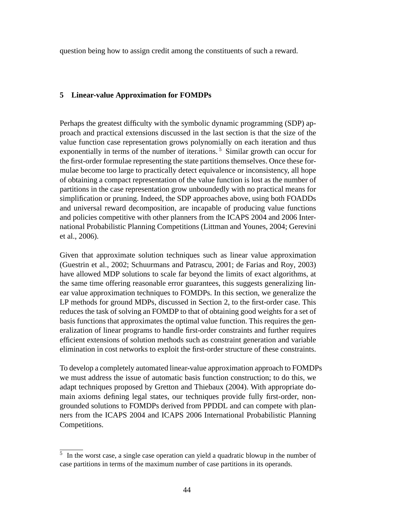question being how to assign credit among the constituents of such a reward.

# **5 Linear-value Approximation for FOMDPs**

Perhaps the greatest difficulty with the symbolic dynamic programming (SDP) approach and practical extensions discussed in the last section is that the size of the value function case representation grows polynomially on each iteration and thus exponentially in terms of the number of iterations.<sup>5</sup> Similar growth can occur for the first-order formulae representing the state partitions themselves. Once these formulae become too large to practically detect equivalence or inconsistency, all hope of obtaining a compact representation of the value function is lost as the number of partitions in the case representation grow unboundedly with no practical means for simplification or pruning. Indeed, the SDP approaches above, using both FOADDs and universal reward decomposition, are incapable of producing value functions and policies competitive with other planners from the ICAPS 2004 and 2006 International Probabilistic Planning Competitions (Littman and Younes, 2004; Gerevini et al., 2006).

Given that approximate solution techniques such as linear value approximation (Guestrin et al., 2002; Schuurmans and Patrascu, 2001; de Farias and Roy, 2003) have allowed MDP solutions to scale far beyond the limits of exact algorithms, at the same time offering reasonable error guarantees, this suggests generalizing linear value approximation techniques to FOMDPs. In this section, we generalize the LP methods for ground MDPs, discussed in Section 2, to the first-order case. This reduces the task of solving an FOMDP to that of obtaining good weights for a set of basis functions that approximates the optimal value function. This requires the generalization of linear programs to handle first-order constraints and further requires efficient extensions of solution methods such as constraint generation and variable elimination in cost networks to exploit the first-order structure of these constraints.

To develop a completely automated linear-value approximation approach to FOMDPs we must address the issue of automatic basis function construction; to do this, we adapt techniques proposed by Gretton and Thiebaux (2004). With appropriate domain axioms defining legal states, our techniques provide fully first-order, nongrounded solutions to FOMDPs derived from PPDDL and can compete with planners from the ICAPS 2004 and ICAPS 2006 International Probabilistic Planning Competitions.

<sup>&</sup>lt;sup>5</sup> In the worst case, a single case operation can yield a quadratic blowup in the number of case partitions in terms of the maximum number of case partitions in its operands.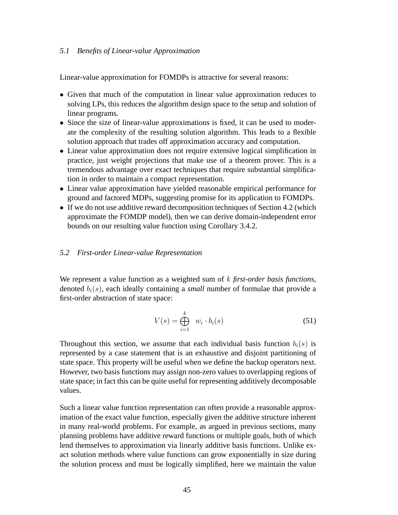#### *5.1 Benefits of Linear-value Approximation*

Linear-value approximation for FOMDPs is attractive for several reasons:

- Given that much of the computation in linear value approximation reduces to solving LPs, this reduces the algorithm design space to the setup and solution of linear programs.
- Since the size of linear-value approximations is fixed, it can be used to moderate the complexity of the resulting solution algorithm. This leads to a flexible solution approach that trades off approximation accuracy and computation.
- Linear value approximation does not require extensive logical simplification in practice, just weight projections that make use of a theorem prover. This is a tremendous advantage over exact techniques that require substantial simplification in order to maintain a compact representation.
- Linear value approximation have yielded reasonable empirical performance for ground and factored MDPs, suggesting promise for its application to FOMDPs.
- If we do not use additive reward decomposition techniques of Section 4.2 (which approximate the FOMDP model), then we can derive domain-independent error bounds on our resulting value function using Corollary 3.4.2.

#### *5.2 First-order Linear-value Representation*

We represent a value function as a weighted sum of k *first-order basis functions*, denoted  $b_i(s)$ , each ideally containing a *small* number of formulae that provide a first-order abstraction of state space:

$$
V(s) = \bigoplus_{i=1}^{k} w_i \cdot b_i(s) \tag{51}
$$

Throughout this section, we assume that each individual basis function  $b_i(s)$  is represented by a case statement that is an exhaustive and disjoint partitioning of state space. This property will be useful when we define the backup operators next. However, two basis functions may assign non-zero values to overlapping regions of state space; in fact this can be quite useful for representing additively decomposable values.

Such a linear value function representation can often provide a reasonable approximation of the exact value function, especially given the additive structure inherent in many real-world problems. For example, as argued in previous sections, many planning problems have additive reward functions or multiple goals, both of which lend themselves to approximation via linearly additive basis functions. Unlike exact solution methods where value functions can grow exponentially in size during the solution process and must be logically simplified, here we maintain the value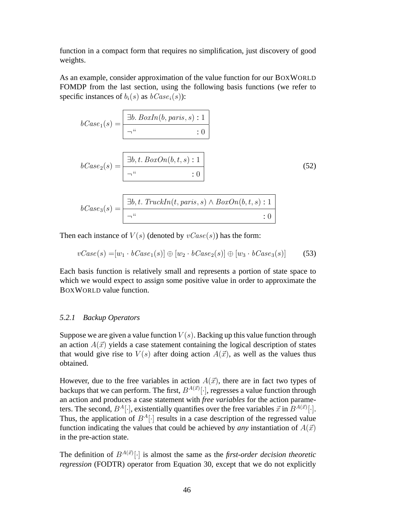function in a compact form that requires no simplification, just discovery of good weights.

As an example, consider approximation of the value function for our BOXWORLD FOMDP from the last section, using the following basis functions (we refer to specific instances of  $b_i(s)$  as  $bCase_i(s)$ :

$$
bCase_1(s) = \frac{\boxed{\exists b. BoxIn(b, pairs, s) : 1}}{\negu} : 0
$$

$$
bCase_2(s) = \boxed{\frac{\exists b, t. BoxOn(b, t, s) : 1}{\negu} : 0}
$$
(52)

$$
bCase_3(s) = \frac{\exists b, t. \; TruckIn(t, \, pairs, s) \land BoxOn(b, t, s) : 1}{\neg\text{``}} : 0
$$

Then each instance of  $V(s)$  (denoted by  $vCase(s)$ ) has the form:

$$
vCase(s) = [w_1 \cdot bCase_1(s)] \oplus [w_2 \cdot bCase_2(s)] \oplus [w_3 \cdot bCase_3(s)] \tag{53}
$$

Each basis function is relatively small and represents a portion of state space to which we would expect to assign some positive value in order to approximate the BOXWORLD value function.

### *5.2.1 Backup Operators*

Suppose we are given a value function  $V(s)$ . Backing up this value function through an action  $A(\vec{x})$  yields a case statement containing the logical description of states that would give rise to  $V(s)$  after doing action  $A(\vec{x})$ , as well as the values thus obtained.

However, due to the free variables in action  $A(\vec{x})$ , there are in fact two types of backups that we can perform. The first,  $B^{A(\vec{x})}[\cdot]$ , regresses a value function through an action and produces a case statement with *free variables* for the action parameters. The second,  $B^A[\cdot]$ , existentially quantifies over the free variables  $\vec{x}$  in  $B^{A(\vec{x})}[\cdot]$ . Thus, the application of  $B^A[\cdot]$  results in a case description of the regressed value function indicating the values that could be achieved by *any* instantiation of  $A(\vec{x})$ in the pre-action state.

The definition of  $B^{A(\vec{x})}[\cdot]$  is almost the same as the *first-order decision theoretic regression* (FODTR) operator from Equation 30, except that we do not explicitly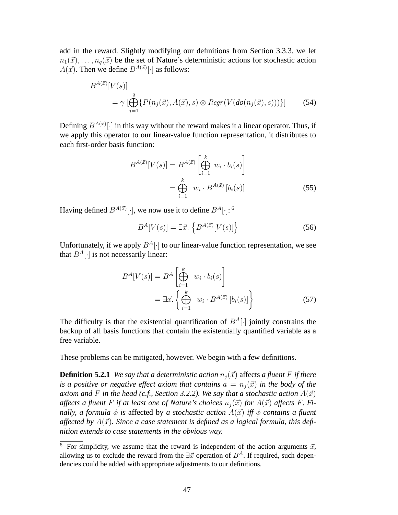add in the reward. Slightly modifying our definitions from Section 3.3.3, we let  $n_1(\vec{x}),\ldots,n_q(\vec{x})$  be the set of Nature's deterministic actions for stochastic action  $A(\vec{x})$ . Then we define  $B^{A(\vec{x})}[\cdot]$  as follows:

$$
B^{A(\vec{x})}[V(s)]
$$
  
=  $\gamma \left[ \bigoplus_{j=1}^{q} \{ P(n_j(\vec{x}), A(\vec{x}), s) \otimes Regr(V(do(n_j(\vec{x}), s))) \} \right]$  (54)

Defining  $B^{A(\vec{x})}[\cdot]$  in this way without the reward makes it a linear operator. Thus, if we apply this operator to our linear-value function representation, it distributes to each first-order basis function:

$$
B^{A(\vec{x})}[V(s)] = B^{A(\vec{x})} \left[ \bigoplus_{i=1}^{k} w_i \cdot b_i(s) \right]
$$

$$
= \bigoplus_{i=1}^{k} w_i \cdot B^{A(\vec{x})} [b_i(s)] \qquad (55)
$$

Having defined  $B^{A(\vec{x})}[\cdot]$ , we now use it to define  $B^{A}[\cdot]$ : <sup>6</sup>

$$
B^{A}[V(s)] = \exists \vec{x}. \left\{ B^{A(\vec{x})}[V(s)] \right\} \tag{56}
$$

Unfortunately, if we apply  $B^A[\cdot]$  to our linear-value function representation, we see that  $B^A[\cdot]$  is not necessarily linear:

$$
B^{A}[V(s)] = B^{A} \left[ \bigoplus_{i=1}^{k} w_{i} \cdot b_{i}(s) \right]
$$
  
=  $\exists \vec{x} \cdot \left\{ \bigoplus_{i=1}^{k} w_{i} \cdot B^{A(\vec{x})} [b_{i}(s)] \right\}$  (57)

The difficulty is that the existential quantification of  $B<sup>A</sup>[·]$  jointly constrains the backup of all basis functions that contain the existentially quantified variable as a free variable.

These problems can be mitigated, however. We begin with a few definitions.

**Definition 5.2.1** *We say that a deterministic action*  $n_i(\vec{x})$  affects *a fluent* F *if there is a positive or negative effect axiom that contains*  $a = n_i(\vec{x})$  *in the body of the axiom and* F in the head (c.f., Section 3.2.2). We say that a stochastic action  $A(\vec{x})$ *affects a fluent* F *if at least one of Nature's choices*  $n_i(\vec{x})$  *for*  $A(\vec{x})$  *affects* F. Fi*nally, a formula*  $\phi$  *is* affected by *a stochastic action*  $A(\vec{x})$  *iff*  $\phi$  *contains a fluent* affected by  $A(\vec{x})$ . Since a case statement is defined as a logical formula, this defi*nition extends to case statements in the obvious way.*

 $\overline{6}$  For simplicity, we assume that the reward is independent of the action arguments  $\vec{x}$ , allowing us to exclude the reward from the  $\exists \vec{x}$  operation of  $B^A$ . If required, such dependencies could be added with appropriate adjustments to our definitions.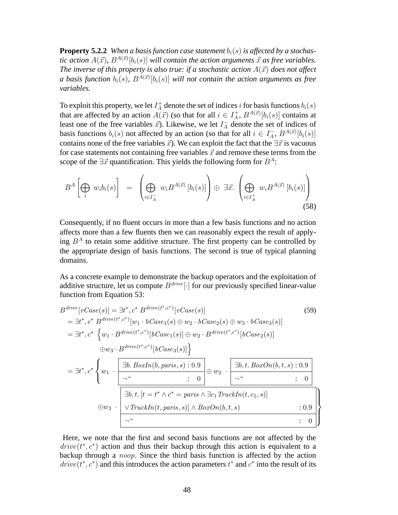**Property 5.2.2** When a basis function case statement  $b_i(s)$  is affected by a stochas*tic action*  $A(\vec{x})$ *,*  $B^{A(\vec{x})}[b_i(s)]$  *will contain the action arguments*  $\vec{x}$  *as free variables. The inverse of this property is also true: if a stochastic action*  $A(\vec{x})$  *does not affect a basis function*  $b_i(s)$ *,*  $B^{A(\vec{x})}[b_i(s)]$  *will not contain the action arguments as free variables.*

To exploit this property, we let  $I^+_A$  denote the set of indices  $i$  for basis functions  $b_i(s)$ that are affected by an action  $A(\vec{x})$  (so that for all  $i \in I_A^+, B^{A(\vec{x})}[b_i(s)]$  contains at least one of the free variables  $\vec{x}$ ). Likewise, we let  $I_A^-$  denote the set of indices of basis functions  $b_i(s)$  not affected by an action (so that for all  $i \in I_A^-$ ,  $B^{A(\vec{x})}[b_i(s)]$ contains none of the free variables  $\vec{x}$ ). We can exploit the fact that the  $\exists \vec{x}$  is vacuous for case statements not containing free variables  $\vec{x}$  and remove these terms from the scope of the  $\exists \vec{x}$  quantification. This yields the following form for  $B^A$ :

$$
B^{A}\left[\bigoplus_{i} w_{i}b_{i}(s)\right] = \left(\bigoplus_{i \in I_{A}^{-}} w_{i}B^{A(\vec{x})}\left[b_{i}(s)\right]\right) \oplus \exists \vec{x}. \left(\bigoplus_{i \in I_{A}^{+}} w_{i}B^{A(\vec{x})}\left[b_{i}(s)\right]\right)
$$
\n(58)

Consequently, if no fluent occurs in more than a few basis functions and no action affects more than a few fluents then we can reasonably expect the result of applying  $B<sup>A</sup>$  to retain some additive structure. The first property can be controlled by the appropriate design of basis functions. The second is true of typical planning domains.

As a concrete example to demonstrate the backup operators and the exploitation of additive structure, let us compute  $B^{drive}[\cdot]$  for our previously specified linear-value function from Equation 53:

$$
B^{drive}[vCase(s)] = \exists t^*, c^* B^{drive(t^*,c^*)}[vCase(s)]
$$
\n
$$
= \exists t^*, c^* B^{drive(t^*,c^*)}[w_1 \cdot bCase_1(s) \oplus w_2 \cdot bCase_2(s) \oplus w_3 \cdot bCase_3(s)]
$$
\n
$$
= \exists t^*, c^* \left\{ w_1 \cdot B^{drive(t^*,c^*)}[bCase_1(s)] \oplus w_2 \cdot B^{drive(t^*,c^*)}[bCase_2(s)] \right\}
$$
\n
$$
\oplus w_3 \cdot B^{drive(t^*,c^*)}[bCase_3(s)] \right\}
$$
\n
$$
= \exists t^*, c^* \left\{ w_1 \cdot \frac{\boxed{\exists b. BoxIn(b, pairs, s) : 0.9}}{\neg`` \qquad \qquad : 0} \oplus w_2 \cdot \frac{\boxed{\exists b, t. BoxOn(b, t, s) : 0.9}}{\neg`` \qquad \qquad : 0}
$$
\n
$$
\oplus w_3 \cdot \frac{\boxed{\exists b, t. [t = t^* \land c^* = pairs \land \exists c_1 TruckIn(t, c_1, s)]}}{\lor TruckIn(t, pairs, s)] \land BoxOn(b, t, s)}
$$
\n
$$
\vdots 0 \right\}
$$
\n
$$
\left.\begin{matrix}\n\exists b, t^* \land t^* = 0 \\
\vdots \\
\vdots \\
\vdots \\
\vdots\n\end{matrix}\right\}
$$
\n
$$
\begin{matrix}\n\exists b, t^* \land t^* = 0 \\
\vdots \\
\vdots \\
\vdots\n\end{matrix}
$$

Here, we note that the first and second basis functions are not affected by the  $drive(t^*, c^*)$  action and thus their backup through this action is equivalent to a backup through a noop. Since the third basis function is affected by the action  $drive(t^*, c^*)$  and this introduces the action parameters  $t^*$  and  $c^*$  into the result of its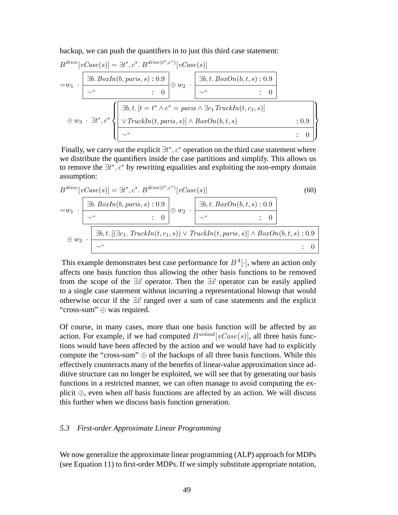backup, we can push the quantifiers in to just this third case statement:

$$
B^{drive}[vCase(s)] = \exists t^*, c^*. B^{drive(t^*, c^*)}[vCase(s)]
$$
  
= $w_1 \cdot \begin{bmatrix} \exists b. \, BoxIn(b, \, pairs, s) : 0.9 \\ \neg^u & : 0 \end{bmatrix} \oplus w_2 \cdot \begin{bmatrix} \exists b, t. \, BoxOn(b, t, s) : 0.9 \\ \neg^u & : 0 \end{bmatrix}$   
 $\oplus w_3 \cdot \exists t^*, c^* \begin{bmatrix} \exists b, t. \, [t = t^* \land c^* = \text{pairs} \land \exists c_1 \, TruckIn(t, c_1, s)] \\ \lor TruckIn(t, \, pairs, s)] \land BoxOn(b, t, s) & : 0.9 \\ \neg^u & : 0 \end{bmatrix}$ 

Finally, we carry out the explicit  $\exists t^*, c^*$  operation on the third case statement where we distribute the quantifiers inside the case partitions and simplify. This allows us to remove the  $\exists t^*, c^*$  by rewriting equalities and exploiting the non-empty domain assumption:

B drive [vCase(s)] = ∃t ∗ , c<sup>∗</sup> . Bdrive(<sup>t</sup> <sup>∗</sup>,c∗) [vCase(s)] (60) =w<sup>1</sup> · ∃b. BoxIn(b, paris, s) : 0.9 ¬" : 0 ⊕ w<sup>2</sup> · ∃b, t. BoxOn(b, t, s) : 0.9 ¬" : 0 ⊕ w<sup>3</sup> · ∃b, t. [(∃c1. TruckIn(t, c1, s)) ∨ TruckIn(t, paris, s)] ∧ BoxOn(b, t, s) : 0.9 ¬" : 0

This example demonstrates best case performance for  $B<sup>A</sup>[·]$ , where an action only affects one basis function thus allowing the other basis functions to be removed from the scope of the  $\exists \vec{x}$  operator. Then the  $\exists \vec{x}$  operator can be easily applied to a single case statement without incurring a representational blowup that would otherwise occur if the  $\exists \vec{x}$  ranged over a sum of case statements and the explicit "cross-sum" ⊕ was required.

Of course, in many cases, more than one basis function will be affected by an action. For example, if we had computed  $B^{unload}[vCase(s)]$ , all three basis functions would have been affected by the action and we would have had to explicitly compute the "cross-sum"  $\oplus$  of the backups of all three basis functions. While this effectively counteracts many of the benefits of linear-value approximation since additive structure can no longer be exploited, we will see that by generating our basis functions in a restricted manner, we can often manage to avoid computing the explicit ⊕, even when *all* basis functions are affected by an action. We will discuss this further when we discuss basis function generation.

#### *5.3 First-order Approximate Linear Programming*

We now generalize the approximate linear programming (ALP) approach for MDPs (see Equation 11) to first-order MDPs. If we simply substitute appropriate notation,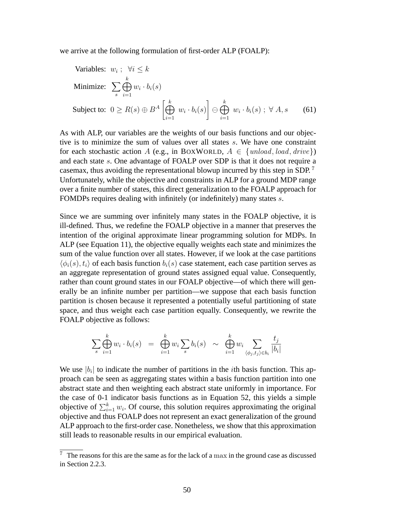we arrive at the following formulation of first-order ALP (FOALP):

Variables: 
$$
w_i
$$
;  $\forall i \le k$   
\nMinimize:  $\sum_{s} \bigoplus_{i=1}^{k} w_i \cdot b_i(s)$   
\nSubject to:  $0 \ge R(s) \oplus B^A \left[ \bigoplus_{i=1}^{k} w_i \cdot b_i(s) \right] \ominus \bigoplus_{i=1}^{k} w_i \cdot b_i(s)$ ;  $\forall A, s$  (61)

As with ALP, our variables are the weights of our basis functions and our objective is to minimize the sum of values over all states s. We have one constraint for each stochastic action A (e.g., in BOXWORLD,  $A \in \{unload, load, drive\})$ ) and each state s. One advantage of FOALP over SDP is that it does not require a casemax, thus avoiding the representational blowup incurred by this step in SDP. <sup>7</sup> Unfortunately, while the objective and constraints in ALP for a ground MDP range over a finite number of states, this direct generalization to the FOALP approach for FOMDPs requires dealing with infinitely (or indefinitely) many states s.

Since we are summing over infinitely many states in the FOALP objective, it is ill-defined. Thus, we redefine the FOALP objective in a manner that preserves the intention of the original approximate linear programming solution for MDPs. In ALP (see Equation 11), the objective equally weights each state and minimizes the sum of the value function over all states. However, if we look at the case partitions  $\langle \phi_i(s), t_i \rangle$  of each basis function  $b_i(s)$  case statement, each case partition serves as an aggregate representation of ground states assigned equal value. Consequently, rather than count ground states in our FOALP objective—of which there will generally be an infinite number per partition—we suppose that each basis function partition is chosen because it represented a potentially useful partitioning of state space, and thus weight each case partition equally. Consequently, we rewrite the FOALP objective as follows:

$$
\sum_{s} \bigoplus_{i=1}^{k} w_i \cdot b_i(s) = \bigoplus_{i=1}^{k} w_i \sum_{s} b_i(s) \sim \bigoplus_{i=1}^{k} w_i \sum_{\langle \phi_j, t_j \rangle \in b_i} \frac{t_j}{|b_i|}
$$

We use  $|b_i|$  to indicate the number of partitions in the *i*th basis function. This approach can be seen as aggregating states within a basis function partition into one abstract state and then weighting each abstract state uniformly in importance. For the case of 0-1 indicator basis functions as in Equation 52, this yields a simple objective of  $\sum_{i=1}^{k} w_i$ . Of course, this solution requires approximating the original objective and thus FOALP does not represent an exact generalization of the ground ALP approach to the first-order case. Nonetheless, we show that this approximation still leads to reasonable results in our empirical evaluation.

 $\frac{7}{7}$  The reasons for this are the same as for the lack of a max in the ground case as discussed in Section 2.2.3.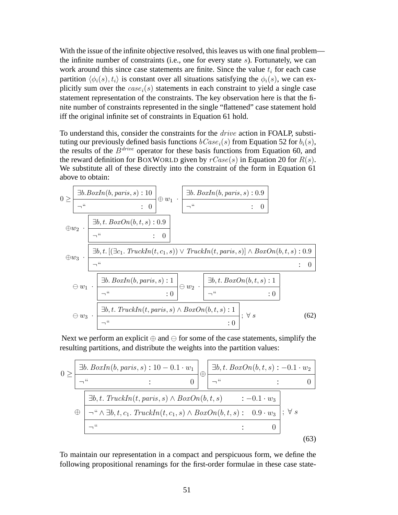With the issue of the infinite objective resolved, this leaves us with one final problem the infinite number of constraints (i.e., one for every state s). Fortunately, we can work around this since case statements are finite. Since the value  $t_i$  for each case partition  $\langle \phi_i(s), t_i \rangle$  is constant over all situations satisfying the  $\phi_i(s)$ , we can explicitly sum over the  $case_i(s)$  statements in each constraint to yield a single case statement representation of the constraints. The key observation here is that the finite number of constraints represented in the single "flattened" case statement hold iff the original infinite set of constraints in Equation 61 hold.

To understand this, consider the constraints for the drive action in FOALP, substituting our previously defined basis functions  $bCase<sub>i</sub>(s)$  from Equation 52 for  $b<sub>i</sub>(s)$ , the results of the  $B<sup>drive</sup>$  operator for these basis functions from Equation 60, and the reward definition for BOXWORLD given by  $rCase(s)$  in Equation 20 for  $R(s)$ . We substitute all of these directly into the constraint of the form in Equation 61 above to obtain:



Next we perform an explicit  $\oplus$  and  $\ominus$  for some of the case statements, simplify the resulting partitions, and distribute the weights into the partition values:

$$
0 \geq \frac{\exists b. \;Box In(b, \; pairs, s) : 10 - 0.1 \cdot w_1}{\neg^{\alpha} \qquad : \qquad 0} \oplus \boxed{\exists b, t. \;Box On(b, t, s) : -0.1 \cdot w_2}
$$
\n
$$
\oplus \boxed{\frac{\exists b, t. \; TruckIn(t, \; pairs, s) \land \;Box On(b, t, s) \qquad : -0.1 \cdot w_3}{\neg^{\alpha} \land \exists b, t, c_1. \; TruckIn(t, c_1, s) \land \;Box On(b, t, s) : \quad 0.9 \cdot w_3}{\neg^{\alpha} \qquad : \qquad 0}
$$
\n
$$
(63)
$$

To maintain our representation in a compact and perspicuous form, we define the following propositional renamings for the first-order formulae in these case state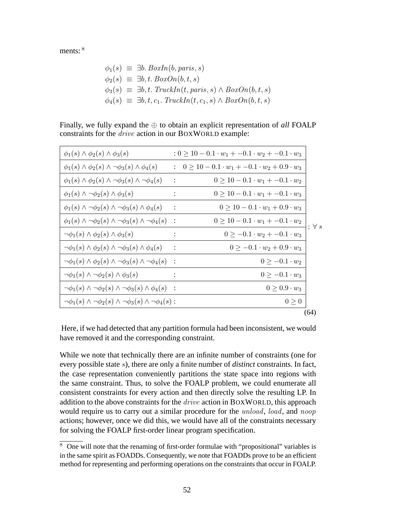ments: 8

$$
\phi_1(s) \equiv \exists b. \,BoxIn(b, \, pairs, s)
$$
  
\n
$$
\phi_2(s) \equiv \exists b, t. \,BoxOn(b, t, s)
$$
  
\n
$$
\phi_3(s) \equiv \exists b, t. \,TruckIn(t, \, pairs, s) \land \,BoxOn(b, t, s)
$$
  
\n
$$
\phi_4(s) \equiv \exists b, t, c_1. \,TruckIn(t, c_1, s) \land \,BoxOn(b, t, s)
$$

Finally, we fully expand the ⊕ to obtain an explicit representation of *all* FOALP constraints for the drive action in our BOXWORLD example:

|              | $: 0 > 10 - 0.1 \cdot w_1 + -0.1 \cdot w_2 + -0.1 \cdot w_3$  | $\phi_1(s) \wedge \phi_2(s) \wedge \phi_3(s)$                                              |
|--------------|---------------------------------------------------------------|--------------------------------------------------------------------------------------------|
|              | : $0 \ge 10 - 0.1 \cdot w_1 + -0.1 \cdot w_2 + 0.9 \cdot w_3$ | $\phi_1(s) \wedge \phi_2(s) \wedge \neg \phi_3(s) \wedge \phi_4(s)$                        |
|              | $0 \ge 10 - 0.1 \cdot w_1 + -0.1 \cdot w_2$                   | $\phi_1(s) \wedge \phi_2(s) \wedge \neg \phi_3(s) \wedge \neg \phi_4(s)$<br>$\mathbb{R}^2$ |
|              | $0 \ge 10 - 0.1 \cdot w_1 + -0.1 \cdot w_3$                   | $\phi_1(s) \wedge \neg \phi_2(s) \wedge \phi_3(s)$<br>$\ddot{\cdot}$                       |
|              | $0 \ge 10 - 0.1 \cdot w_1 + 0.9 \cdot w_3$                    | $\phi_1(s) \wedge \neg \phi_2(s) \wedge \neg \phi_3(s) \wedge \phi_4(s)$<br>$\ddot{\cdot}$ |
| $;\forall s$ | $0 \ge 10 - 0.1 \cdot w_1 + -0.1 \cdot w_2$                   | $\phi_1(s) \wedge \neg \phi_2(s) \wedge \neg \phi_3(s) \wedge \neg \phi_4(s)$ :            |
|              | $0 \ge -0.1 \cdot w_2 + -0.1 \cdot w_3$                       | $\neg\phi_1(s) \wedge \phi_2(s) \wedge \phi_3(s)$<br>$\ddot{\cdot}$                        |
|              | $0 > -0.1 \cdot w_2 + 0.9 \cdot w_3$                          | $\neg\phi_1(s) \wedge \phi_2(s) \wedge \neg\phi_3(s) \wedge \phi_4(s)$<br>$\sim$ 1.        |
|              | $0 \ge -0.1 \cdot w_2$                                        | $\neg \phi_1(s) \land \phi_2(s) \land \neg \phi_3(s) \land \neg \phi_4(s)$ :               |
|              | $0 \ge -0.1 \cdot w_3$                                        | $\neg\phi_1(s) \wedge \neg\phi_2(s) \wedge \phi_3(s)$<br>$\ddot{\cdot}$                    |
|              | $0 \geq 0.9 \cdot w_3$                                        | $\neg \phi_1(s) \land \neg \phi_2(s) \land \neg \phi_3(s) \land \phi_4(s)$ :               |
|              | $0 \geq 0$                                                    | $\neg \phi_1(s) \land \neg \phi_2(s) \land \neg \phi_3(s) \land \neg \phi_4(s)$ :          |
| (64)         |                                                               |                                                                                            |

Here, if we had detected that any partition formula had been inconsistent, we would have removed it and the corresponding constraint.

While we note that technically there are an infinite number of constraints (one for every possible state s), there are only a finite number of *distinct* constraints. In fact, the case representation conveniently partitions the state space into regions with the same constraint. Thus, to solve the FOALP problem, we could enumerate all consistent constraints for every action and then directly solve the resulting LP. In addition to the above constraints for the drive action in BOXWORLD, this approach would require us to carry out a similar procedure for the *unload*, *load*, and *noop* actions; however, once we did this, we would have all of the constraints necessary for solving the FOALP first-order linear program specification.

 $\sqrt{8}$  One will note that the renaming of first-order formulae with "propositional" variables is in the same spirit as FOADDs. Consequently, we note that FOADDs prove to be an efficient method for representing and performing operations on the constraints that occur in FOALP.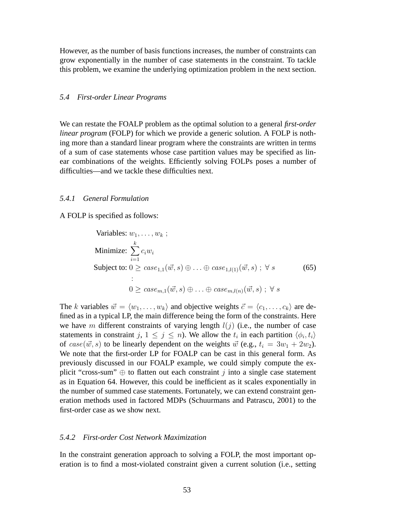However, as the number of basis functions increases, the number of constraints can grow exponentially in the number of case statements in the constraint. To tackle this problem, we examine the underlying optimization problem in the next section.

#### *5.4 First-order Linear Programs*

We can restate the FOALP problem as the optimal solution to a general *first-order linear program* (FOLP) for which we provide a generic solution. A FOLP is nothing more than a standard linear program where the constraints are written in terms of a sum of case statements whose case partition values may be specified as linear combinations of the weights. Efficiently solving FOLPs poses a number of difficulties—and we tackle these difficulties next.

#### *5.4.1 General Formulation*

A FOLP is specified as follows:

Variables: 
$$
w_1, ..., w_k
$$
;  
\nMinimize:  $\sum_{i=1}^{k} c_i w_i$   
\nSubject to:  $0 \ge case_{1,1}(\vec{w}, s) \oplus ... \oplus case_{1,l(1)}(\vec{w}, s)$ ;  $\forall s$  (65)  
\n:  
\n $0 \ge case_{m,1}(\vec{w}, s) \oplus ... \oplus case_{m,l(n)}(\vec{w}, s)$ ;  $\forall s$ 

The k variables  $\vec{w} = \langle w_1, \ldots, w_k \rangle$  and objective weights  $\vec{c} = \langle c_1, \ldots, c_k \rangle$  are defined as in a typical LP, the main difference being the form of the constraints. Here we have m different constraints of varying length  $l(j)$  (i.e., the number of case statements in constraint  $j, 1 \leq j \leq n$ ). We allow the  $t_i$  in each partition  $\langle \phi_i, t_i \rangle$ of case( $\vec{w}$ , s) to be linearly dependent on the weights  $\vec{w}$  (e.g.,  $t_i = 3w_1 + 2w_2$ ). We note that the first-order LP for FOALP can be cast in this general form. As previously discussed in our FOALP example, we could simply compute the explicit "cross-sum"  $\oplus$  to flatten out each constraint j into a single case statement as in Equation 64. However, this could be inefficient as it scales exponentially in the number of summed case statements. Fortunately, we can extend constraint generation methods used in factored MDPs (Schuurmans and Patrascu, 2001) to the first-order case as we show next.

### *5.4.2 First-order Cost Network Maximization*

In the constraint generation approach to solving a FOLP, the most important operation is to find a most-violated constraint given a current solution (i.e., setting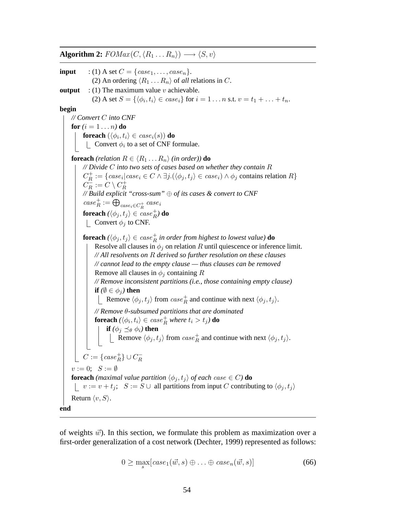**Algorithm 2:**  $FOMax(C, \langle R_1 \dots R_n \rangle) \longrightarrow \langle S, v \rangle$ **input** : (1) A set  $C = \{case_1, \ldots, case_n\}.$ (2) An ordering  $\langle R_1 \dots R_n \rangle$  of *all* relations in C. **output** : (1) The maximum value v achievable. (2) A set  $S = \{ \langle \phi_i, t_i \rangle \in case_i \}$  for  $i = 1 \dots n$  s.t.  $v = t_1 + \dots + t_n$ . **begin** *// Convert* C *into CNF* **for**  $(i = 1 \ldots n)$  **do**  $\textbf{foreach}~(\langle \phi_i, t_i \rangle \in case_i(s))$   $\textbf{do}$ Convert  $\phi_i$  to a set of CNF formulae. **foreach** *(relation*  $R \in \langle R_1 \dots R_n \rangle$  *(in order))* **do** *// Divide* C *into two sets of cases based on whether they contain* R  $C_R^+ := \{case_i | case_i \in C \land \exists j. (\langle \phi_j, t_j \rangle \in case_i) \land \phi_j \text{ contains relation } R \}$  $\overline{C_R^+} := C \setminus C_R^+$ *// Build explicit "cross-sum"* ⊕ *of its cases & convert to CNF*  $\textit{case}_R := \bigoplus_{\textit{case}_i \in C_R^+} \textit{case}_i$  $\textbf{foreach} \ (\langle \phi_j, t_j \rangle \in \overset{\sim}{case} \overset{\leftarrow}{R} ) \textbf{ do}$ | Convert  $\phi_j$  to CNF.  ${\bf forceach}$  ( $\langle \phi_j , t_j \rangle \in case^+_R$  in order from highest to lowest value)  ${\bf do}$ Resolve all clauses in  $\phi_j$  on relation R until quiescence or inference limit. *// All resolvents on* R *derived so further resolution on these clauses // cannot lead to the empty clause — thus clauses can be removed* Remove all clauses in  $\phi_i$  containing R *// Remove inconsistent partitions (i.e., those containing empty clause)* **if**  $(\emptyset \in \phi_i)$  **then** Remove  $\langle \phi_j, t_j \rangle$  from  $case^+_R$  and continue with next  $\langle \phi_j, t_j \rangle$ . *// Remove* θ*-subsumed partitions that are dominated*  $\textbf{for each } (\langle \phi_i, t_i \rangle \in case^+_R \textit{ where } t_i > t_j) \textbf{ do}$ **if**  $(\phi_j \preceq_{\theta} \phi_i)$  then Remove  $\langle \phi_j, t_j \rangle$  from  $case^+_R$  and continue with next  $\langle \phi_j, t_j \rangle$ .  $C := \{case^+_R\} \cup C^-_R$  $v := 0; S := \emptyset$ **foreach** *(maximal value partition*  $\langle \phi_j, t_j \rangle$  *of each case*  $\in C$ *)* **do**  $v := v + t_j$ ;  $S := S \cup$  all partitions from input C contributing to  $\langle \phi_j, t_j \rangle$ Return  $\langle v, S \rangle$ . **end**

of weights  $\vec{w}$ ). In this section, we formulate this problem as maximization over a first-order generalization of a cost network (Dechter, 1999) represented as follows:

$$
0 \geq \max_{s} [case_1(\vec{w}, s) \oplus \ldots \oplus case_n(\vec{w}, s)] \tag{66}
$$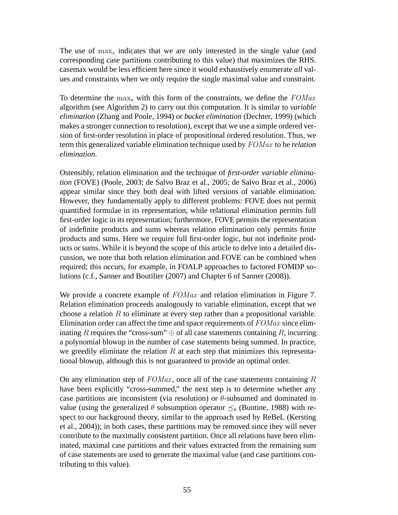The use of  $\max_{s}$  indicates that we are only interested in the single value (and corresponding case partitions contributing to this value) that maximizes the RHS. casemax would be less efficient here since it would exhaustively enumerate *all* values and constraints when we only require the single maximal value and constraint.

To determine the max<sub>s</sub> with this form of the constraints, we define the  $FOMax$ algorithm (see Algorithm 2) to carry out this computation. It is similar to *variable elimination* (Zhang and Poole, 1994) or *bucket elimination* (Dechter, 1999) (which makes a stronger connection to resolution), except that we use a simple ordered version of first-order resolution in place of propositional ordered resolution. Thus, we term this generalized variable elimination technique used by FOMax to be *relation elimination*.

Ostensibly, relation elimination and the technique of *first-order variable elimination* (FOVE) (Poole, 2003; de Salvo Braz et al., 2005; de Salvo Braz et al., 2006) appear similar since they both deal with lifted versions of variable elimination. However, they fundamentally apply to different problems: FOVE does not permit quantified formulae in its representation, while relational elimination permits full first-order logic in its representation; furthermore, FOVE permits the representation of indefinite products and sums whereas relation elimination only permits finite products and sums. Here we require full first-order logic, but not indefinite products or sums. While it is beyond the scope of this article to delve into a detailed discussion, we note that both relation elimination and FOVE can be combined when required; this occurs, for example, in FOALP approaches to factored FOMDP solutions (c.f., Sanner and Boutilier (2007) and Chapter 6 of Sanner (2008)).

We provide a concrete example of  $FOMax$  and relation elimination in Figure 7. Relation elimination proceeds analogously to variable elimination, except that we choose a relation  $R$  to eliminate at every step rather than a propositional variable. Elimination order can affect the time and space requirements of  $FOMax$  since eliminating R requires the "cross-sum"  $\oplus$  of all case statements containing R, incurring a polynomial blowup in the number of case statements being summed. In practice, we greedily eliminate the relation  $R$  at each step that minimizes this representational blowup, although this is not guaranteed to provide an optimal order.

On any elimination step of  $FOMax$ , once all of the case statements containing  $R$ have been explicitly "cross-summed," the next step is to determine whether any case partitions are inconsistent (via resolution) or  $\theta$ -subsumed and dominated in value (using the generalized  $\theta$  subsumption operator  $\preceq_{\theta}$  (Buntine, 1988) with respect to our background theory, similar to the approach used by ReBeL (Kersting et al., 2004)); in both cases, these partitions may be removed since they will never contribute to the maximally consistent partition. Once all relations have been eliminated, maximal case partitions and their values extracted from the remaining sum of case statements are used to generate the maximal value (and case partitions contributing to this value).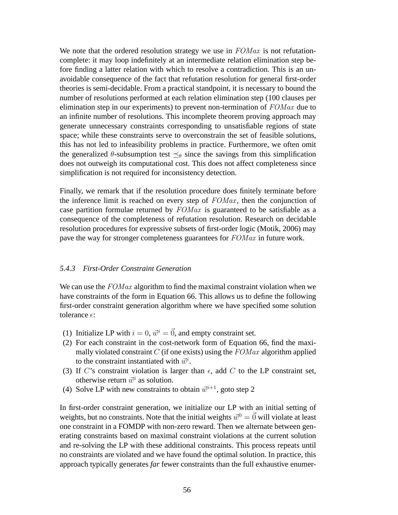We note that the ordered resolution strategy we use in  $FOMax$  is not refutationcomplete: it may loop indefinitely at an intermediate relation elimination step before finding a latter relation with which to resolve a contradiction. This is an unavoidable consequence of the fact that refutation resolution for general first-order theories is semi-decidable. From a practical standpoint, it is necessary to bound the number of resolutions performed at each relation elimination step (100 clauses per elimination step in our experiments) to prevent non-termination of  $FOMax$  due to an infinite number of resolutions. This incomplete theorem proving approach may generate unnecessary constraints corresponding to unsatisfiable regions of state space; while these constraints serve to overconstrain the set of feasible solutions, this has not led to infeasibility problems in practice. Furthermore, we often omit the generalized  $\theta$ -subsumption test  $\preceq_{\theta}$  since the savings from this simplification does not outweigh its computational cost. This does not affect completeness since simplification is not required for inconsistency detection.

Finally, we remark that if the resolution procedure does finitely terminate before the inference limit is reached on every step of  $FOMax$ , then the conjunction of case partition formulae returned by  $FOMax$  is guaranteed to be satisfiable as a consequence of the completeness of refutation resolution. Research on decidable resolution procedures for expressive subsets of first-order logic (Motik, 2006) may pave the way for stronger completeness guarantees for  $FOMax$  in future work.

### *5.4.3 First-Order Constraint Generation*

We can use the  $FOMax$  algorithm to find the maximal constraint violation when we have constraints of the form in Equation 66. This allows us to define the following first-order constraint generation algorithm where we have specified some solution tolerance  $\epsilon$ :

- (1) Initialize LP with  $i = 0$ ,  $\vec{w}^i = \vec{0}$ , and empty constraint set.
- (2) For each constraint in the cost-network form of Equation 66, find the maximally violated constraint  $C$  (if one exists) using the  $FOMax$  algorithm applied to the constraint instantiated with  $\vec{w}^i$ .
- (3) If C's constraint violation is larger than  $\epsilon$ , add C to the LP constraint set, otherwise return  $\vec{w}^i$  as solution.
- (4) Solve LP with new constraints to obtain  $\vec{w}^{i+1}$ , goto step 2

In first-order constraint generation, we initialize our LP with an initial setting of weights, but no constraints. Note that the initial weights  $\vec{w}^0 = \vec{0}$  will violate at least one constraint in a FOMDP with non-zero reward. Then we alternate between generating constraints based on maximal constraint violations at the current solution and re-solving the LP with these additional constraints. This process repeats until no constraints are violated and we have found the optimal solution. In practice, this approach typically generates *far* fewer constraints than the full exhaustive enumer-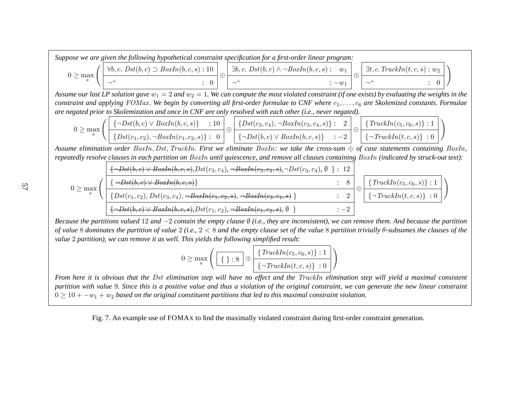|  |  |  | Suppose we are given the following hypothetical constraint specification for a first-order linear program: |  |
|--|--|--|------------------------------------------------------------------------------------------------------------|--|
|  |  |  |                                                                                                            |  |

$$
0 \geq \max_{s} \left( \frac{\forall b, c. \; Dst(b, c) \supset BoxIn(b, c, s) : 10}{\neg^{\alpha}} \oplus \frac{\exists b, c. \; Dst(b, c) \land \neg BoxIn(b, c, s) : w_1}{\neg^{\alpha}} \oplus \frac{\exists t, c. \; TruckIn(t, c, s) : w_2}{\neg^{\alpha}} \right)
$$

Assume our last LP solution gave  $w_1=2$  and  $w_2=1$ . We can compute the most violated constraint (if one exists) by evaluating the weights in the constraint and applying  $FOMax$ . We begin by converting all first-order formulae to  $CNF$  where  $c_1,\ldots,c_6$  are Skolemized constants. Formulae are negated prior to Skolemization and once in CNF are only resolved with each other (i.e., never negated).

$$
0 \geq \max_{s} \left( \frac{\left\{ \neg Dst(b,c) \lor BoxIn(b,c,s) \right\} \quad : 10}{\left\{ Dst(c_1,c_2), \neg BoxIn(c_1,c_2,s) \right\} \colon 0} \oplus \frac{\left\{ Dst(c_3,c_4), \neg BoxIn(c_3,c_4,s) \right\} \colon 2}{\left\{ \neg Dst(b,c) \lor BoxIn(b,c,s) \right\} \quad : -2 \right\}} \oplus \frac{\left\{ \text{TruckIn}(c_5,c_6,s) \right\} \colon 1}{\left\{ \text{TruckIn}(t,c,s) \right\} \quad : 0} \right)
$$

Assume elimination order BoxIn, Dst, TruckIn. First we eliminate BoxIn: we take the cross-sum  $\oplus$  of case statements containing BoxIn, repeatedly resolve clauses in each partition on BoxIn until quiescence, and remove all clauses containing BoxIn (indicated by struck-out text):

$$
0 \geq \max_{s} \left( \frac{\{\neg Dist(b, e) \lor BoxIn(b, e, s), Dist(c_3, c_4), \neg BoxIn(e_3, e_4, s), \neg Dist(c_3, c_4), \emptyset \} : 12}{\{Dst(c_1, c_2), Dist(c_3, c_4), \neg BoxIn(e_1, e_2, s), \neg BoxIn(e_3, e_4, s) \}} \right) \qquad \frac{\{\text{TruckIn}(c_5, c_6, s)\} : 1}{\{\text{TruckIn}(t, c, s)\} : 0}
$$
\n
$$
\left( \frac{\{\text{TruckIn}(c_5, c_6, s)\} : 1}{\{\text{TruckIn}(t, c, s)\} : 0}, \frac{\text{TruckIn}(c_5, c_6, s)\} : 1}{\{\text{TruckIn}(t, c, s)\} : 0 \right)}
$$

 $\bigg)$ 

Because the partitions valued  $12$  and  $-2$  contain the empty clause  $\emptyset$  (i.e., they are inconsistent), we can remove them. And because the partition of value 8 dominates the partition of value 2 (i.e., 2  $<$  8 and the empty clause set of the value 8 partition trivially θ-subsumes the clauses of the value 2 partition), we can remove it as well. This yields the following simplified result:

$$
0 \ge \max_s \left( \boxed{\set{\} : 8} \oplus \boxed{\frac{\set{TruckIn(c_5, c_6, s)} : 1}{\set{TruckIn(t, c, s)} : 0}} \right)
$$

From here it is obvious that the Dst elimination step will have no effect and the TruckIn elimination step will yield a maximal consistent partition with value 9. Since this is a positive value and thus a violation of the original constraint, we can generate the new linear constraint  $0 \ge 10 + -w_1 + w_2$  based on the original constituent partitions that led to this maximal constraint violation.

Fig. 7. An example use of FOMAX to find the maximally violated constraint during first-order constraint generation.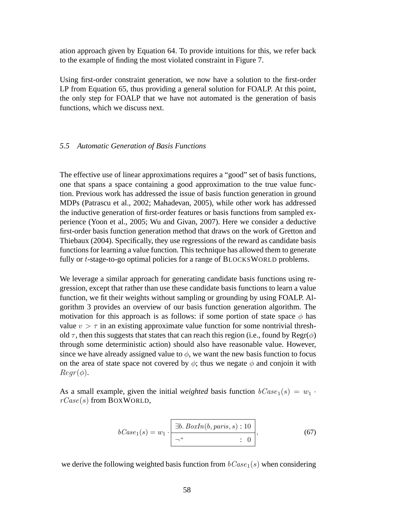ation approach given by Equation 64. To provide intuitions for this, we refer back to the example of finding the most violated constraint in Figure 7.

Using first-order constraint generation, we now have a solution to the first-order LP from Equation 65, thus providing a general solution for FOALP. At this point, the only step for FOALP that we have not automated is the generation of basis functions, which we discuss next.

## *5.5 Automatic Generation of Basis Functions*

The effective use of linear approximations requires a "good" set of basis functions, one that spans a space containing a good approximation to the true value function. Previous work has addressed the issue of basis function generation in ground MDPs (Patrascu et al., 2002; Mahadevan, 2005), while other work has addressed the inductive generation of first-order features or basis functions from sampled experience (Yoon et al., 2005; Wu and Givan, 2007). Here we consider a deductive first-order basis function generation method that draws on the work of Gretton and Thiebaux (2004). Specifically, they use regressions of the reward as candidate basis functions for learning a value function. This technique has allowed them to generate fully or *t*-stage-to-go optimal policies for a range of BLOCKSWORLD problems.

We leverage a similar approach for generating candidate basis functions using regression, except that rather than use these candidate basis functions to learn a value function, we fit their weights without sampling or grounding by using FOALP. Algorithm 3 provides an overview of our basis function generation algorithm. The motivation for this approach is as follows: if some portion of state space  $\phi$  has value  $v > \tau$  in an existing approximate value function for some nontrivial threshold  $\tau$ , then this suggests that states that can reach this region (i.e., found by Regr( $\phi$ ) through some deterministic action) should also have reasonable value. However, since we have already assigned value to  $\phi$ , we want the new basis function to focus on the area of state space not covered by  $\phi$ ; thus we negate  $\phi$  and conjoin it with  $Rear(\phi)$ .

As a small example, given the initial *weighted* basis function  $bCase<sub>1</sub>(s) = w<sub>1</sub>$ .  $rCase(s)$  from BOXWORLD,

$$
bCase_1(s) = w_1 \cdot \begin{array}{|l|}\n\hline\n\exists b. \,BoxIn(b, \, pairs, s) : 10 \\
\hline\n\vdots & 0\n\end{array},\n\tag{67}
$$

we derive the following weighted basis function from  $bCase<sub>1</sub>(s)$  when considering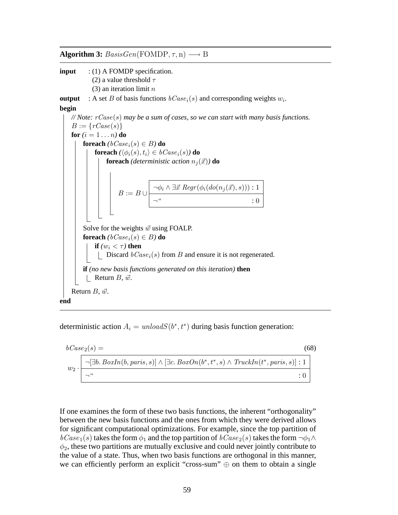**Algorithm 3:**  $BasisGen(\text{FOMDP}, \tau, n) \longrightarrow B$ 

**input** : (1) A FOMDP specification. (2) a value threshold  $\tau$ (3) an iteration limit  $n$ 

**output** : A set B of basis functions  $bCase_i(s)$  and corresponding weights  $w_i$ .

#### **begin**

*// Note:* rCase(s) *may be a sum of cases, so we can start with many basis functions.*  $B := \{rCase(s)\}\)$ **for**  $(i = 1 \ldots n)$  **do foreach**  $(bCase_i(s) \in B)$  **do foreach**  $(\langle \phi_i(s), t_i \rangle \in bCase_i(s))$  **do foreach** *(deterministic action*  $n_j(\vec{x})$ **) do**  $B := B \cup$  $\neg \phi_i \wedge \exists \vec{x} \; Regr(\phi_i(do(n_j(\vec{x}), s))) : 1$  $\neg$  "  $\qquad \qquad$  : 0 Solve for the weights  $\vec{w}$  using FOALP. **foreach**  $(bCase_i(s) \in B)$  **do if**  $(w_i < \tau)$  **then** Discard  $bCase<sub>i</sub>(s)$  from B and ensure it is not regenerated. **if** *(no new basis functions generated on this iteration)* **then** | Return  $B, \vec{w}$ . Return  $B, \vec{w}$ . **end**

deterministic action  $A_i = \text{unloadS}(b^*, t^*)$  during basis function generation:

$$
bCase_2(s) = \n\begin{cases}\n\boxed{\neg[\exists b. BoxIn(b, pairs, s)] \land [\exists c. BoxOn(b^*, t^*, s) \land TruckIn(t^*, pairs, s)] : 1} \\
\boxed{\neg^{\alpha}} & \vdots\n\end{cases}
$$

If one examines the form of these two basis functions, the inherent "orthogonality" between the new basis functions and the ones from which they were derived allows for significant computational optimizations. For example, since the top partition of  $bCase<sub>1</sub>(s)$  takes the form  $\phi_1$  and the top partition of  $bCase<sub>2</sub>(s)$  takes the form  $\neg \phi_1 \wedge$  $\phi_2$ , these two partitions are mutually exclusive and could never jointly contribute to the value of a state. Thus, when two basis functions are orthogonal in this manner, we can efficiently perform an explicit "cross-sum"  $\oplus$  on them to obtain a single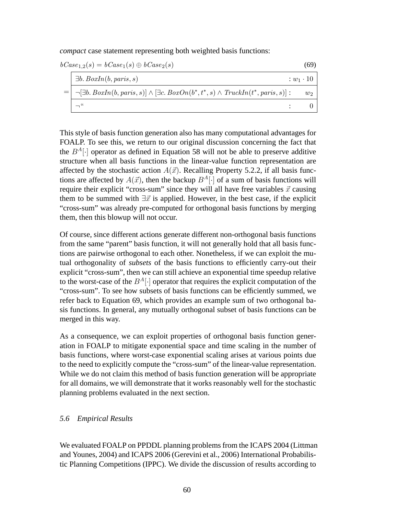*compact* case statement representing both weighted basis functions:

$$
bCase_{1,2}(s) = bCase_1(s) \oplus bCase_2(s)
$$
\n(69)

| $\exists b. \,BoxIn(b, \, pairs, s)$                                                                                                                             | $:w_1\cdot 10$ |
|------------------------------------------------------------------------------------------------------------------------------------------------------------------|----------------|
| $=$ $\lceil \neg \exists b. \;BoxIn(b, \text{pairs}, s) \rceil \land \lceil \exists c. \;BoxOn(b^*, t^*, s) \land \text{TruckIn}(t^*, \text{pairs}, s) \rceil$ : | W <sub>2</sub> |
|                                                                                                                                                                  |                |

This style of basis function generation also has many computational advantages for FOALP. To see this, we return to our original discussion concerning the fact that the  $B<sup>A</sup>[·]$  operator as defined in Equation 58 will not be able to preserve additive structure when all basis functions in the linear-value function representation are affected by the stochastic action  $A(\vec{x})$ . Recalling Property 5.2.2, if all basis functions are affected by  $A(\vec{x})$ , then the backup  $B^{A}[\cdot]$  of a sum of basis functions will require their explicit "cross-sum" since they will all have free variables  $\vec{x}$  causing them to be summed with  $\exists \vec{x}$  is applied. However, in the best case, if the explicit "cross-sum" was already pre-computed for orthogonal basis functions by merging them, then this blowup will not occur.

Of course, since different actions generate different non-orthogonal basis functions from the same "parent" basis function, it will not generally hold that all basis functions are pairwise orthogonal to each other. Nonetheless, if we can exploit the mutual orthogonality of *subsets* of the basis functions to efficiently carry-out their explicit "cross-sum", then we can still achieve an exponential time speedup relative to the worst-case of the  $B<sup>A</sup>[·]$  operator that requires the explicit computation of the "cross-sum". To see how subsets of basis functions can be efficiently summed, we refer back to Equation 69, which provides an example sum of two orthogonal basis functions. In general, any mutually orthogonal subset of basis functions can be merged in this way.

As a consequence, we can exploit properties of orthogonal basis function generation in FOALP to mitigate exponential space and time scaling in the number of basis functions, where worst-case exponential scaling arises at various points due to the need to explicitly compute the "cross-sum" of the linear-value representation. While we do not claim this method of basis function generation will be appropriate for all domains, we will demonstrate that it works reasonably well for the stochastic planning problems evaluated in the next section.

## *5.6 Empirical Results*

We evaluated FOALP on PPDDL planning problems from the ICAPS 2004 (Littman and Younes, 2004) and ICAPS 2006 (Gerevini et al., 2006) International Probabilistic Planning Competitions (IPPC). We divide the discussion of results according to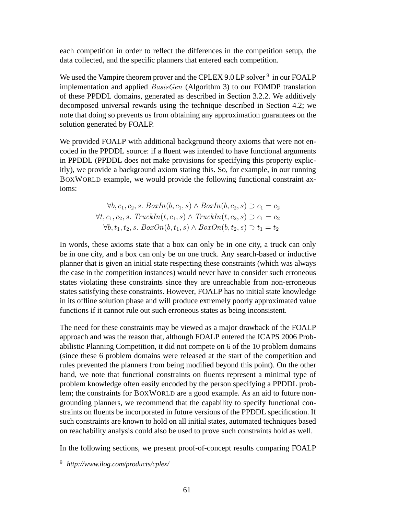each competition in order to reflect the differences in the competition setup, the data collected, and the specific planners that entered each competition.

We used the Vampire theorem prover and the CPLEX 9.0 LP solver <sup>9</sup> in our FOALP implementation and applied  $BasisGen$  (Algorithm 3) to our FOMDP translation of these PPDDL domains, generated as described in Section 3.2.2. We additively decomposed universal rewards using the technique described in Section 4.2; we note that doing so prevents us from obtaining any approximation guarantees on the solution generated by FOALP.

We provided FOALP with additional background theory axioms that were not encoded in the PPDDL source: if a fluent was intended to have functional arguments in PPDDL (PPDDL does not make provisions for specifying this property explicitly), we provide a background axiom stating this. So, for example, in our running BOXWORLD example, we would provide the following functional constraint axioms:

> $\forall b, c_1, c_2, s.$  BoxIn(b, c<sub>1</sub>, s) ∧ BoxIn(b, c<sub>2</sub>, s)  $\supset c_1 = c_2$  $\forall t, c_1, c_2, s$ . TruckIn $(t, c_1, s) \wedge TruckIn(t, c_2, s) \supset c_1 = c_2$  $\forall b, t_1, t_2, s. \; BoxOn(b, t_1, s) \land BoxOn(b, t_2, s) \supset t_1 = t_2$

In words, these axioms state that a box can only be in one city, a truck can only be in one city, and a box can only be on one truck. Any search-based or inductive planner that is given an initial state respecting these constraints (which was always the case in the competition instances) would never have to consider such erroneous states violating these constraints since they are unreachable from non-erroneous states satisfying these constraints. However, FOALP has no initial state knowledge in its offline solution phase and will produce extremely poorly approximated value functions if it cannot rule out such erroneous states as being inconsistent.

The need for these constraints may be viewed as a major drawback of the FOALP approach and was the reason that, although FOALP entered the ICAPS 2006 Probabilistic Planning Competition, it did not compete on 6 of the 10 problem domains (since these 6 problem domains were released at the start of the competition and rules prevented the planners from being modified beyond this point). On the other hand, we note that functional constraints on fluents represent a minimal type of problem knowledge often easily encoded by the person specifying a PPDDL problem; the constraints for BOXWORLD are a good example. As an aid to future nongrounding planners, we recommend that the capability to specify functional constraints on fluents be incorporated in future versions of the PPDDL specification. If such constraints are known to hold on all initial states, automated techniques based on reachability analysis could also be used to prove such constraints hold as well.

In the following sections, we present proof-of-concept results comparing FOALP

<sup>9</sup> *http://www.ilog.com/products/cplex/*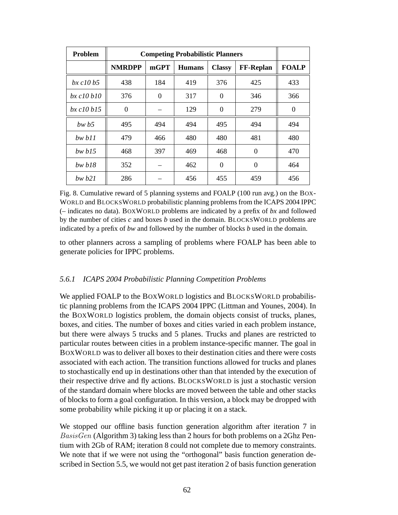| Problem           | <b>Competing Probabilistic Planners</b> |          |               |               |                  |              |
|-------------------|-----------------------------------------|----------|---------------|---------------|------------------|--------------|
|                   | <b>NMRDPP</b>                           | mGPT     | <b>Humans</b> | <b>Classy</b> | <b>FF-Replan</b> | <b>FOALP</b> |
| $bx$ cl $0$ b5    | 438                                     | 184      | 419           | 376           | 425              | 433          |
| $bx$ $c10$ $b10$  | 376                                     | $\Omega$ | 317           | $\Omega$      | 346              | 366          |
| $bx$ $c10$ $b15$  | $\theta$                                |          | 129           | $\Omega$      | 279              | $\Omega$     |
| bw <sub>b5</sub>  | 495                                     | 494      | 494           | 495           | 494              | 494          |
| bw b11            | 479                                     | 466      | 480           | 480           | 481              | 480          |
| bw b15            | 468                                     | 397      | 469           | 468           | 0                | 470          |
| bw <sub>b18</sub> | 352                                     |          | 462           | $\Omega$      | 0                | 464          |
| bw b21            | 286                                     |          | 456           | 455           | 459              | 456          |

Fig. 8. Cumulative reward of 5 planning systems and FOALP (100 run avg.) on the BOX-WORLD and BLOCKSWORLD probabilistic planning problems from the ICAPS 2004 IPPC (– indicates no data). BOXWORLD problems are indicated by a prefix of *bx* and followed by the number of cities *c* and boxes *b* used in the domain. BLOCKSWORLD problems are indicated by a prefix of *bw* and followed by the number of blocks *b* used in the domain.

to other planners across a sampling of problems where FOALP has been able to generate policies for IPPC problems.

# *5.6.1 ICAPS 2004 Probabilistic Planning Competition Problems*

We applied FOALP to the BOXWORLD logistics and BLOCKSWORLD probabilistic planning problems from the ICAPS 2004 IPPC (Littman and Younes, 2004). In the BOXWORLD logistics problem, the domain objects consist of trucks, planes, boxes, and cities. The number of boxes and cities varied in each problem instance, but there were always 5 trucks and 5 planes. Trucks and planes are restricted to particular routes between cities in a problem instance-specific manner. The goal in BOXWORLD was to deliver all boxes to their destination cities and there were costs associated with each action. The transition functions allowed for trucks and planes to stochastically end up in destinations other than that intended by the execution of their respective drive and fly actions. BLOCKSWORLD is just a stochastic version of the standard domain where blocks are moved between the table and other stacks of blocks to form a goal configuration. In this version, a block may be dropped with some probability while picking it up or placing it on a stack.

We stopped our offline basis function generation algorithm after iteration 7 in BasisGen (Algorithm 3) taking less than 2 hours for both problems on a 2Ghz Pentium with 2Gb of RAM; iteration 8 could not complete due to memory constraints. We note that if we were not using the "orthogonal" basis function generation described in Section 5.5, we would not get past iteration 2 of basis function generation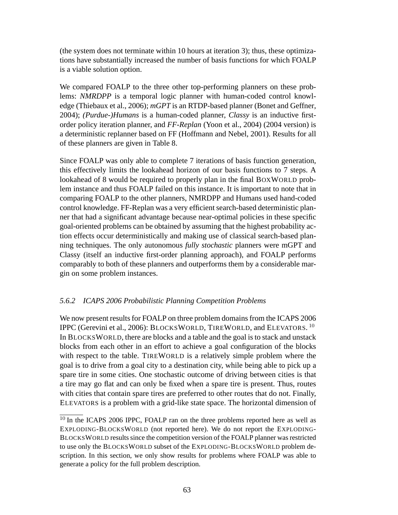(the system does not terminate within 10 hours at iteration 3); thus, these optimizations have substantially increased the number of basis functions for which FOALP is a viable solution option.

We compared FOALP to the three other top-performing planners on these problems: *NMRDPP* is a temporal logic planner with human-coded control knowledge (Thiebaux et al., 2006); *mGPT* is an RTDP-based planner (Bonet and Geffner, 2004); *(Purdue-)Humans* is a human-coded planner, *Classy* is an inductive firstorder policy iteration planner, and *FF-Replan* (Yoon et al., 2004) (2004 version) is a deterministic replanner based on FF (Hoffmann and Nebel, 2001). Results for all of these planners are given in Table 8.

Since FOALP was only able to complete 7 iterations of basis function generation, this effectively limits the lookahead horizon of our basis functions to 7 steps. A lookahead of 8 would be required to properly plan in the final BOXWORLD problem instance and thus FOALP failed on this instance. It is important to note that in comparing FOALP to the other planners, NMRDPP and Humans used hand-coded control knowledge. FF-Replan was a very efficient search-based deterministic planner that had a significant advantage because near-optimal policies in these specific goal-oriented problems can be obtained by assuming that the highest probability action effects occur deterministically and making use of classical search-based planning techniques. The only autonomous *fully stochastic* planners were mGPT and Classy (itself an inductive first-order planning approach), and FOALP performs comparably to both of these planners and outperforms them by a considerable margin on some problem instances.

# *5.6.2 ICAPS 2006 Probabilistic Planning Competition Problems*

We now present results for FOALP on three problem domains from the ICAPS 2006 IPPC (Gerevini et al., 2006): BLOCKSWORLD, TIREWORLD, and ELEVATORS.  $^{10}$ In BLOCKSWORLD, there are blocks and a table and the goal is to stack and unstack blocks from each other in an effort to achieve a goal configuration of the blocks with respect to the table. TIREWORLD is a relatively simple problem where the goal is to drive from a goal city to a destination city, while being able to pick up a spare tire in some cities. One stochastic outcome of driving between cities is that a tire may go flat and can only be fixed when a spare tire is present. Thus, routes with cities that contain spare tires are preferred to other routes that do not. Finally, ELEVATORS is a problem with a grid-like state space. The horizontal dimension of

<sup>&</sup>lt;sup>10</sup> In the ICAPS 2006 IPPC, FOALP ran on the three problems reported here as well as EXPLODING-BLOCKSWORLD (not reported here). We do not report the EXPLODING-BLOCKSWORLD results since the competition version of the FOALP planner was restricted to use only the BLOCKSWORLD subset of the EXPLODING-BLOCKSWORLD problem description. In this section, we only show results for problems where FOALP was able to generate a policy for the full problem description.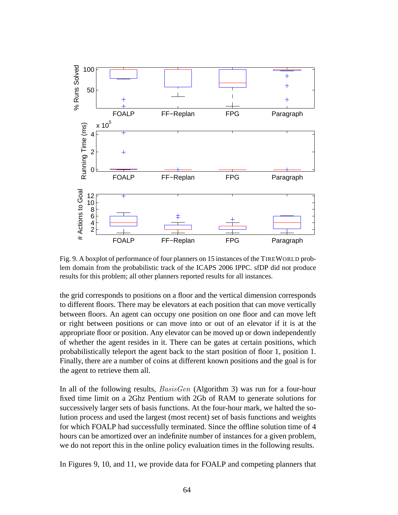

Fig. 9. A boxplot of performance of four planners on 15 instances of the TIREWORLD problem domain from the probabilistic track of the ICAPS 2006 IPPC. sfDP did not produce results for this problem; all other planners reported results for all instances.

the grid corresponds to positions on a floor and the vertical dimension corresponds to different floors. There may be elevators at each position that can move vertically between floors. An agent can occupy one position on one floor and can move left or right between positions or can move into or out of an elevator if it is at the appropriate floor or position. Any elevator can be moved up or down independently of whether the agent resides in it. There can be gates at certain positions, which probabilistically teleport the agent back to the start position of floor 1, position 1. Finally, there are a number of coins at different known positions and the goal is for the agent to retrieve them all.

In all of the following results, BasisGen (Algorithm 3) was run for a four-hour fixed time limit on a 2Ghz Pentium with 2Gb of RAM to generate solutions for successively larger sets of basis functions. At the four-hour mark, we halted the solution process and used the largest (most recent) set of basis functions and weights for which FOALP had successfully terminated. Since the offline solution time of 4 hours can be amortized over an indefinite number of instances for a given problem, we do not report this in the online policy evaluation times in the following results.

In Figures 9, 10, and 11, we provide data for FOALP and competing planners that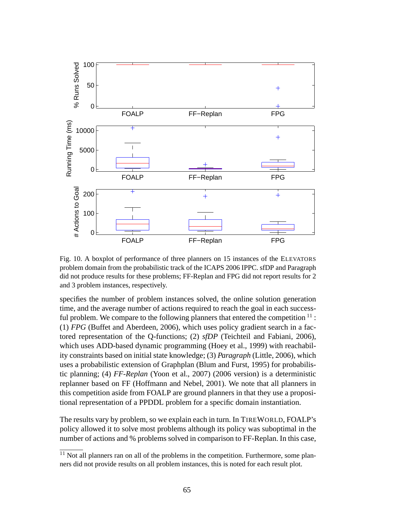

Fig. 10. A boxplot of performance of three planners on 15 instances of the ELEVATORS problem domain from the probabilistic track of the ICAPS 2006 IPPC. sfDP and Paragraph did not produce results for these problems; FF-Replan and FPG did not report results for 2 and 3 problem instances, respectively.

specifies the number of problem instances solved, the online solution generation time, and the average number of actions required to reach the goal in each successful problem. We compare to the following planners that entered the competition  $11$ : (1) *FPG* (Buffet and Aberdeen, 2006), which uses policy gradient search in a factored representation of the Q-functions; (2) *sfDP* (Teichteil and Fabiani, 2006), which uses ADD-based dynamic programming (Hoey et al., 1999) with reachability constraints based on initial state knowledge; (3) *Paragraph* (Little, 2006), which uses a probabilistic extension of Graphplan (Blum and Furst, 1995) for probabilistic planning; (4) *FF-Replan* (Yoon et al., 2007) (2006 version) is a deterministic replanner based on FF (Hoffmann and Nebel, 2001). We note that all planners in this competition aside from FOALP are ground planners in that they use a propositional representation of a PPDDL problem for a specific domain instantiation.

The results vary by problem, so we explain each in turn. In TIREWORLD, FOALP's policy allowed it to solve most problems although its policy was suboptimal in the number of actions and % problems solved in comparison to FF-Replan. In this case,

 $\frac{11}{11}$  Not all planners ran on all of the problems in the competition. Furthermore, some planners did not provide results on all problem instances, this is noted for each result plot.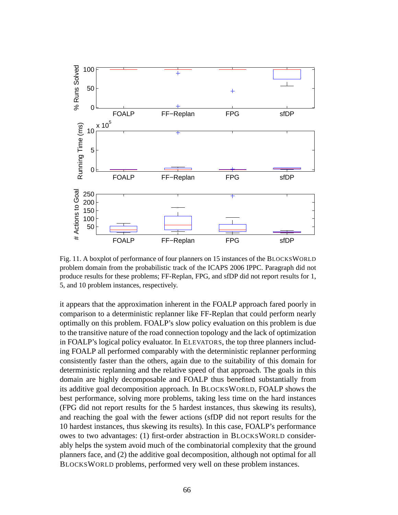

Fig. 11. A boxplot of performance of four planners on 15 instances of the BLOCKSWORLD problem domain from the probabilistic track of the ICAPS 2006 IPPC. Paragraph did not produce results for these problems; FF-Replan, FPG, and sfDP did not report results for 1, 5, and 10 problem instances, respectively.

it appears that the approximation inherent in the FOALP approach fared poorly in comparison to a deterministic replanner like FF-Replan that could perform nearly optimally on this problem. FOALP's slow policy evaluation on this problem is due to the transitive nature of the road connection topology and the lack of optimization in FOALP's logical policy evaluator. In ELEVATORS, the top three planners including FOALP all performed comparably with the deterministic replanner performing consistently faster than the others, again due to the suitability of this domain for deterministic replanning and the relative speed of that approach. The goals in this domain are highly decomposable and FOALP thus benefited substantially from its additive goal decomposition approach. In BLOCKSWORLD, FOALP shows the best performance, solving more problems, taking less time on the hard instances (FPG did not report results for the 5 hardest instances, thus skewing its results), and reaching the goal with the fewer actions (sfDP did not report results for the 10 hardest instances, thus skewing its results). In this case, FOALP's performance owes to two advantages: (1) first-order abstraction in BLOCKSWORLD considerably helps the system avoid much of the combinatorial complexity that the ground planners face, and (2) the additive goal decomposition, although not optimal for all BLOCKSWORLD problems, performed very well on these problem instances.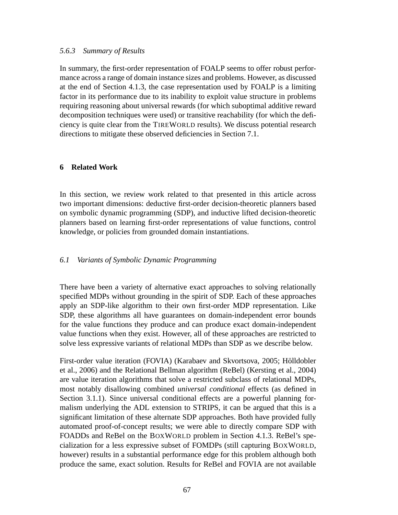# *5.6.3 Summary of Results*

In summary, the first-order representation of FOALP seems to offer robust performance across a range of domain instance sizes and problems. However, as discussed at the end of Section 4.1.3, the case representation used by FOALP is a limiting factor in its performance due to its inability to exploit value structure in problems requiring reasoning about universal rewards (for which suboptimal additive reward decomposition techniques were used) or transitive reachability (for which the deficiency is quite clear from the TIREWORLD results). We discuss potential research directions to mitigate these observed deficiencies in Section 7.1.

# **6 Related Work**

In this section, we review work related to that presented in this article across two important dimensions: deductive first-order decision-theoretic planners based on symbolic dynamic programming (SDP), and inductive lifted decision-theoretic planners based on learning first-order representations of value functions, control knowledge, or policies from grounded domain instantiations.

# *6.1 Variants of Symbolic Dynamic Programming*

There have been a variety of alternative exact approaches to solving relationally specified MDPs without grounding in the spirit of SDP. Each of these approaches apply an SDP-like algorithm to their own first-order MDP representation. Like SDP, these algorithms all have guarantees on domain-independent error bounds for the value functions they produce and can produce exact domain-independent value functions when they exist. However, all of these approaches are restricted to solve less expressive variants of relational MDPs than SDP as we describe below.

First-order value iteration (FOVIA) (Karabaev and Skvortsova, 2005; Hölldobler et al., 2006) and the Relational Bellman algorithm (ReBel) (Kersting et al., 2004) are value iteration algorithms that solve a restricted subclass of relational MDPs, most notably disallowing combined *universal conditional* effects (as defined in Section 3.1.1). Since universal conditional effects are a powerful planning formalism underlying the ADL extension to STRIPS, it can be argued that this is a significant limitation of these alternate SDP approaches. Both have provided fully automated proof-of-concept results; we were able to directly compare SDP with FOADDs and ReBel on the BOXWORLD problem in Section 4.1.3. ReBel's specialization for a less expressive subset of FOMDPs (still capturing BOXWORLD, however) results in a substantial performance edge for this problem although both produce the same, exact solution. Results for ReBel and FOVIA are not available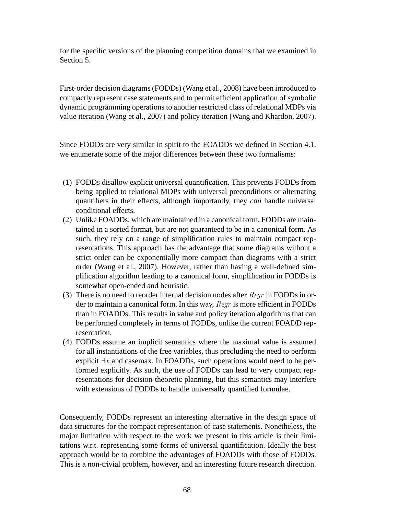for the specific versions of the planning competition domains that we examined in Section 5.

First-order decision diagrams (FODDs) (Wang et al., 2008) have been introduced to compactly represent case statements and to permit efficient application of symbolic dynamic programming operations to another restricted class of relational MDPs via value iteration (Wang et al., 2007) and policy iteration (Wang and Khardon, 2007).

Since FODDs are very similar in spirit to the FOADDs we defined in Section 4.1, we enumerate some of the major differences between these two formalisms:

- (1) FODDs disallow explicit universal quantification. This prevents FODDs from being applied to relational MDPs with universal preconditions or alternating quantifiers in their effects, although importantly, they *can* handle universal conditional effects.
- (2) Unlike FOADDs, which are maintained in a canonical form, FODDs are maintained in a sorted format, but are not guaranteed to be in a canonical form. As such, they rely on a range of simplification rules to maintain compact representations. This approach has the advantage that some diagrams without a strict order can be exponentially more compact than diagrams with a strict order (Wang et al., 2007). However, rather than having a well-defined simplification algorithm leading to a canonical form, simplification in FODDs is somewhat open-ended and heuristic.
- (3) There is no need to reorder internal decision nodes after  $Regr$  in FODDs in order to maintain a canonical form. In this way, *Regr* is more efficient in FODDs than in FOADDs. This results in value and policy iteration algorithms that can be performed completely in terms of FODDs, unlike the current FOADD representation.
- (4) FODDs assume an implicit semantics where the maximal value is assumed for all instantiations of the free variables, thus precluding the need to perform explicit  $\exists x$  and casemax. In FOADDs, such operations would need to be performed explicitly. As such, the use of FODDs can lead to very compact representations for decision-theoretic planning, but this semantics may interfere with extensions of FODDs to handle universally quantified formulae.

Consequently, FODDs represent an interesting alternative in the design space of data structures for the compact representation of case statements. Nonetheless, the major limitation with respect to the work we present in this article is their limitations w.r.t. representing some forms of universal quantification. Ideally the best approach would be to combine the advantages of FOADDs with those of FODDs. This is a non-trivial problem, however, and an interesting future research direction.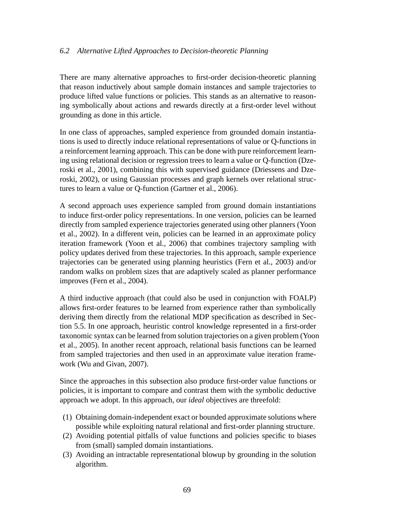# *6.2 Alternative Lifted Approaches to Decision-theoretic Planning*

There are many alternative approaches to first-order decision-theoretic planning that reason inductively about sample domain instances and sample trajectories to produce lifted value functions or policies. This stands as an alternative to reasoning symbolically about actions and rewards directly at a first-order level without grounding as done in this article.

In one class of approaches, sampled experience from grounded domain instantiations is used to directly induce relational representations of value or Q-functions in a reinforcement learning approach. This can be done with pure reinforcement learning using relational decision or regression trees to learn a value or Q-function (Dzeroski et al., 2001), combining this with supervised guidance (Driessens and Dzeroski, 2002), or using Gaussian processes and graph kernels over relational structures to learn a value or Q-function (Gartner et al., 2006).

A second approach uses experience sampled from ground domain instantiations to induce first-order policy representations. In one version, policies can be learned directly from sampled experience trajectories generated using other planners (Yoon et al., 2002). In a different vein, policies can be learned in an approximate policy iteration framework (Yoon et al., 2006) that combines trajectory sampling with policy updates derived from these trajectories. In this approach, sample experience trajectories can be generated using planning heuristics (Fern et al., 2003) and/or random walks on problem sizes that are adaptively scaled as planner performance improves (Fern et al., 2004).

A third inductive approach (that could also be used in conjunction with FOALP) allows first-order features to be learned from experience rather than symbolically deriving them directly from the relational MDP specification as described in Section 5.5. In one approach, heuristic control knowledge represented in a first-order taxonomic syntax can be learned from solution trajectories on a given problem (Yoon et al., 2005). In another recent approach, relational basis functions can be learned from sampled trajectories and then used in an approximate value iteration framework (Wu and Givan, 2007).

Since the approaches in this subsection also produce first-order value functions or policies, it is important to compare and contrast them with the symbolic deductive approach we adopt. In this approach, our *ideal* objectives are threefold:

- (1) Obtaining domain-independent exact or bounded approximate solutions where possible while exploiting natural relational and first-order planning structure.
- (2) Avoiding potential pitfalls of value functions and policies specific to biases from (small) sampled domain instantiations.
- (3) Avoiding an intractable representational blowup by grounding in the solution algorithm.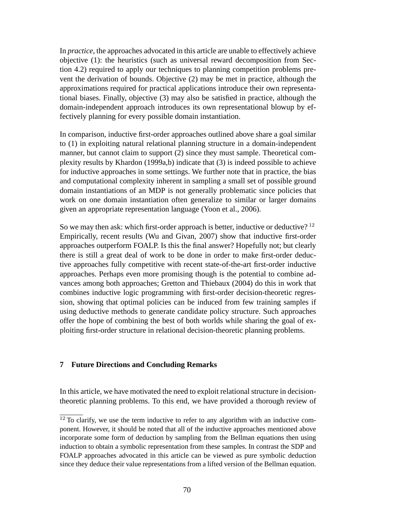In *practice*, the approaches advocated in this article are unable to effectively achieve objective (1): the heuristics (such as universal reward decomposition from Section 4.2) required to apply our techniques to planning competition problems prevent the derivation of bounds. Objective (2) may be met in practice, although the approximations required for practical applications introduce their own representational biases. Finally, objective (3) may also be satisfied in practice, although the domain-independent approach introduces its own representational blowup by effectively planning for every possible domain instantiation.

In comparison, inductive first-order approaches outlined above share a goal similar to (1) in exploiting natural relational planning structure in a domain-independent manner, but cannot claim to support (2) since they must sample. Theoretical complexity results by Khardon (1999a,b) indicate that (3) is indeed possible to achieve for inductive approaches in some settings. We further note that in practice, the bias and computational complexity inherent in sampling a small set of possible ground domain instantiations of an MDP is not generally problematic since policies that work on one domain instantiation often generalize to similar or larger domains given an appropriate representation language (Yoon et al., 2006).

So we may then ask: which first-order approach is better, inductive or deductive?  $12$ Empirically, recent results (Wu and Givan, 2007) show that inductive first-order approaches outperform FOALP. Is this the final answer? Hopefully not; but clearly there is still a great deal of work to be done in order to make first-order deductive approaches fully competitive with recent state-of-the-art first-order inductive approaches. Perhaps even more promising though is the potential to combine advances among both approaches; Gretton and Thiebaux (2004) do this in work that combines inductive logic programming with first-order decision-theoretic regression, showing that optimal policies can be induced from few training samples if using deductive methods to generate candidate policy structure. Such approaches offer the hope of combining the best of both worlds while sharing the goal of exploiting first-order structure in relational decision-theoretic planning problems.

# **7 Future Directions and Concluding Remarks**

In this article, we have motivated the need to exploit relational structure in decisiontheoretic planning problems. To this end, we have provided a thorough review of

 $12$  To clarify, we use the term inductive to refer to any algorithm with an inductive component. However, it should be noted that all of the inductive approaches mentioned above incorporate some form of deduction by sampling from the Bellman equations then using induction to obtain a symbolic representation from these samples. In contrast the SDP and FOALP approaches advocated in this article can be viewed as pure symbolic deduction since they deduce their value representations from a lifted version of the Bellman equation.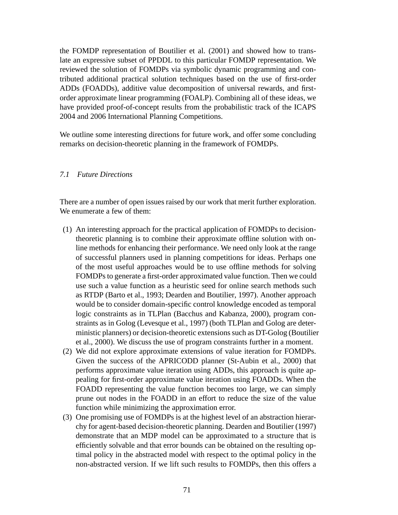the FOMDP representation of Boutilier et al. (2001) and showed how to translate an expressive subset of PPDDL to this particular FOMDP representation. We reviewed the solution of FOMDPs via symbolic dynamic programming and contributed additional practical solution techniques based on the use of first-order ADDs (FOADDs), additive value decomposition of universal rewards, and firstorder approximate linear programming (FOALP). Combining all of these ideas, we have provided proof-of-concept results from the probabilistic track of the ICAPS 2004 and 2006 International Planning Competitions.

We outline some interesting directions for future work, and offer some concluding remarks on decision-theoretic planning in the framework of FOMDPs.

## *7.1 Future Directions*

There are a number of open issues raised by our work that merit further exploration. We enumerate a few of them:

- (1) An interesting approach for the practical application of FOMDPs to decisiontheoretic planning is to combine their approximate offline solution with online methods for enhancing their performance. We need only look at the range of successful planners used in planning competitions for ideas. Perhaps one of the most useful approaches would be to use offline methods for solving FOMDPs to generate a first-order approximated value function. Then we could use such a value function as a heuristic seed for online search methods such as RTDP (Barto et al., 1993; Dearden and Boutilier, 1997). Another approach would be to consider domain-specific control knowledge encoded as temporal logic constraints as in TLPlan (Bacchus and Kabanza, 2000), program constraints as in Golog (Levesque et al., 1997) (both TLPlan and Golog are deterministic planners) or decision-theoretic extensions such as DT-Golog (Boutilier et al., 2000). We discuss the use of program constraints further in a moment.
- (2) We did not explore approximate extensions of value iteration for FOMDPs. Given the success of the APRICODD planner (St-Aubin et al., 2000) that performs approximate value iteration using ADDs, this approach is quite appealing for first-order approximate value iteration using FOADDs. When the FOADD representing the value function becomes too large, we can simply prune out nodes in the FOADD in an effort to reduce the size of the value function while minimizing the approximation error.
- (3) One promising use of FOMDPs is at the highest level of an abstraction hierarchy for agent-based decision-theoretic planning. Dearden and Boutilier (1997) demonstrate that an MDP model can be approximated to a structure that is efficiently solvable and that error bounds can be obtained on the resulting optimal policy in the abstracted model with respect to the optimal policy in the non-abstracted version. If we lift such results to FOMDPs, then this offers a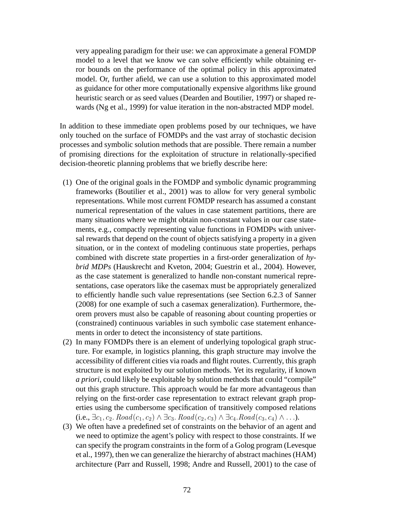very appealing paradigm for their use: we can approximate a general FOMDP model to a level that we know we can solve efficiently while obtaining error bounds on the performance of the optimal policy in this approximated model. Or, further afield, we can use a solution to this approximated model as guidance for other more computationally expensive algorithms like ground heuristic search or as seed values (Dearden and Boutilier, 1997) or shaped rewards (Ng et al., 1999) for value iteration in the non-abstracted MDP model.

In addition to these immediate open problems posed by our techniques, we have only touched on the surface of FOMDPs and the vast array of stochastic decision processes and symbolic solution methods that are possible. There remain a number of promising directions for the exploitation of structure in relationally-specified decision-theoretic planning problems that we briefly describe here:

- (1) One of the original goals in the FOMDP and symbolic dynamic programming frameworks (Boutilier et al., 2001) was to allow for very general symbolic representations. While most current FOMDP research has assumed a constant numerical representation of the values in case statement partitions, there are many situations where we might obtain non-constant values in our case statements, e.g., compactly representing value functions in FOMDPs with universal rewards that depend on the count of objects satisfying a property in a given situation, or in the context of modeling continuous state properties, perhaps combined with discrete state properties in a first-order generalization of *hybrid MDPs* (Hauskrecht and Kveton, 2004; Guestrin et al., 2004). However, as the case statement is generalized to handle non-constant numerical representations, case operators like the casemax must be appropriately generalized to efficiently handle such value representations (see Section 6.2.3 of Sanner (2008) for one example of such a casemax generalization). Furthermore, theorem provers must also be capable of reasoning about counting properties or (constrained) continuous variables in such symbolic case statement enhancements in order to detect the inconsistency of state partitions.
- (2) In many FOMDPs there is an element of underlying topological graph structure. For example, in logistics planning, this graph structure may involve the accessibility of different cities via roads and flight routes. Currently, this graph structure is not exploited by our solution methods. Yet its regularity, if known *a priori*, could likely be exploitable by solution methods that could "compile" out this graph structure. This approach would be far more advantageous than relying on the first-order case representation to extract relevant graph properties using the cumbersome specification of transitively composed relations (i.e.,  $\exists c_1, c_2$ .  $Read(c_1, c_2) \land \exists c_3$ .  $Read(c_2, c_3) \land \exists c_4$ .  $Read(c_3, c_4) \land \ldots$ ).
- (3) We often have a predefined set of constraints on the behavior of an agent and we need to optimize the agent's policy with respect to those constraints. If we can specify the program constraints in the form of a Golog program (Levesque et al., 1997), then we can generalize the hierarchy of abstract machines (HAM) architecture (Parr and Russell, 1998; Andre and Russell, 2001) to the case of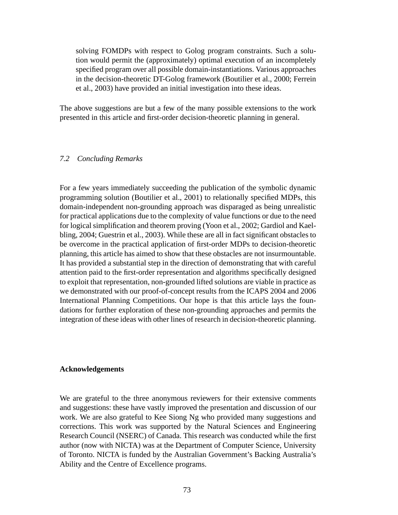solving FOMDPs with respect to Golog program constraints. Such a solution would permit the (approximately) optimal execution of an incompletely specified program over all possible domain-instantiations. Various approaches in the decision-theoretic DT-Golog framework (Boutilier et al., 2000; Ferrein et al., 2003) have provided an initial investigation into these ideas.

The above suggestions are but a few of the many possible extensions to the work presented in this article and first-order decision-theoretic planning in general.

## *7.2 Concluding Remarks*

For a few years immediately succeeding the publication of the symbolic dynamic programming solution (Boutilier et al., 2001) to relationally specified MDPs, this domain-independent non-grounding approach was disparaged as being unrealistic for practical applications due to the complexity of value functions or due to the need for logical simplification and theorem proving (Yoon et al., 2002; Gardiol and Kaelbling, 2004; Guestrin et al., 2003). While these are all in fact significant obstacles to be overcome in the practical application of first-order MDPs to decision-theoretic planning, this article has aimed to show that these obstacles are not insurmountable. It has provided a substantial step in the direction of demonstrating that with careful attention paid to the first-order representation and algorithms specifically designed to exploit that representation, non-grounded lifted solutions are viable in practice as we demonstrated with our proof-of-concept results from the ICAPS 2004 and 2006 International Planning Competitions. Our hope is that this article lays the foundations for further exploration of these non-grounding approaches and permits the integration of these ideas with other lines of research in decision-theoretic planning.

## **Acknowledgements**

We are grateful to the three anonymous reviewers for their extensive comments and suggestions: these have vastly improved the presentation and discussion of our work. We are also grateful to Kee Siong Ng who provided many suggestions and corrections. This work was supported by the Natural Sciences and Engineering Research Council (NSERC) of Canada. This research was conducted while the first author (now with NICTA) was at the Department of Computer Science, University of Toronto. NICTA is funded by the Australian Government's Backing Australia's Ability and the Centre of Excellence programs.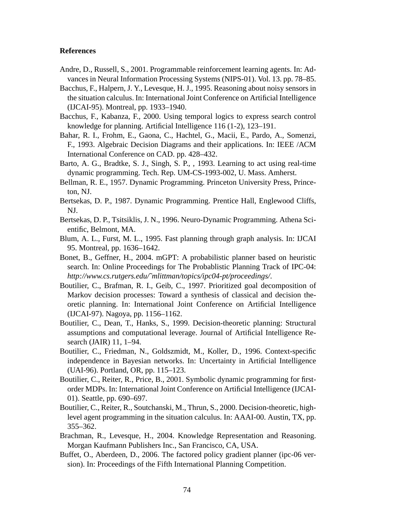## **References**

- Andre, D., Russell, S., 2001. Programmable reinforcement learning agents. In: Advances in Neural Information Processing Systems (NIPS-01). Vol. 13. pp. 78–85.
- Bacchus, F., Halpern, J. Y., Levesque, H. J., 1995. Reasoning about noisy sensors in the situation calculus. In: International Joint Conference on Artificial Intelligence (IJCAI-95). Montreal, pp. 1933–1940.
- Bacchus, F., Kabanza, F., 2000. Using temporal logics to express search control knowledge for planning. Artificial Intelligence 116 (1-2), 123–191.
- Bahar, R. I., Frohm, E., Gaona, C., Hachtel, G., Macii, E., Pardo, A., Somenzi, F., 1993. Algebraic Decision Diagrams and their applications. In: IEEE /ACM International Conference on CAD. pp. 428–432.
- Barto, A. G., Bradtke, S. J., Singh, S. P., , 1993. Learning to act using real-time dynamic programming. Tech. Rep. UM-CS-1993-002, U. Mass. Amherst.
- Bellman, R. E., 1957. Dynamic Programming. Princeton University Press, Princeton, NJ.
- Bertsekas, D. P., 1987. Dynamic Programming. Prentice Hall, Englewood Cliffs, NJ.
- Bertsekas, D. P., Tsitsiklis, J. N., 1996. Neuro-Dynamic Programming. Athena Scientific, Belmont, MA.
- Blum, A. L., Furst, M. L., 1995. Fast planning through graph analysis. In: IJCAI 95. Montreal, pp. 1636–1642.
- Bonet, B., Geffner, H., 2004. mGPT: A probabilistic planner based on heuristic search. In: Online Proceedings for The Probablistic Planning Track of IPC-04: *http://www.cs.rutgers.edu/˜mlittman/topics/ipc04-pt/proceedings/*.
- Boutilier, C., Brafman, R. I., Geib, C., 1997. Prioritized goal decomposition of Markov decision processes: Toward a synthesis of classical and decision theoretic planning. In: International Joint Conference on Artificial Intelligence (IJCAI-97). Nagoya, pp. 1156–1162.
- Boutilier, C., Dean, T., Hanks, S., 1999. Decision-theoretic planning: Structural assumptions and computational leverage. Journal of Artificial Intelligence Research (JAIR) 11, 1–94.
- Boutilier, C., Friedman, N., Goldszmidt, M., Koller, D., 1996. Context-specific independence in Bayesian networks. In: Uncertainty in Artificial Intelligence (UAI-96). Portland, OR, pp. 115–123.
- Boutilier, C., Reiter, R., Price, B., 2001. Symbolic dynamic programming for firstorder MDPs. In: International Joint Conference on Artificial Intelligence (IJCAI-01). Seattle, pp. 690–697.
- Boutilier, C., Reiter, R., Soutchanski, M., Thrun, S., 2000. Decision-theoretic, highlevel agent programming in the situation calculus. In: AAAI-00. Austin, TX, pp. 355–362.
- Brachman, R., Levesque, H., 2004. Knowledge Representation and Reasoning. Morgan Kaufmann Publishers Inc., San Francisco, CA, USA.
- Buffet, O., Aberdeen, D., 2006. The factored policy gradient planner (ipc-06 version). In: Proceedings of the Fifth International Planning Competition.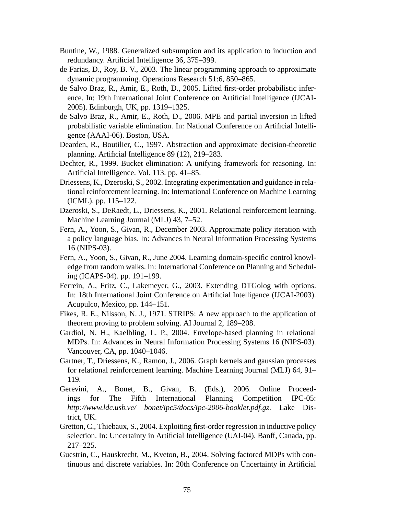- Buntine, W., 1988. Generalized subsumption and its application to induction and redundancy. Artificial Intelligence 36, 375–399.
- de Farias, D., Roy, B. V., 2003. The linear programming approach to approximate dynamic programming. Operations Research 51:6, 850–865.
- de Salvo Braz, R., Amir, E., Roth, D., 2005. Lifted first-order probabilistic inference. In: 19th International Joint Conference on Artificial Intelligence (IJCAI-2005). Edinburgh, UK, pp. 1319–1325.
- de Salvo Braz, R., Amir, E., Roth, D., 2006. MPE and partial inversion in lifted probabilistic variable elimination. In: National Conference on Artificial Intelligence (AAAI-06). Boston, USA.
- Dearden, R., Boutilier, C., 1997. Abstraction and approximate decision-theoretic planning. Artificial Intelligence 89 (12), 219–283.
- Dechter, R., 1999. Bucket elimination: A unifying framework for reasoning. In: Artificial Intelligence. Vol. 113. pp. 41–85.
- Driessens, K., Dzeroski, S., 2002. Integrating experimentation and guidance in relational reinforcement learning. In: International Conference on Machine Learning (ICML). pp. 115–122.
- Dzeroski, S., DeRaedt, L., Driessens, K., 2001. Relational reinforcement learning. Machine Learning Journal (MLJ) 43, 7–52.
- Fern, A., Yoon, S., Givan, R., December 2003. Approximate policy iteration with a policy language bias. In: Advances in Neural Information Processing Systems 16 (NIPS-03).
- Fern, A., Yoon, S., Givan, R., June 2004. Learning domain-specific control knowledge from random walks. In: International Conference on Planning and Scheduling (ICAPS-04). pp. 191–199.
- Ferrein, A., Fritz, C., Lakemeyer, G., 2003. Extending DTGolog with options. In: 18th International Joint Conference on Artificial Intelligence (IJCAI-2003). Acupulco, Mexico, pp. 144–151.
- Fikes, R. E., Nilsson, N. J., 1971. STRIPS: A new approach to the application of theorem proving to problem solving. AI Journal 2, 189–208.
- Gardiol, N. H., Kaelbling, L. P., 2004. Envelope-based planning in relational MDPs. In: Advances in Neural Information Processing Systems 16 (NIPS-03). Vancouver, CA, pp. 1040–1046.
- Gartner, T., Driessens, K., Ramon, J., 2006. Graph kernels and gaussian processes for relational reinforcement learning. Machine Learning Journal (MLJ) 64, 91– 119.
- Gerevini, A., Bonet, B., Givan, B. (Eds.), 2006. Online Proceedings for The Fifth International Planning Competition IPC-05: *http://www.ldc.usb.ve/ bonet/ipc5/docs/ipc-2006-booklet.pdf.gz*. Lake District, UK.
- Gretton, C., Thiebaux, S., 2004. Exploiting first-order regression in inductive policy selection. In: Uncertainty in Artificial Intelligence (UAI-04). Banff, Canada, pp. 217–225.
- Guestrin, C., Hauskrecht, M., Kveton, B., 2004. Solving factored MDPs with continuous and discrete variables. In: 20th Conference on Uncertainty in Artificial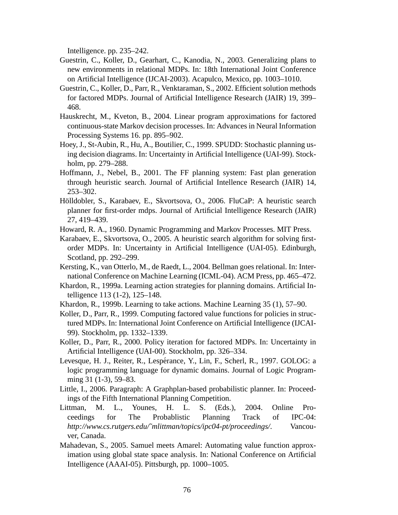Intelligence. pp. 235–242.

- Guestrin, C., Koller, D., Gearhart, C., Kanodia, N., 2003. Generalizing plans to new environments in relational MDPs. In: 18th International Joint Conference on Artificial Intelligence (IJCAI-2003). Acapulco, Mexico, pp. 1003–1010.
- Guestrin, C., Koller, D., Parr, R., Venktaraman, S., 2002. Efficient solution methods for factored MDPs. Journal of Artificial Intelligence Research (JAIR) 19, 399– 468.
- Hauskrecht, M., Kveton, B., 2004. Linear program approximations for factored continuous-state Markov decision processes. In: Advances in Neural Information Processing Systems 16. pp. 895–902.
- Hoey, J., St-Aubin, R., Hu, A., Boutilier, C., 1999. SPUDD: Stochastic planning using decision diagrams. In: Uncertainty in Artificial Intelligence (UAI-99). Stockholm, pp. 279–288.
- Hoffmann, J., Nebel, B., 2001. The FF planning system: Fast plan generation through heuristic search. Journal of Artificial Intellence Research (JAIR) 14, 253–302.
- Hölldobler, S., Karabaev, E., Skvortsova, O., 2006. FluCaP: A heuristic search planner for first-order mdps. Journal of Artificial Intelligence Research (JAIR) 27, 419–439.
- Howard, R. A., 1960. Dynamic Programming and Markov Processes. MIT Press.
- Karabaev, E., Skvortsova, O., 2005. A heuristic search algorithm for solving firstorder MDPs. In: Uncertainty in Artificial Intelligence (UAI-05). Edinburgh, Scotland, pp. 292–299.
- Kersting, K., van Otterlo, M., de Raedt, L., 2004. Bellman goes relational. In: International Conference on Machine Learning (ICML-04). ACM Press, pp. 465–472.
- Khardon, R., 1999a. Learning action strategies for planning domains. Artificial Intelligence 113 (1-2), 125–148.
- Khardon, R., 1999b. Learning to take actions. Machine Learning 35 (1), 57–90.
- Koller, D., Parr, R., 1999. Computing factored value functions for policies in structured MDPs. In: International Joint Conference on Artificial Intelligence (IJCAI-99). Stockholm, pp. 1332–1339.
- Koller, D., Parr, R., 2000. Policy iteration for factored MDPs. In: Uncertainty in Artificial Intelligence (UAI-00). Stockholm, pp. 326–334.
- Levesque, H. J., Reiter, R., Lespérance, Y., Lin, F., Scherl, R., 1997. GOLOG: a logic programming language for dynamic domains. Journal of Logic Programming 31 (1-3), 59–83.
- Little, I., 2006. Paragraph: A Graphplan-based probabilistic planner. In: Proceedings of the Fifth International Planning Competition.
- Littman, M. L., Younes, H. L. S. (Eds.), 2004. Online Proceedings for The Probablistic Planning Track of IPC-04: *http://www.cs.rutgers.edu/˜mlittman/topics/ipc04-pt/proceedings/*. Vancouver, Canada.
- Mahadevan, S., 2005. Samuel meets Amarel: Automating value function approximation using global state space analysis. In: National Conference on Artificial Intelligence (AAAI-05). Pittsburgh, pp. 1000–1005.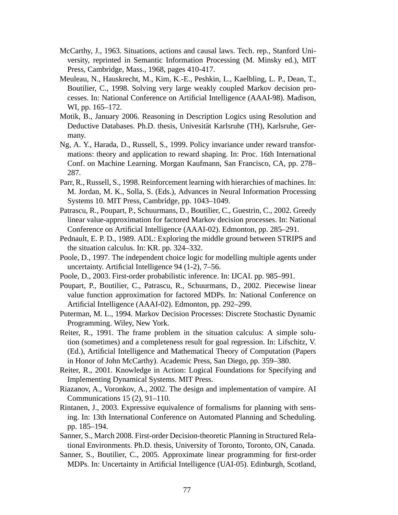- McCarthy, J., 1963. Situations, actions and causal laws. Tech. rep., Stanford University, reprinted in Semantic Information Processing (M. Minsky ed.), MIT Press, Cambridge, Mass., 1968, pages 410-417.
- Meuleau, N., Hauskrecht, M., Kim, K.-E., Peshkin, L., Kaelbling, L. P., Dean, T., Boutilier, C., 1998. Solving very large weakly coupled Markov decision processes. In: National Conference on Artificial Intelligence (AAAI-98). Madison, WI, pp. 165–172.
- Motik, B., January 2006. Reasoning in Description Logics using Resolution and Deductive Databases. Ph.D. thesis, Univesität Karlsruhe (TH), Karlsruhe, Germany.
- Ng, A. Y., Harada, D., Russell, S., 1999. Policy invariance under reward transformations: theory and application to reward shaping. In: Proc. 16th International Conf. on Machine Learning. Morgan Kaufmann, San Francisco, CA, pp. 278– 287.
- Parr, R., Russell, S., 1998. Reinforcement learning with hierarchies of machines. In: M. Jordan, M. K., Solla, S. (Eds.), Advances in Neural Information Processing Systems 10. MIT Press, Cambridge, pp. 1043–1049.
- Patrascu, R., Poupart, P., Schuurmans, D., Boutilier, C., Guestrin, C., 2002. Greedy linear value-approximation for factored Markov decision processes. In: National Conference on Artificial Intelligence (AAAI-02). Edmonton, pp. 285–291.
- Pednault, E. P. D., 1989. ADL: Exploring the middle ground between STRIPS and the situation calculus. In: KR. pp. 324–332.
- Poole, D., 1997. The independent choice logic for modelling multiple agents under uncertainty. Artificial Intelligence 94 (1-2), 7–56.
- Poole, D., 2003. First-order probabilistic inference. In: IJCAI. pp. 985–991.
- Poupart, P., Boutilier, C., Patrascu, R., Schuurmans, D., 2002. Piecewise linear value function approximation for factored MDPs. In: National Conference on Artificial Intelligence (AAAI-02). Edmonton, pp. 292–299.
- Puterman, M. L., 1994. Markov Decision Processes: Discrete Stochastic Dynamic Programming. Wiley, New York.
- Reiter, R., 1991. The frame problem in the situation calculus: A simple solution (sometimes) and a completeness result for goal regression. In: Lifschitz, V. (Ed.), Artificial Intelligence and Mathematical Theory of Computation (Papers in Honor of John McCarthy). Academic Press, San Diego, pp. 359–380.
- Reiter, R., 2001. Knowledge in Action: Logical Foundations for Specifying and Implementing Dynamical Systems. MIT Press.
- Riazanov, A., Voronkov, A., 2002. The design and implementation of vampire. AI Communications 15 (2), 91–110.
- Rintanen, J., 2003. Expressive equivalence of formalisms for planning with sensing. In: 13th International Conference on Automated Planning and Scheduling. pp. 185–194.
- Sanner, S., March 2008. First-order Decision-theoretic Planning in Structured Relational Environments. Ph.D. thesis, University of Toronto, Toronto, ON, Canada.
- Sanner, S., Boutilier, C., 2005. Approximate linear programming for first-order MDPs. In: Uncertainty in Artificial Intelligence (UAI-05). Edinburgh, Scotland,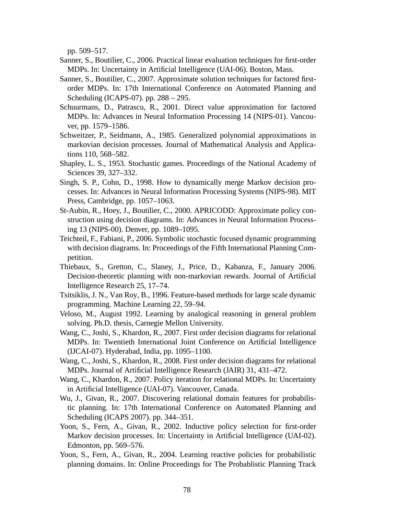pp. 509–517.

- Sanner, S., Boutilier, C., 2006. Practical linear evaluation techniques for first-order MDPs. In: Uncertainty in Artificial Intelligence (UAI-06). Boston, Mass.
- Sanner, S., Boutilier, C., 2007. Approximate solution techniques for factored firstorder MDPs. In: 17th International Conference on Automated Planning and Scheduling (ICAPS-07). pp. 288 – 295.
- Schuurmans, D., Patrascu, R., 2001. Direct value approximation for factored MDPs. In: Advances in Neural Information Processing 14 (NIPS-01). Vancouver, pp. 1579–1586.
- Schweitzer, P., Seidmann, A., 1985. Generalized polynomial approximations in markovian decision processes. Journal of Mathematical Analysis and Applications 110, 568–582.
- Shapley, L. S., 1953. Stochastic games. Proceedings of the National Academy of Sciences 39, 327–332.
- Singh, S. P., Cohn, D., 1998. How to dynamically merge Markov decision processes. In: Advances in Neural Information Processing Systems (NIPS-98). MIT Press, Cambridge, pp. 1057–1063.
- St-Aubin, R., Hoey, J., Boutilier, C., 2000. APRICODD: Approximate policy construction using decision diagrams. In: Advances in Neural Information Processing 13 (NIPS-00). Denver, pp. 1089–1095.
- Teichteil, F., Fabiani, P., 2006. Symbolic stochastic focused dynamic programming with decision diagrams. In: Proceedings of the Fifth International Planning Competition.
- Thiebaux, S., Gretton, C., Slaney, J., Price, D., Kabanza, F., January 2006. Decision-theoretic planning with non-markovian rewards. Journal of Artificial Intelligence Research 25, 17–74.
- Tsitsiklis, J. N., Van Roy, B., 1996. Feature-based methods for large scale dynamic programming. Machine Learning 22, 59–94.
- Veloso, M., August 1992. Learning by analogical reasoning in general problem solving. Ph.D. thesis, Carnegie Mellon University.
- Wang, C., Joshi, S., Khardon, R., 2007. First order decision diagrams for relational MDPs. In: Twentieth International Joint Conference on Artificial Intelligence (IJCAI-07). Hyderabad, India, pp. 1095–1100.
- Wang, C., Joshi, S., Khardon, R., 2008. First order decision diagrams for relational MDPs. Journal of Artificial Intelligence Research (JAIR) 31, 431–472.
- Wang, C., Khardon, R., 2007. Policy iteration for relational MDPs. In: Uncertainty in Artificial Intelligence (UAI-07). Vancouver, Canada.
- Wu, J., Givan, R., 2007. Discovering relational domain features for probabilistic planning. In: 17th International Conference on Automated Planning and Scheduling (ICAPS 2007). pp. 344–351.
- Yoon, S., Fern, A., Givan, R., 2002. Inductive policy selection for first-order Markov decision processes. In: Uncertainty in Artificial Intelligence (UAI-02). Edmonton, pp. 569–576.
- Yoon, S., Fern, A., Givan, R., 2004. Learning reactive policies for probabilistic planning domains. In: Online Proceedings for The Probablistic Planning Track